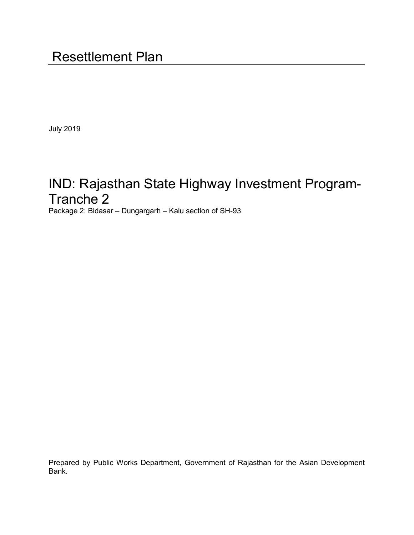July 2019

# IND: Rajasthan State Highway Investment Program-Tranche 2

Package 2: Bidasar – Dungargarh – Kalu section of SH-93

Prepared by Public Works Department, Government of Rajasthan for the Asian Development Bank.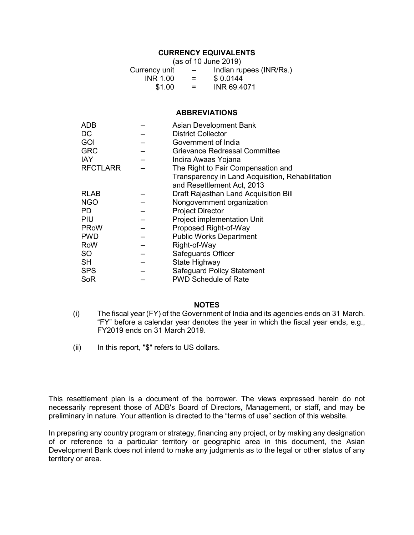# **CURRENCY EQUIVALENTS**

| (as of 10 June 2019) |                          |                         |  |  |
|----------------------|--------------------------|-------------------------|--|--|
| Currency unit        | $\overline{\phantom{0}}$ | Indian rupees (INR/Rs.) |  |  |
| <b>INR 1.00</b>      | $=$                      | \$0.0144                |  |  |
| \$1.00               | $=$                      | INR 69.4071             |  |  |

#### **ABBREVIATIONS**

| <b>ADB</b>      | <b>Asian Development Bank</b>                    |
|-----------------|--------------------------------------------------|
| DC              | <b>District Collector</b>                        |
| <b>GOI</b>      | Government of India                              |
| <b>GRC</b>      | Grievance Redressal Committee                    |
| IAY.            | Indira Awaas Yojana                              |
| <b>RFCTLARR</b> | The Right to Fair Compensation and               |
|                 | Transparency in Land Acquisition, Rehabilitation |
|                 | and Resettlement Act, 2013                       |
| <b>RLAB</b>     | Draft Rajasthan Land Acquisition Bill            |
| <b>NGO</b>      | Nongovernment organization                       |
| PD.             | <b>Project Director</b>                          |
| <b>PIU</b>      | Project implementation Unit                      |
| <b>PRoW</b>     | Proposed Right-of-Way                            |
| <b>PWD</b>      | <b>Public Works Department</b>                   |
| RoW             | Right-of-Way                                     |
| SO              | Safeguards Officer                               |
| SH.             | State Highway                                    |
| <b>SPS</b>      | <b>Safeguard Policy Statement</b>                |
| SoR             | <b>PWD Schedule of Rate</b>                      |

#### **NOTES**

- (i) The fiscal year (FY) of the Government of India and its agencies ends on 31 March. "FY" before a calendar year denotes the year in which the fiscal year ends, e.g., FY2019 ends on 31 March 2019.
- (ii) In this report, "\$" refers to US dollars.

This resettlement plan is a document of the borrower. The views expressed herein do not necessarily represent those of ADB's Board of Directors, Management, or staff, and may be preliminary in nature. Your attention is directed to the "terms of use" section of this website.

In preparing any country program or strategy, financing any project, or by making any designation of or reference to a particular territory or geographic area in this document, the Asian Development Bank does not intend to make any judgments as to the legal or other status of any territory or area.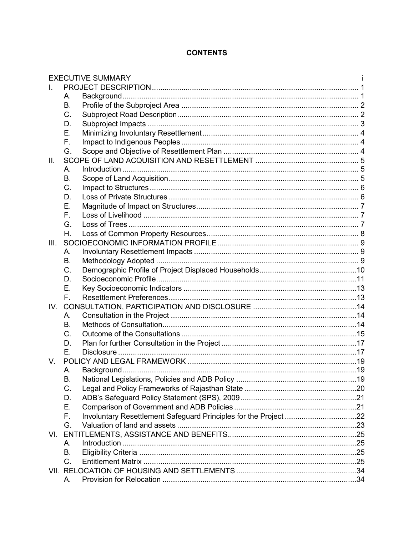# **CONTENTS**

|      |             | <b>EXECUTIVE SUMMARY</b>                                         |  |
|------|-------------|------------------------------------------------------------------|--|
|      |             |                                                                  |  |
|      | А.          |                                                                  |  |
|      | <b>B.</b>   |                                                                  |  |
|      | C.          |                                                                  |  |
|      | D.          |                                                                  |  |
|      | Ε.          |                                                                  |  |
|      | F.          |                                                                  |  |
|      | G.          |                                                                  |  |
| Ш.   |             |                                                                  |  |
|      | Α.          |                                                                  |  |
|      | <b>B.</b>   |                                                                  |  |
|      | C.          |                                                                  |  |
|      | D.          |                                                                  |  |
|      | Ε.          |                                                                  |  |
|      | F.          |                                                                  |  |
|      | G.          |                                                                  |  |
|      | Η.          |                                                                  |  |
| III. |             |                                                                  |  |
|      | А.          |                                                                  |  |
|      | B.          |                                                                  |  |
|      | C.          |                                                                  |  |
|      | D.          |                                                                  |  |
|      | Е.          |                                                                  |  |
|      | $F_{\perp}$ |                                                                  |  |
|      |             |                                                                  |  |
|      | А.          |                                                                  |  |
|      | <b>B.</b>   |                                                                  |  |
|      | C.          |                                                                  |  |
|      | D.          |                                                                  |  |
|      | Ε.          |                                                                  |  |
| V.   |             |                                                                  |  |
|      | А.          |                                                                  |  |
|      | В.          |                                                                  |  |
|      | C.          |                                                                  |  |
|      | D.          |                                                                  |  |
|      | Е.          |                                                                  |  |
|      | F.          | Involuntary Resettlement Safeguard Principles for the Project 22 |  |
|      | G.          |                                                                  |  |
|      |             |                                                                  |  |
|      | А.          |                                                                  |  |
|      | B.          |                                                                  |  |
|      | C.          |                                                                  |  |
|      |             |                                                                  |  |
|      | А.          |                                                                  |  |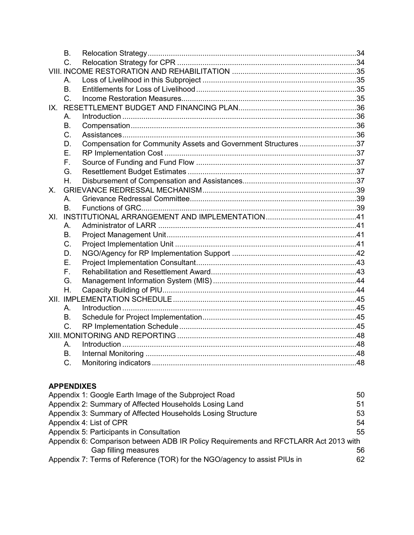|     | <b>B.</b> |                                                               |  |
|-----|-----------|---------------------------------------------------------------|--|
|     | $C_{1}$   |                                                               |  |
|     |           |                                                               |  |
|     | А.        |                                                               |  |
|     | <b>B.</b> |                                                               |  |
|     | $C_{1}$   |                                                               |  |
|     |           |                                                               |  |
|     | А.        |                                                               |  |
|     | B.        |                                                               |  |
|     | C.        |                                                               |  |
|     | D.        | Compensation for Community Assets and Government Structures37 |  |
|     | Ε.        |                                                               |  |
|     | F.        |                                                               |  |
|     | G.        |                                                               |  |
|     | Η.        |                                                               |  |
| Χ.  |           |                                                               |  |
|     | А.        |                                                               |  |
|     | В.        |                                                               |  |
| XI. |           |                                                               |  |
|     | А.        |                                                               |  |
|     | B.        |                                                               |  |
|     | C.        |                                                               |  |
|     | D.        |                                                               |  |
|     | Е.        |                                                               |  |
|     | F.        |                                                               |  |
|     | G.        |                                                               |  |
|     | Η.        |                                                               |  |
|     |           |                                                               |  |
|     | А.        |                                                               |  |
|     | В.        |                                                               |  |
|     | C.        |                                                               |  |
|     |           |                                                               |  |
|     | А.        |                                                               |  |
|     | <b>B.</b> |                                                               |  |
|     | C.        |                                                               |  |

# **APPENDIXES**

| Appendix 1: Google Earth Image of the Subproject Road                                | 50 |
|--------------------------------------------------------------------------------------|----|
| Appendix 2: Summary of Affected Households Losing Land                               | 51 |
| Appendix 3: Summary of Affected Households Losing Structure                          | 53 |
| Appendix 4: List of CPR                                                              | 54 |
| Appendix 5: Participants in Consultation                                             | 55 |
| Appendix 6: Comparison between ADB IR Policy Requirements and RFCTLARR Act 2013 with |    |
| Gap filling measures                                                                 | 56 |
| Appendix 7: Terms of Reference (TOR) for the NGO/agency to assist PIUs in            | 62 |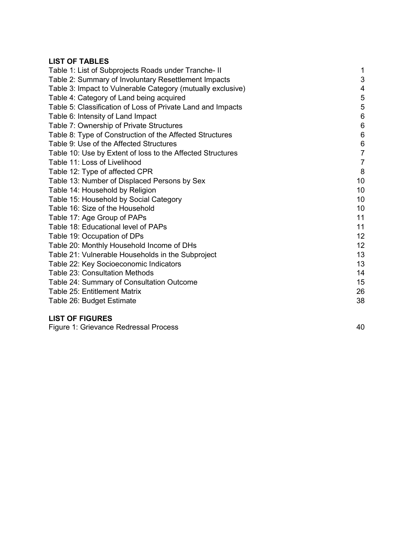# **LIST OF TABLES**

| Table 1: List of Subprojects Roads under Tranche- II        | $\mathbf{1}$    |
|-------------------------------------------------------------|-----------------|
| Table 2: Summary of Involuntary Resettlement Impacts        | $\sqrt{3}$      |
| Table 3: Impact to Vulnerable Category (mutually exclusive) | 4               |
| Table 4: Category of Land being acquired                    | 5               |
| Table 5: Classification of Loss of Private Land and Impacts | 5               |
| Table 6: Intensity of Land Impact                           | $6\phantom{1}6$ |
| Table 7: Ownership of Private Structures                    | $\,6$           |
| Table 8: Type of Construction of the Affected Structures    | $\,6$           |
| Table 9: Use of the Affected Structures                     | $\,6$           |
| Table 10: Use by Extent of loss to the Affected Structures  | $\overline{7}$  |
| Table 11: Loss of Livelihood                                | $\overline{7}$  |
| Table 12: Type of affected CPR                              | 8               |
| Table 13: Number of Displaced Persons by Sex                | 10              |
| Table 14: Household by Religion                             | 10              |
| Table 15: Household by Social Category                      | 10              |
| Table 16: Size of the Household                             | 10              |
| Table 17: Age Group of PAPs                                 | 11              |
| Table 18: Educational level of PAPs                         | 11              |
| Table 19: Occupation of DPs                                 | 12              |
| Table 20: Monthly Household Income of DHs                   | 12              |
| Table 21: Vulnerable Households in the Subproject           | 13              |
| Table 22: Key Socioeconomic Indicators                      | 13              |
| <b>Table 23: Consultation Methods</b>                       | 14              |
| Table 24: Summary of Consultation Outcome                   | 15              |
| Table 25: Entitlement Matrix                                | 26              |
| Table 26: Budget Estimate                                   | 38              |
|                                                             |                 |

# **LIST OF FIGURES**

Figure 1: Grievance Redressal Process **40** Apple 1: Grievance Redressal Process **40** Apple 1:  $\frac{40}{3}$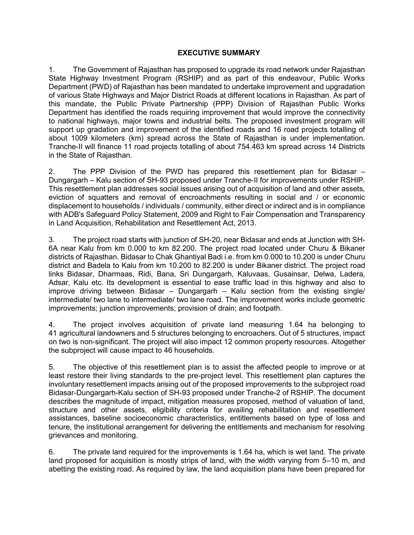#### **EXECUTIVE SUMMARY**

1. The Government of Rajasthan has proposed to upgrade its road network under Rajasthan State Highway Investment Program (RSHIP) and as part of this endeavour, Public Works Department (PWD) of Rajasthan has been mandated to undertake improvement and upgradation of various State Highways and Major District Roads at different locations in Rajasthan. As part of this mandate, the Public Private Partnership (PPP) Division of Rajasthan Public Works Department has identified the roads requiring improvement that would improve the connectivity to national highways, major towns and industrial belts. The proposed investment program will support up gradation and improvement of the identified roads and 16 road projects totalling of about 1009 kilometers (km) spread across the State of Rajasthan is under implementation. Tranche-II will finance 11 road projects totalling of about 754.463 km spread across 14 Districts in the State of Rajasthan.

2. The PPP Division of the PWD has prepared this resettlement plan for Bidasar – Dungargarh – Kalu section of SH-93 proposed under Tranche-II for improvements under RSHIP. This resettlement plan addresses social issues arising out of acquisition of land and other assets, eviction of squatters and removal of encroachments resulting in social and / or economic displacement to households / individuals / community, either direct or indirect and is in compliance with ADB's Safeguard Policy Statement, 2009 and Right to Fair Compensation and Transparency in Land Acquisition, Rehabilitation and Resettlement Act, 2013.

3. The project road starts with junction of SH-20, near Bidasar and ends at Junction with SH-6A near Kalu from km 0.000 to km 82.200. The project road located under Churu & Bikaner districts of Rajasthan. Bidasar to Chak Ghantiyal Badi i.e. from km 0.000 to 10.200 is under Churu district and Badela to Kalu from km 10.200 to 82.200 is under Bikaner district. The project road links Bidasar, Dharmaas, Ridi, Bana, Sri Dungargarh, Kaluvaas, Gusainsar, Delwa, Ladera, Adsar, Kalu etc. Its development is essential to ease traffic load in this highway and also to improve driving between Bidasar – Dungargarh – Kalu section from the existing single/ intermediate/ two lane to intermediate/ two lane road. The improvement works include geometric improvements; junction improvements; provision of drain; and footpath.

4. The project involves acquisition of private land measuring 1.64 ha belonging to 41 agricultural landowners and 5 structures belonging to encroachers. Out of 5 structures, impact on two is non-significant. The project will also impact 12 common property resources. Altogether the subproject will cause impact to 46 households.

5. The objective of this resettlement plan is to assist the affected people to improve or at least restore their living standards to the pre-project level. This resettlement plan captures the involuntary resettlement impacts arising out of the proposed improvements to the subproject road Bidasar-Dungargarh-Kalu section of SH-93 proposed under Tranche-2 of RSHIP. The document describes the magnitude of impact, mitigation measures proposed, method of valuation of land, structure and other assets, eligibility criteria for availing rehabilitation and resettlement assistances, baseline socioeconomic characteristics, entitlements based on type of loss and tenure, the institutional arrangement for delivering the entitlements and mechanism for resolving grievances and monitoring.

6. The private land required for the improvements is 1.64 ha, which is wet land. The private land proposed for acquisition is mostly strips of land, with the width varying from 5–10 m, and abetting the existing road. As required by law, the land acquisition plans have been prepared for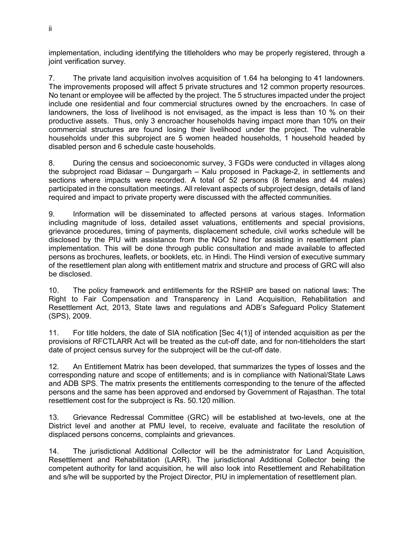implementation, including identifying the titleholders who may be properly registered, through a joint verification survey.

7. The private land acquisition involves acquisition of 1.64 ha belonging to 41 landowners. The improvements proposed will affect 5 private structures and 12 common property resources. No tenant or employee will be affected by the project. The 5 structures impacted under the project include one residential and four commercial structures owned by the encroachers. In case of landowners, the loss of livelihood is not envisaged, as the impact is less than 10 % on their productive assets. Thus, only 3 encroacher households having impact more than 10% on their commercial structures are found losing their livelihood under the project. The vulnerable households under this subproject are 5 women headed households, 1 household headed by disabled person and 6 schedule caste households.

8. During the census and socioeconomic survey, 3 FGDs were conducted in villages along the subproject road Bidasar – Dungargarh – Kalu proposed in Package-2, in settlements and sections where impacts were recorded. A total of 52 persons (8 females and 44 males) participated in the consultation meetings. All relevant aspects of subproject design, details of land required and impact to private property were discussed with the affected communities.

9. Information will be disseminated to affected persons at various stages. Information including magnitude of loss, detailed asset valuations, entitlements and special provisions, grievance procedures, timing of payments, displacement schedule, civil works schedule will be disclosed by the PIU with assistance from the NGO hired for assisting in resettlement plan implementation. This will be done through public consultation and made available to affected persons as brochures, leaflets, or booklets, etc. in Hindi. The Hindi version of executive summary of the resettlement plan along with entitlement matrix and structure and process of GRC will also be disclosed.

10. The policy framework and entitlements for the RSHIP are based on national laws: The Right to Fair Compensation and Transparency in Land Acquisition, Rehabilitation and Resettlement Act, 2013, State laws and regulations and ADB's Safeguard Policy Statement (SPS), 2009.

11. For title holders, the date of SIA notification [Sec 4(1)] of intended acquisition as per the provisions of RFCTLARR Act will be treated as the cut-off date, and for non-titleholders the start date of project census survey for the subproject will be the cut-off date.

12. An Entitlement Matrix has been developed, that summarizes the types of losses and the corresponding nature and scope of entitlements; and is in compliance with National/State Laws and ADB SPS. The matrix presents the entitlements corresponding to the tenure of the affected persons and the same has been approved and endorsed by Government of Rajasthan. The total resettlement cost for the subproject is Rs. 50.120 million.

13. Grievance Redressal Committee (GRC) will be established at two-levels, one at the District level and another at PMU level, to receive, evaluate and facilitate the resolution of displaced persons concerns, complaints and grievances.

14. The jurisdictional Additional Collector will be the administrator for Land Acquisition, Resettlement and Rehabilitation (LARR). The jurisdictional Additional Collector being the competent authority for land acquisition, he will also look into Resettlement and Rehabilitation and s/he will be supported by the Project Director, PIU in implementation of resettlement plan.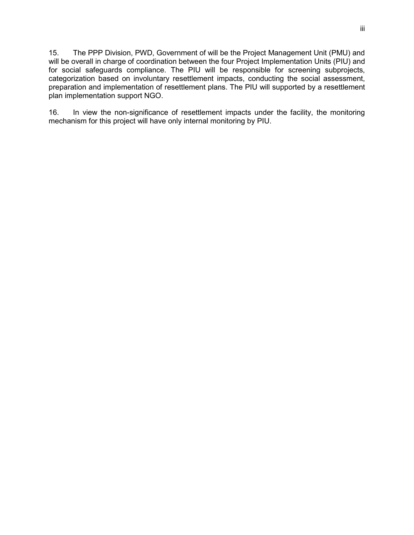15. The PPP Division, PWD, Government of will be the Project Management Unit (PMU) and will be overall in charge of coordination between the four Project Implementation Units (PIU) and for social safeguards compliance. The PIU will be responsible for screening subprojects, categorization based on involuntary resettlement impacts, conducting the social assessment, preparation and implementation of resettlement plans. The PIU will supported by a resettlement plan implementation support NGO.

16. In view the non-significance of resettlement impacts under the facility, the monitoring mechanism for this project will have only internal monitoring by PIU.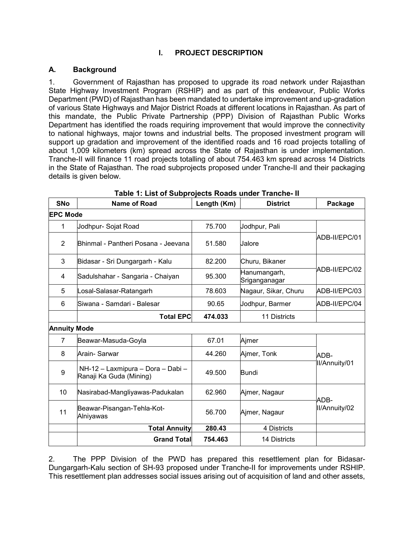# **I. PROJECT DESCRIPTION**

## **A. Background**

1. Government of Rajasthan has proposed to upgrade its road network under Rajasthan State Highway Investment Program (RSHIP) and as part of this endeavour, Public Works Department (PWD) of Rajasthan has been mandated to undertake improvement and up-gradation of various State Highways and Major District Roads at different locations in Rajasthan. As part of this mandate, the Public Private Partnership (PPP) Division of Rajasthan Public Works Department has identified the roads requiring improvement that would improve the connectivity to national highways, major towns and industrial belts. The proposed investment program will support up gradation and improvement of the identified roads and 16 road projects totalling of about 1,009 kilometers (km) spread across the State of Rajasthan is under implementation. Tranche-II will finance 11 road projects totalling of about 754.463 km spread across 14 Districts in the State of Rajasthan. The road subprojects proposed under Tranche-II and their packaging details is given below.

| <b>SNo</b>          | <b>Name of Road</b><br>Length (Km)<br><b>District</b>        |         | Package                       |               |  |
|---------------------|--------------------------------------------------------------|---------|-------------------------------|---------------|--|
| <b>EPC Mode</b>     |                                                              |         |                               |               |  |
| 1                   | Jodhpur- Sojat Road                                          | 75.700  | Jodhpur, Pali                 |               |  |
| $\overline{2}$      | Bhinmal - Pantheri Posana - Jeevana                          | 51.580  | Jalore                        | ADB-II/EPC/01 |  |
| 3                   | Bidasar - Sri Dungargarh - Kalu                              | 82.200  | Churu, Bikaner                |               |  |
| 4                   | Sadulshahar - Sangaria - Chaiyan                             | 95.300  | Hanumangarh,<br>Sriganganagar | ADB-II/EPC/02 |  |
| 5                   | Losal-Salasar-Ratangarh                                      | 78.603  | Nagaur, Sikar, Churu          | ADB-II/EPC/03 |  |
| 6                   | Siwana - Samdari - Balesar                                   | 90.65   | Jodhpur, Barmer               | ADB-II/EPC/04 |  |
|                     | <b>Total EPC</b>                                             | 474.033 | 11 Districts                  |               |  |
| <b>Annuity Mode</b> |                                                              |         |                               |               |  |
| $\overline{7}$      | Beawar-Masuda-Goyla                                          | 67.01   | Ajmer                         |               |  |
| 8                   | Arain- Sarwar                                                | 44.260  | Ajmer, Tonk                   | ADB-          |  |
| 9                   | NH-12 - Laxmipura - Dora - Dabi -<br>Ranaji Ka Guda (Mining) | 49.500  | <b>Bundi</b>                  | II/Annuity/01 |  |
| 10                  | Nasirabad-Mangliyawas-Padukalan                              | 62.960  | Ajmer, Nagaur                 | ADB-          |  |
| 11                  | Beawar-Pisangan-Tehla-Kot-<br>Alniyawas                      | 56.700  | Ajmer, Nagaur                 | II/Annuity/02 |  |
|                     | <b>Total Annuity</b>                                         | 280.43  | 4 Districts                   |               |  |
|                     | <b>Grand Total</b>                                           | 754.463 | <b>14 Districts</b>           |               |  |

|  |  |  | Table 1: List of Subprojects Roads under Tranche- II |  |
|--|--|--|------------------------------------------------------|--|
|  |  |  |                                                      |  |

2. The PPP Division of the PWD has prepared this resettlement plan for Bidasar-Dungargarh-Kalu section of SH-93 proposed under Tranche-II for improvements under RSHIP. This resettlement plan addresses social issues arising out of acquisition of land and other assets,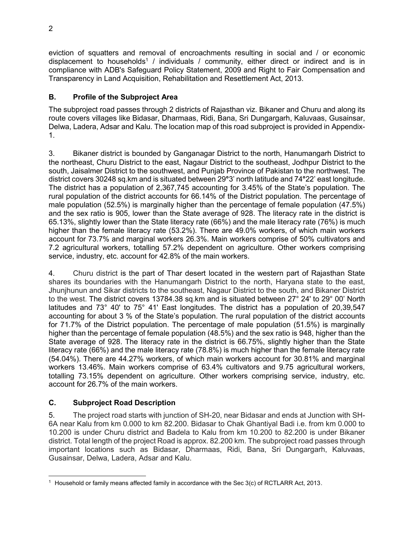eviction of squatters and removal of encroachments resulting in social and / or economic displacement to households<sup>1</sup> / individuals / community, either direct or indirect and is in compliance with ADB's Safeguard Policy Statement, 2009 and Right to Fair Compensation and Transparency in Land Acquisition, Rehabilitation and Resettlement Act, 2013.

# **B. Profile of the Subproject Area**

The subproject road passes through 2 districts of Rajasthan viz. Bikaner and Churu and along its route covers villages like Bidasar, Dharmaas, Ridi, Bana, Sri Dungargarh, Kaluvaas, Gusainsar, Delwa, Ladera, Adsar and Kalu. The location map of this road subproject is provided in Appendix-1.

3. Bikaner district is bounded by Ganganagar District to the north, Hanumangarh District to the northeast, Churu District to the east, Nagaur District to the southeast, Jodhpur District to the south, Jaisalmer District to the southwest, and Punjab Province of Pakistan to the northwest. The district covers 30248 sq.km and is situated between 29**°**3' north latitude and 74**°**22' east longitude. The district has a population of 2,367,745 accounting for 3.45% of the State's population. The rural population of the district accounts for 66.14% of the District population. The percentage of male population (52.5%) is marginally higher than the percentage of female population (47.5%) and the sex ratio is 905, lower than the State average of 928. The literacy rate in the district is 65.13%, slightly lower than the State literacy rate (66%) and the male literacy rate (76%) is much higher than the female literacy rate (53.2%). There are 49.0% workers, of which main workers account for 73.7% and marginal workers 26.3%. Main workers comprise of 50% cultivators and 7.2 agricultural workers, totalling 57.2% dependent on agriculture. Other workers comprising service, industry, etc. account for 42.8% of the main workers.

4. Churu district is the part of Thar desert located in the western part of Rajasthan State shares its boundaries with the Hanumangarh District to the north, Haryana state to the east, Jhunjhunun and [Sikar](https://en.wikipedia.org/wiki/Sikar_District) districts to the southeast, Nagaur District to the south, and Bikaner District to the west. The district covers 13784.38 sq.km and is situated between 27° 24' to 29° 00' North latitudes and 73° 40' to 75° 41' East longitudes. The district has a population of 20,39,547 accounting for about 3 % of the State's population. The rural population of the district accounts for 71.7% of the District population. The percentage of male population (51.5%) is marginally higher than the percentage of female population (48.5%) and the sex ratio is 948, higher than the State average of 928. The literacy rate in the district is 66.75%, slightly higher than the State literacy rate (66%) and the male literacy rate (78.8%) is much higher than the female literacy rate (54.04%). There are 44.27% workers, of which main workers account for 30.81% and marginal workers 13.46%. Main workers comprise of 63.4% cultivators and 9.75 agricultural workers, totalling 73.15% dependent on agriculture. Other workers comprising service, industry, etc. account for 26.7% of the main workers.

# **C. Subproject Road Description**

5. The project road starts with junction of SH-20, near Bidasar and ends at Junction with SH-6A near Kalu from km 0.000 to km 82.200. Bidasar to Chak Ghantiyal Badi i.e. from km 0.000 to 10.200 is under Churu district and Badela to Kalu from km 10.200 to 82.200 is under Bikaner district. Total length of the project Road is approx. 82.200 km. The subproject road passes through important locations such as Bidasar, Dharmaas, Ridi, Bana, Sri Dungargarh, Kaluvaas, Gusainsar, Delwa, Ladera, Adsar and Kalu.

 $\overline{a}$  $^1$  Household or family means affected family in accordance with the Sec 3(c) of RCTLARR Act, 2013.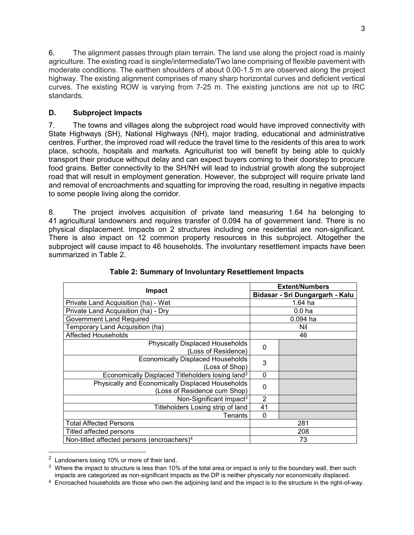6. The alignment passes through plain terrain. The land use along the project road is mainly agriculture. The existing road is single/intermediate/Two lane comprising of flexible pavement with moderate conditions. The earthen shoulders of about 0.00-1.5 m are observed along the project highway. The existing alignment comprises of many sharp horizontal curves and deficient vertical curves. The existing ROW is varying from 7-25 m. The existing junctions are not up to IRC standards.

# **D. Subproject Impacts**

7. The towns and villages along the subproject road would have improved connectivity with State Highways (SH), National Highways (NH), major trading, educational and administrative centres. Further, the improved road will reduce the travel time to the residents of this area to work place, schools, hospitals and markets. Agriculturist too will benefit by being able to quickly transport their produce without delay and can expect buyers coming to their doorstep to procure food grains. Better connectivity to the SH/NH will lead to industrial growth along the subproject road that will result in employment generation. However, the subproject will require private land and removal of encroachments and squatting for improving the road, resulting in negative impacts to some people living along the corridor.

8. The project involves acquisition of private land measuring 1.64 ha belonging to 41 agricultural landowners and requires transfer of 0.094 ha of government land. There is no physical displacement. Impacts on 2 structures including one residential are non-significant. There is also impact on 12 common property resources in this subproject. Altogether the subproject will cause impact to 46 households. The involuntary resettlement impacts have been summarized in Table 2.

| Impact                                                                           |                | <b>Extent/Numbers</b>           |  |  |
|----------------------------------------------------------------------------------|----------------|---------------------------------|--|--|
|                                                                                  |                | Bidasar - Sri Dungargarh - Kalu |  |  |
| Private Land Acquisition (ha) - Wet                                              |                | $1.64$ ha                       |  |  |
| Private Land Acquisition (ha) - Dry                                              |                | 0.0 <sub>ha</sub>               |  |  |
| <b>Government Land Required</b>                                                  |                | $0.094$ ha                      |  |  |
| Temporary Land Acquisition (ha)                                                  |                | Nil                             |  |  |
| <b>Affected Households</b>                                                       |                | 46                              |  |  |
| <b>Physically Displaced Households</b><br>(Loss of Residence)                    | 0              |                                 |  |  |
| <b>Economically Displaced Households</b><br>(Loss of Shop)                       | 3              |                                 |  |  |
| Economically Displaced Titleholders losing land <sup>2</sup>                     | $\Omega$       |                                 |  |  |
| Physically and Economically Displaced Households<br>(Loss of Residence cum Shop) | 0              |                                 |  |  |
| Non-Significant Impact <sup>3</sup>                                              | $\overline{2}$ |                                 |  |  |
| Titleholders Losing strip of land                                                | 41             |                                 |  |  |
| Tenants                                                                          | 0              |                                 |  |  |
| <b>Total Affected Persons</b>                                                    | 281            |                                 |  |  |
| Titled affected persons                                                          | 208            |                                 |  |  |
| Non-titled affected persons (encroachers) <sup>4</sup>                           | 73             |                                 |  |  |

|  | Table 2: Summary of Involuntary Resettlement Impacts |
|--|------------------------------------------------------|
|  |                                                      |

 $\overline{a}$ 

<sup>2</sup> Landowners losing 10% or more of their land.

 $3\,$  Where the impact to structure is less than 10% of the total area or impact is only to the boundary wall, then such impacts are categorized as non-significant impacts as the DP is neither physically nor economically displaced.

<sup>&</sup>lt;sup>4</sup> Encroached households are those who own the adjoining land and the impact is to the structure in the right-of-way.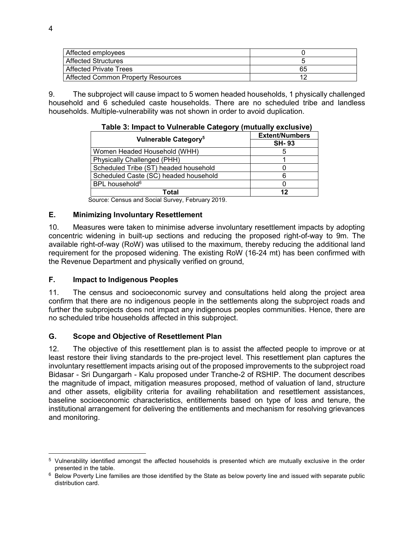| Affected employees                 |    |
|------------------------------------|----|
| <b>Affected Structures</b>         |    |
| <b>Affected Private Trees</b>      | 65 |
| Affected Common Property Resources |    |

9. The subproject will cause impact to 5 women headed households, 1 physically challenged household and 6 scheduled caste households. There are no scheduled tribe and landless households. Multiple-vulnerability was not shown in order to avoid duplication.

| $1000$ $\sigma$ . Impact to valify table bategory (indicidity cactuolity) |                       |  |
|---------------------------------------------------------------------------|-----------------------|--|
| Vulnerable Category <sup>5</sup>                                          | <b>Extent/Numbers</b> |  |
|                                                                           | <b>SH-93</b>          |  |
| Women Headed Household (WHH)                                              | 5                     |  |
| Physically Challenged (PHH)                                               |                       |  |
| Scheduled Tribe (ST) headed household                                     |                       |  |
| Scheduled Caste (SC) headed household                                     | ิค                    |  |
| BPL household <sup>6</sup>                                                |                       |  |
| Total                                                                     | 12                    |  |

**Table 3: Impact to Vulnerable Category (mutually exclusive)** 

Source: Census and Social Survey, February 2019.

#### **E. Minimizing Involuntary Resettlement**

10. Measures were taken to minimise adverse involuntary resettlement impacts by adopting concentric widening in built-up sections and reducing the proposed right-of-way to 9m. The available right-of-way (RoW) was utilised to the maximum, thereby reducing the additional land requirement for the proposed widening. The existing RoW (16-24 mt) has been confirmed with the Revenue Department and physically verified on ground,

#### **F. Impact to Indigenous Peoples**

11. The census and socioeconomic survey and consultations held along the project area confirm that there are no indigenous people in the settlements along the subproject roads and further the subprojects does not impact any indigenous peoples communities. Hence, there are no scheduled tribe households affected in this subproject.

#### **G. Scope and Objective of Resettlement Plan**

12. The objective of this resettlement plan is to assist the affected people to improve or at least restore their living standards to the pre-project level. This resettlement plan captures the involuntary resettlement impacts arising out of the proposed improvements to the subproject road Bidasar - Sri Dungargarh - Kalu proposed under Tranche-2 of RSHIP. The document describes the magnitude of impact, mitigation measures proposed, method of valuation of land, structure and other assets, eligibility criteria for availing rehabilitation and resettlement assistances, baseline socioeconomic characteristics, entitlements based on type of loss and tenure, the institutional arrangement for delivering the entitlements and mechanism for resolving grievances and monitoring.

<sup>5</sup> Vulnerability identified amongst the affected households is presented which are mutually exclusive in the order presented in the table.

 $6$  Below Poverty Line families are those identified by the State as below poverty line and issued with separate public distribution card.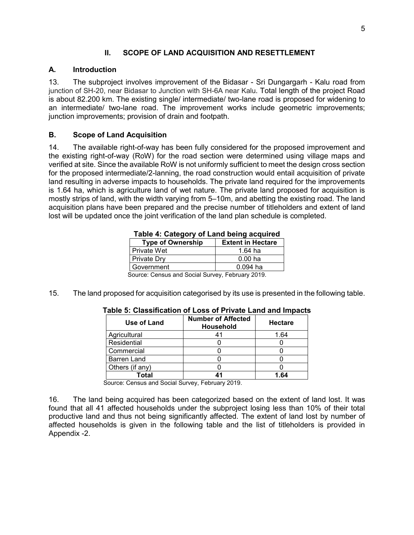#### **II. SCOPE OF LAND ACQUISITION AND RESETTLEMENT**

#### **A. Introduction**

13. The subproject involves improvement of the Bidasar - Sri Dungargarh - Kalu road from junction of SH-20, near Bidasar to Junction with SH-6A near Kalu. Total length of the project Road is about 82.200 km. The existing single/ intermediate/ two-lane road is proposed for widening to an intermediate/ two-lane road. The improvement works include geometric improvements; junction improvements; provision of drain and footpath.

#### **B. Scope of Land Acquisition**

14. The available right-of-way has been fully considered for the proposed improvement and the existing right-of-way (RoW) for the road section were determined using village maps and verified at site. Since the available RoW is not uniformly sufficient to meet the design cross section for the proposed intermediate/2-lanning, the road construction would entail acquisition of private land resulting in adverse impacts to households. The private land required for the improvements is 1.64 ha, which is agriculture land of wet nature. The private land proposed for acquisition is mostly strips of land, with the width varying from 5–10m, and abetting the existing road. The land acquisition plans have been prepared and the precise number of titleholders and extent of land lost will be updated once the joint verification of the land plan schedule is completed.

| <b>Type of Ownership</b>                         | <b>Extent in Hectare</b> |  |  |
|--------------------------------------------------|--------------------------|--|--|
| <b>Private Wet</b>                               | 1.64 ha                  |  |  |
| Private Dry<br>0.00 <sub>ha</sub>                |                          |  |  |
| I Government<br>$0.094$ ha                       |                          |  |  |
| Source: Census and Social Survey, February 2019. |                          |  |  |

#### **Table 4: Category of Land being acquired**

15. The land proposed for acquisition categorised by its use is presented in the following table.

| Use of Land        | <b>Number of Affected</b><br><b>Household</b> | <b>Hectare</b> |
|--------------------|-----------------------------------------------|----------------|
| Agricultural       | 41                                            | 1.64           |
| Residential        |                                               |                |
| Commercial         |                                               |                |
| <b>Barren Land</b> |                                               |                |
| Others (if any)    |                                               |                |
| <b>Total</b>       | 44                                            | 1.64           |

#### **Table 5: Classification of Loss of Private Land and Impacts**

Source: Census and Social Survey, February 2019.

16. The land being acquired has been categorized based on the extent of land lost. It was found that all 41 affected households under the subproject losing less than 10% of their total productive land and thus not being significantly affected. The extent of land lost by number of affected households is given in the following table and the list of titleholders is provided in Appendix -2.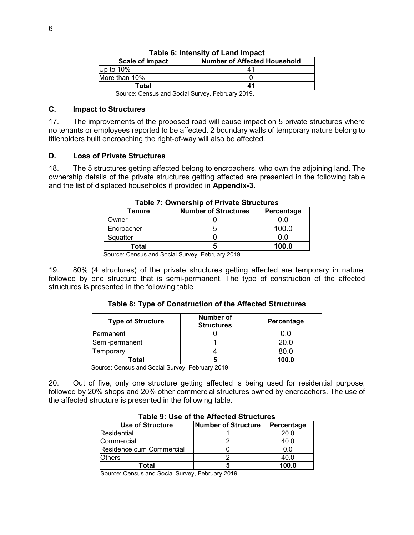| <b>Scale of Impact</b><br><b>Number of Affected Household</b> |    |  |  |
|---------------------------------------------------------------|----|--|--|
| Up to $10\%$                                                  |    |  |  |
| More than 10%                                                 |    |  |  |
| Total                                                         | 41 |  |  |
|                                                               |    |  |  |

|  |  | Table 6: Intensity of Land Impact |  |  |  |
|--|--|-----------------------------------|--|--|--|
|--|--|-----------------------------------|--|--|--|

Source: Census and Social Survey, February 2019.

#### **C. Impact to Structures**

17. The improvements of the proposed road will cause impact on 5 private structures where no tenants or employees reported to be affected. 2 boundary walls of temporary nature belong to titleholders built encroaching the right-of-way will also be affected.

#### **D. Loss of Private Structures**

18. The 5 structures getting affected belong to encroachers, who own the adjoining land. The ownership details of the private structures getting affected are presented in the following table and the list of displaced households if provided in **Appendix-3.**

| Tenure     | <b>Number of Structures</b> | Percentage |
|------------|-----------------------------|------------|
| Owner      |                             |            |
| Encroacher |                             | nn r       |
| Squatter   |                             | 0.0        |
| Total      |                             | 100.0      |

|  | Table 7: Ownership of Private Structures |
|--|------------------------------------------|
|--|------------------------------------------|

Source: Census and Social Survey, February 2019.

19. 80% (4 structures) of the private structures getting affected are temporary in nature, followed by one structure that is semi-permanent. The type of construction of the affected structures is presented in the following table

#### **Table 8: Type of Construction of the Affected Structures**

| <b>Type of Structure</b> | <b>Number of</b><br><b>Structures</b> | Percentage |
|--------------------------|---------------------------------------|------------|
| Permanent                |                                       | 0.0        |
| Semi-permanent           |                                       | 20.0       |
| Temporary                |                                       | 80.0       |
| Total                    |                                       | 100.0      |

Source: Census and Social Survey, February 2019.

20. Out of five, only one structure getting affected is being used for residential purpose, followed by 20% shops and 20% other commercial structures owned by encroachers. The use of the affected structure is presented in the following table.

| יט איט איט א די האט איז די ספט זי                                   |  |       |  |  |
|---------------------------------------------------------------------|--|-------|--|--|
| <b>Use of Structure</b><br><b>Number of Structure</b><br>Percentage |  |       |  |  |
| Residential                                                         |  | 20.0  |  |  |
| Commercial                                                          |  | 40.0  |  |  |
| Residence cum Commercial                                            |  | 0.0   |  |  |
| <b>Others</b>                                                       |  | 40.0  |  |  |
| Total                                                               |  | 100.0 |  |  |

Source: Census and Social Survey, February 2019.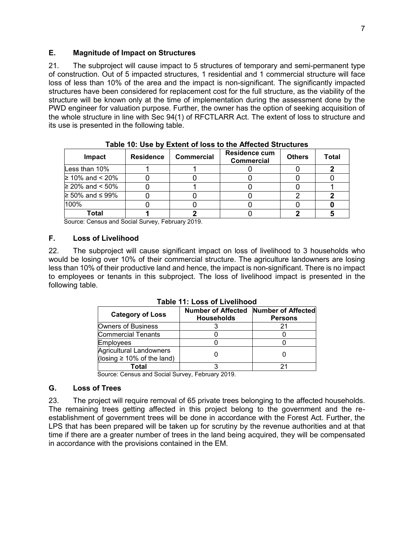#### **E. Magnitude of Impact on Structures**

21. The subproject will cause impact to 5 structures of temporary and semi-permanent type of construction. Out of 5 impacted structures, 1 residential and 1 commercial structure will face loss of less than 10% of the area and the impact is non-significant. The significantly impacted structures have been considered for replacement cost for the full structure, as the viability of the structure will be known only at the time of implementation during the assessment done by the PWD engineer for valuation purpose. Further, the owner has the option of seeking acquisition of the whole structure in line with Sec 94(1) of RFCTLARR Act. The extent of loss to structure and its use is presented in the following table.

| Impact                      | <b>Residence</b> | <b>Commercial</b> | <b>Residence cum</b><br>Commercial | <b>Others</b> | Total |
|-----------------------------|------------------|-------------------|------------------------------------|---------------|-------|
| Less than 10%               |                  |                   |                                    |               |       |
| ≥ 10% and < 20%             |                  |                   |                                    |               |       |
| ≥ 20% and < 50%             |                  |                   |                                    |               |       |
| $\geq 50\%$ and $\leq 99\%$ |                  |                   |                                    |               |       |
| 100%                        |                  |                   |                                    |               |       |
| Total                       |                  |                   |                                    |               |       |

**Table 10: Use by Extent of loss to the Affected Structures** 

Source: Census and Social Survey, February 2019.

#### **F. Loss of Livelihood**

22. The subproject will cause significant impact on loss of livelihood to 3 households who would be losing over 10% of their commercial structure. The agriculture landowners are losing less than 10% of their productive land and hence, the impact is non-significant. There is no impact to employees or tenants in this subproject. The loss of livelihood impact is presented in the following table.

|                                                                    | TADIE TT. LOSS OF LIVEIINOOG                               |                |  |  |  |
|--------------------------------------------------------------------|------------------------------------------------------------|----------------|--|--|--|
| <b>Category of Loss</b>                                            | Number of Affected Number of Affected<br><b>Households</b> | <b>Persons</b> |  |  |  |
| Owners of Business                                                 |                                                            |                |  |  |  |
| Commercial Tenants                                                 |                                                            |                |  |  |  |
| <b>Employees</b>                                                   |                                                            |                |  |  |  |
| <b>Agricultural Landowners</b><br>(losing $\geq 10\%$ of the land) |                                                            |                |  |  |  |
| Total                                                              |                                                            |                |  |  |  |

**Table 11: Loss of Livelihood** 

Source: Census and Social Survey, February 2019.

#### **G. Loss of Trees**

23. The project will require removal of 65 private trees belonging to the affected households. The remaining trees getting affected in this project belong to the government and the reestablishment of government trees will be done in accordance with the Forest Act. Further, the LPS that has been prepared will be taken up for scrutiny by the revenue authorities and at that time if there are a greater number of trees in the land being acquired, they will be compensated in accordance with the provisions contained in the EM.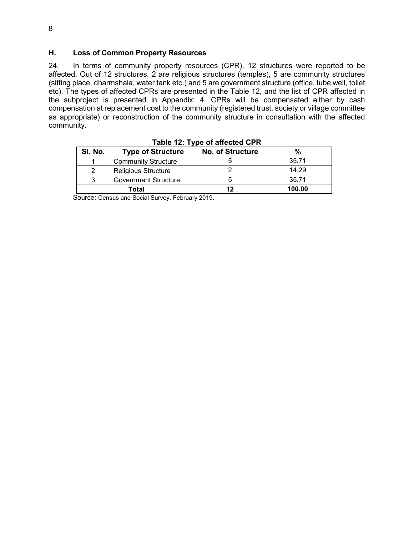#### **H. Loss of Common Property Resources**

24. In terms of community property resources (CPR), 12 structures were reported to be affected. Out of 12 structures, 2 are religious structures (temples), 5 are community structures (sitting place, dharmshala, water tank etc.) and 5 are government structure (office, tube well, toilet etc). The types of affected CPRs are presented in the Table 12, and the list of CPR affected in the subproject is presented in Appendix: 4. CPRs will be compensated either by cash compensation at replacement cost to the community (registered trust, society or village committee as appropriate) or reconstruction of the community structure in consultation with the affected community.

| SI. No. | <b>Type of Structure</b>    | <b>No. of Structure</b> |        |
|---------|-----------------------------|-------------------------|--------|
|         | <b>Community Structure</b>  |                         | 35.71  |
|         | <b>Religious Structure</b>  |                         | 14.29  |
| ົ       | <b>Government Structure</b> |                         | 35.71  |
| Total   |                             | 12                      | 100.00 |

**Table 12: Type of affected CPR** 

Source: Census and Social Survey, February 2019.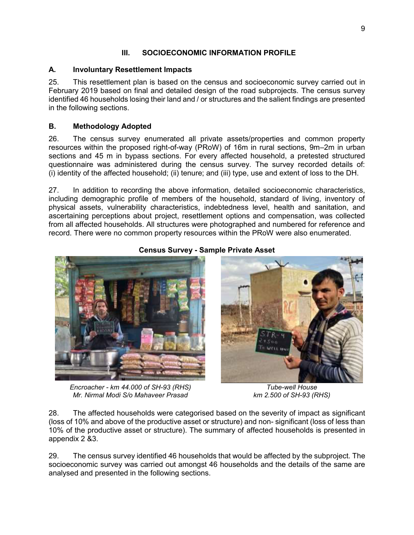## **III. SOCIOECONOMIC INFORMATION PROFILE**

# **A. Involuntary Resettlement Impacts**

25. This resettlement plan is based on the census and socioeconomic survey carried out in February 2019 based on final and detailed design of the road subprojects. The census survey identified 46 households losing their land and / or structures and the salient findings are presented in the following sections.

## **B. Methodology Adopted**

26. The census survey enumerated all private assets/properties and common property resources within the proposed right-of-way (PRoW) of 16m in rural sections, 9m–2m in urban sections and 45 m in bypass sections. For every affected household, a pretested structured questionnaire was administered during the census survey. The survey recorded details of: (i) identity of the affected household; (ii) tenure; and (iii) type, use and extent of loss to the DH.

27. In addition to recording the above information, detailed socioeconomic characteristics, including demographic profile of members of the household, standard of living, inventory of physical assets, vulnerability characteristics, indebtedness level, health and sanitation, and ascertaining perceptions about project, resettlement options and compensation, was collected from all affected households. All structures were photographed and numbered for reference and record. There were no common property resources within the PRoW were also enumerated.



*Encroacher - km 44.000 of SH-93 (RHS) Mr. Nirmal Modi S/o Mahaveer Prasad* 

# **Census Survey - Sample Private Asset**



*Tube-well House km 2.500 of SH-93 (RHS)* 

28. The affected households were categorised based on the severity of impact as significant (loss of 10% and above of the productive asset or structure) and non- significant (loss of less than 10% of the productive asset or structure). The summary of affected households is presented in appendix 2 &3.

29. The census survey identified 46 households that would be affected by the subproject. The socioeconomic survey was carried out amongst 46 households and the details of the same are analysed and presented in the following sections.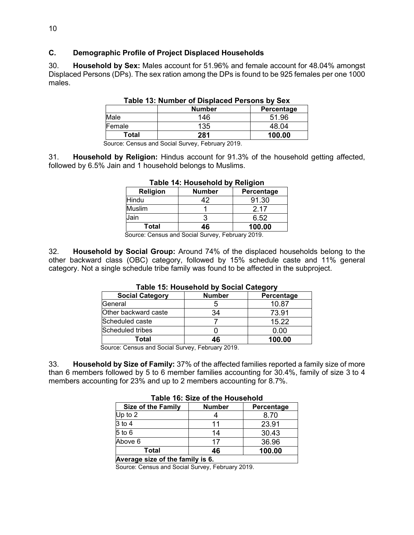#### **C. Demographic Profile of Project Displaced Households**

30. **Household by Sex:** Males account for 51.96% and female account for 48.04% amongst Displaced Persons (DPs). The sex ration among the DPs is found to be 925 females per one 1000 males.

|        | <b>Number</b> | Percentage |
|--------|---------------|------------|
| Male   | 146           | 51.96      |
| Female | 135           | 48.04      |
| Total  | 281           | 100.00     |

**Table 13: Number of Displaced Persons by Sex** 

Source: Census and Social Survey, February 2019.

31. **Household by Religion:** Hindus account for 91.3% of the household getting affected, followed by 6.5% Jain and 1 household belongs to Muslims.

|                               | 1400                                                 |            |
|-------------------------------|------------------------------------------------------|------------|
| Religion                      | <b>Number</b>                                        | Percentage |
| Hindu                         | 42                                                   | 91.30      |
| Muslim                        |                                                      | 2 17       |
| Jain                          |                                                      | 6.52       |
| Total                         | 46                                                   | 100.00     |
| $\overline{\phantom{a}}$<br>- | $\overline{\phantom{a}}$<br>$\overline{\phantom{a}}$ | ----       |

#### **Table 14: Household by Religion**

Source: Census and Social Survey, February 2019.

32. **Household by Social Group:** Around 74% of the displaced households belong to the other backward class (OBC) category, followed by 15% schedule caste and 11% general category. Not a single schedule tribe family was found to be affected in the subproject.

| rapie To. Housenoid by Oocial Oalegory |               |            |  |
|----------------------------------------|---------------|------------|--|
| <b>Social Category</b>                 | <b>Number</b> | Percentage |  |
| General                                |               | 10.87      |  |
| Other backward caste                   | 34            | 73.91      |  |
| Scheduled caste                        |               | 15.22      |  |
| Scheduled tribes                       |               | 0.00       |  |
| Total                                  | 46            | 100.00     |  |

# **Table 15: Household by Social Category**

Source: Census and Social Survey, February 2019.

33. **Household by Size of Family:** 37% of the affected families reported a family size of more than 6 members followed by 5 to 6 member families accounting for 30.4%, family of size 3 to 4 members accounting for 23% and up to 2 members accounting for 8.7%.

|                                  | Taple 16: Size of the Housenold |            |  |  |  |
|----------------------------------|---------------------------------|------------|--|--|--|
| <b>Size of the Family</b>        | <b>Number</b>                   | Percentage |  |  |  |
| Up to $2$                        |                                 | 8.70       |  |  |  |
| 3 to 4                           | 11                              | 23.91      |  |  |  |
| $5$ to $6$                       | 14                              | 30.43      |  |  |  |
| Above 6                          | 17                              | 36.96      |  |  |  |
| Total<br>100.00<br>46            |                                 |            |  |  |  |
| Average size of the family is 6. |                                 |            |  |  |  |

# **Table 16: Size of the Household**

Source: Census and Social Survey, February 2019.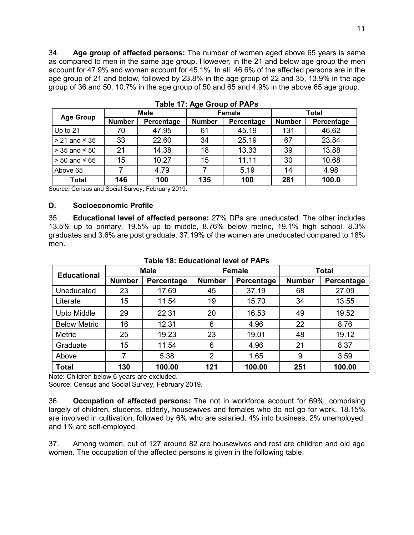34. **Age group of affected persons:** The number of women aged above 65 years is same as compared to men in the same age group. However, in the 21 and below age group the men account for 47.9% and women account for 45.1%. In all, 46.6% of the affected persons are in the age group of 21 and below, followed by 23.8% in the age group of 22 and 35, 13.9% in the age group of 36 and 50, 10.7% in the age group of 50 and 65 and 4.9% in the above 65 age group.

|                      |               | Male       |               | Female     |               | Total      |  |
|----------------------|---------------|------------|---------------|------------|---------------|------------|--|
| <b>Age Group</b>     | <b>Number</b> | Percentage | <b>Number</b> | Percentage | <b>Number</b> | Percentage |  |
| Up to 21             | 70            | 47.95      | 61            | 45.19      | 131           | 46.62      |  |
| $> 21$ and $\leq 35$ | 33            | 22.60      | 34            | 25.19      | 67            | 23.84      |  |
| $>$ 35 and $\leq$ 50 | 21            | 14.38      | 18            | 13.33      | 39            | 13.88      |  |
| $> 50$ and $\leq 65$ | 15            | 10.27      | 15            | 11.11      | 30            | 10.68      |  |
| Above 65             |               | 4.79       |               | 5.19       | 14            | 4.98       |  |
| Total                | 146           | 100        | 135           | 100        | 281           | 100.0      |  |

**Table 17: Age Group of PAPs** 

Source: Census and Social Survey, February 2019.

#### **D. Socioeconomic Profile**

35. **Educational level of affected persons:** 27% DPs are uneducated. The other includes 13.5% up to primary, 19.5% up to middle, 8.76% below metric, 19.1% high school, 8.3% graduates and 3.6% are post graduate. 37.19% of the women are uneducated compared to 18% men.

| <b>Educational</b>  |               | <b>Male</b> | <b>Female</b>  |            | <b>Total</b>  |            |
|---------------------|---------------|-------------|----------------|------------|---------------|------------|
|                     | <b>Number</b> | Percentage  | <b>Number</b>  | Percentage | <b>Number</b> | Percentage |
| Uneducated          | 23            | 17.69       | 45             | 37.19      | 68            | 27.09      |
| Literate            | 15            | 11.54       | 19             | 15.70      | 34            | 13.55      |
| <b>Upto Middle</b>  | 29            | 22.31       | 20             | 16.53      | 49            | 19.52      |
| <b>Below Metric</b> | 16            | 12.31       | 6              | 4.96       | 22            | 8.76       |
| <b>Metric</b>       | 25            | 19.23       | 23             | 19.01      | 48            | 19.12      |
| Graduate            | 15            | 11.54       | 6              | 4.96       | 21            | 8.37       |
| Above               |               | 5.38        | $\overline{2}$ | 1.65       | 9             | 3.59       |
| <b>Total</b>        | 130           | 100.00      | 121            | 100.00     | 251           | 100.00     |

#### **Table 18: Educational level of PAPs**

Note: Children below 6 years are excluded.

Source: Census and Social Survey, February 2019.

36. **Occupation of affected persons:** The not in workforce account for 69%, comprising largely of children, students, elderly, housewives and females who do not go for work. 18.15% are involved in cultivation, followed by 6% who are salaried, 4% into business, 2% unemployed, and 1% are self-employed.

37. Among women, out of 127 around 82 are housewives and rest are children and old age women. The occupation of the affected persons is given in the following table.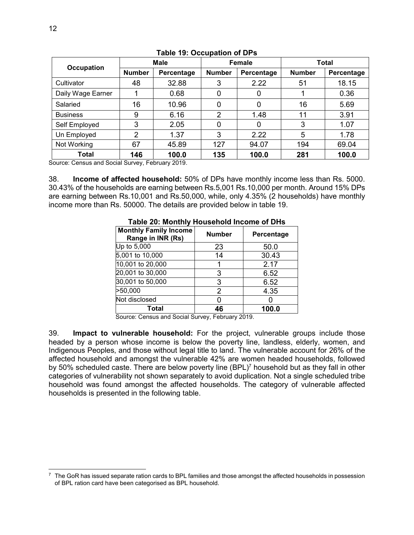| <b>Occupation</b> | <b>Male</b>    |            | Female         |            | Total         |            |
|-------------------|----------------|------------|----------------|------------|---------------|------------|
|                   | <b>Number</b>  | Percentage | <b>Number</b>  | Percentage | <b>Number</b> | Percentage |
| Cultivator        | 48             | 32.88      | 3              | 2.22       | 51            | 18.15      |
| Daily Wage Earner |                | 0.68       | 0              |            |               | 0.36       |
| Salaried          | 16             | 10.96      | 0              |            | 16            | 5.69       |
| <b>Business</b>   | 9              | 6.16       | $\overline{2}$ | 1.48       | 11            | 3.91       |
| Self Employed     | 3              | 2.05       | 0              | 0          | 3             | 1.07       |
| Un Employed       | $\overline{2}$ | 1.37       | 3              | 2.22       | 5             | 1.78       |
| Not Working       | 67             | 45.89      | 127            | 94.07      | 194           | 69.04      |
| Total             | 146            | 100.0      | 135            | 100.0      | 281           | 100.0      |

#### **Table 19: Occupation of DPs**

Source: Census and Social Survey, February 2019.

38. **Income of affected household:** 50% of DPs have monthly income less than Rs. 5000. 30.43% of the households are earning between Rs.5,001 Rs.10,000 per month. Around 15% DPs are earning between Rs.10,001 and Rs.50,000, while, only 4.35% (2 households) have monthly income more than Rs. 50000. The details are provided below in table 19.

| <u>HADIG EV. MIONINII I IUUSCHOIU MICONIG OF DHIS</u> |               |            |  |  |
|-------------------------------------------------------|---------------|------------|--|--|
| <b>Monthly Family Income</b><br>Range in INR (Rs)     | <b>Number</b> | Percentage |  |  |
| Up to 5,000                                           | 23            | 50.0       |  |  |
| 5,001 to 10,000                                       | 14            | 30.43      |  |  |
| 10,001 to 20,000                                      |               | 2.17       |  |  |
| 20,001 to 30,000                                      | 3             | 6.52       |  |  |
| 30,001 to 50,000                                      | 3             | 6.52       |  |  |
| >50,000                                               | 2             | 4.35       |  |  |
| Not disclosed                                         |               |            |  |  |
| Total                                                 | 46            | 100.0      |  |  |

#### **Table 20: Monthly Household Income of DHs**

Source: Census and Social Survey, February 2019.

39. **Impact to vulnerable household:** For the project, vulnerable groups include those headed by a person whose income is below the poverty line, landless, elderly, women, and Indigenous Peoples, and those without legal title to land. The vulnerable account for 26% of the affected household and amongst the vulnerable 42% are women headed households, followed by 50% scheduled caste. There are below poverty line (BPL)<sup>7</sup> household but as they fall in other categories of vulnerability not shown separately to avoid duplication. Not a single scheduled tribe household was found amongst the affected households. The category of vulnerable affected households is presented in the following table.

 $\overline{a}$  $^7\,$  The GoR has issued separate ration cards to BPL families and those amongst the affected households in possession of BPL ration card have been categorised as BPL household.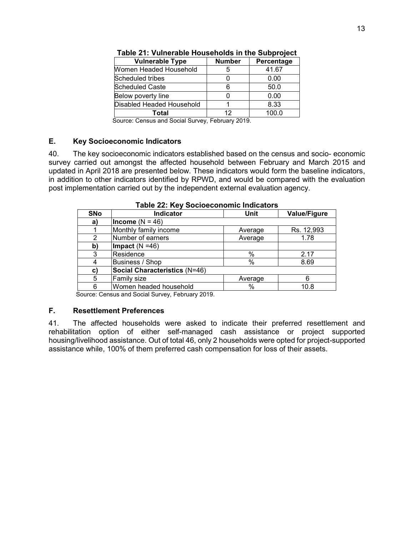| <b>Vulnerable Type</b>    | <b>Number</b> | Percentage |
|---------------------------|---------------|------------|
| Women Headed Household    | 5             | 41.67      |
| Scheduled tribes          |               | 0.00       |
| <b>Scheduled Caste</b>    | 6             | 50.0       |
| Below poverty line        |               | 0.00       |
| Disabled Headed Household |               | 8.33       |
| Total                     | 12            | 100.0      |

**Table 21: Vulnerable Households in the Subproject** 

Source: Census and Social Survey, February 2019.

#### **E. Key Socioeconomic Indicators**

40. The key socioeconomic indicators established based on the census and socio- economic survey carried out amongst the affected household between February and March 2015 and updated in April 2018 are presented below. These indicators would form the baseline indicators, in addition to other indicators identified by RPWD, and would be compared with the evaluation post implementation carried out by the independent external evaluation agency.

| <b>SNo</b>   | Indicator                     | <b>Unit</b> | <b>Value/Figure</b> |  |  |  |
|--------------|-------------------------------|-------------|---------------------|--|--|--|
| a)           | Income ( $N = 46$ )           |             |                     |  |  |  |
|              | Monthly family income         | Average     | Rs. 12,993          |  |  |  |
| 2            | Number of earners             | Average     | 1.78                |  |  |  |
| b)           | Impact $(N = 46)$             |             |                     |  |  |  |
| 3            | Residence                     | %           | 2.17                |  |  |  |
| 4            | Business / Shop               | %           | 8.69                |  |  |  |
| $\mathbf{C}$ | Social Characteristics (N=46) |             |                     |  |  |  |
| 5            | Family size                   | Average     |                     |  |  |  |
| 6            | Women headed household        | %           | 10.8                |  |  |  |
|              |                               |             |                     |  |  |  |

**Table 22: Key Socioeconomic Indicators** 

Source: Census and Social Survey, February 2019.

#### **F. Resettlement Preferences**

41. The affected households were asked to indicate their preferred resettlement and rehabilitation option of either self-managed cash assistance or project supported housing/livelihood assistance. Out of total 46, only 2 households were opted for project-supported assistance while, 100% of them preferred cash compensation for loss of their assets.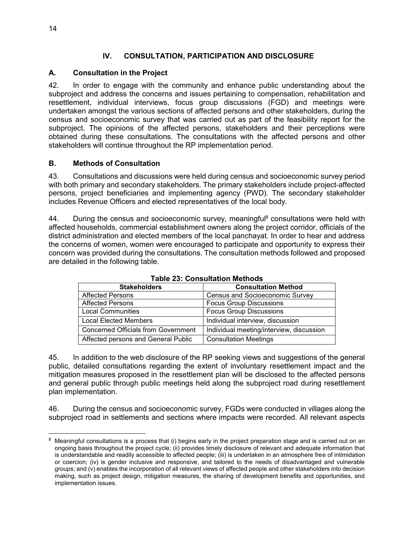# **IV. CONSULTATION, PARTICIPATION AND DISCLOSURE**

## **A. Consultation in the Project**

42. In order to engage with the community and enhance public understanding about the subproject and address the concerns and issues pertaining to compensation, rehabilitation and resettlement, individual interviews, focus group discussions (FGD) and meetings were undertaken amongst the various sections of affected persons and other stakeholders, during the census and socioeconomic survey that was carried out as part of the feasibility report for the subproject. The opinions of the affected persons, stakeholders and their perceptions were obtained during these consultations. The consultations with the affected persons and other stakeholders will continue throughout the RP implementation period.

#### **B. Methods of Consultation**

43. Consultations and discussions were held during census and socioeconomic survey period with both primary and secondary stakeholders. The primary stakeholders include project-affected persons, project beneficiaries and implementing agency (PWD). The secondary stakeholder includes Revenue Officers and elected representatives of the local body.

44. During the census and socioeconomic survey, meaningful<sup>8</sup> consultations were held with affected households, commercial establishment owners along the project corridor, officials of the district administration and elected members of the local panchayat. In order to hear and address the concerns of women, women were encouraged to participate and opportunity to express their concern was provided during the consultations. The consultation methods followed and proposed are detailed in the following table.

| <b>Stakeholders</b>                        | <b>Consultation Method</b>               |
|--------------------------------------------|------------------------------------------|
| <b>Affected Persons</b>                    | <b>Census and Socioeconomic Survey</b>   |
| <b>Affected Persons</b>                    | <b>Focus Group Discussions</b>           |
| <b>Local Communities</b>                   | <b>Focus Group Discussions</b>           |
| <b>Local Elected Members</b>               | Individual interview, discussion         |
| <b>Concerned Officials from Government</b> | Individual meeting/interview, discussion |
| Affected persons and General Public        | <b>Consultation Meetings</b>             |

**Table 23: Consultation Methods** 

45. In addition to the web disclosure of the RP seeking views and suggestions of the general public, detailed consultations regarding the extent of involuntary resettlement impact and the mitigation measures proposed in the resettlement plan will be disclosed to the affected persons and general public through public meetings held along the subproject road during resettlement plan implementation.

46. During the census and socioeconomic survey, FGDs were conducted in villages along the subproject road in settlements and sections where impacts were recorded. All relevant aspects

 $8$  Meaningful consultations is a process that (i) begins early in the project preparation stage and is carried out on an ongoing basis throughout the project cycle; (ii) provides timely disclosure of relevant and adequate information that is understandable and readily accessible to affected people; (iii) is undertaken in an atmosphere free of intimidation or coercion; (iv) is gender inclusive and responsive, and tailored to the needs of disadvantaged and vulnerable groups; and (v) enables the incorporation of all relevant views of affected people and other stakeholders into decision making, such as project design, mitigation measures, the sharing of development benefits and opportunities, and implementation issues.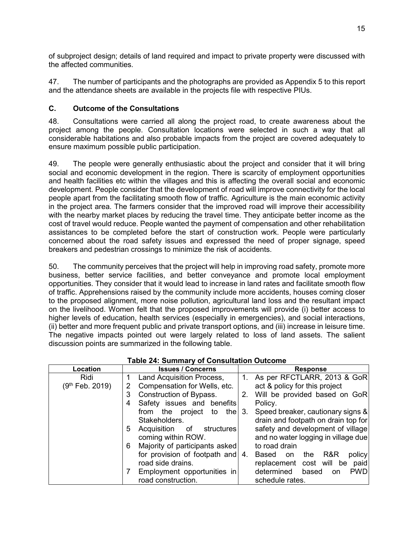of subproject design; details of land required and impact to private property were discussed with the affected communities.

47. The number of participants and the photographs are provided as Appendix 5 to this report and the attendance sheets are available in the projects file with respective PIUs.

## **C. Outcome of the Consultations**

48. Consultations were carried all along the project road, to create awareness about the project among the people. Consultation locations were selected in such a way that all considerable habitations and also probable impacts from the project are covered adequately to ensure maximum possible public participation.

49. The people were generally enthusiastic about the project and consider that it will bring social and economic development in the region. There is scarcity of employment opportunities and health facilities etc within the villages and this is affecting the overall social and economic development. People consider that the development of road will improve connectivity for the local people apart from the facilitating smooth flow of traffic. Agriculture is the main economic activity in the project area. The farmers consider that the improved road will improve their accessibility with the nearby market places by reducing the travel time. They anticipate better income as the cost of travel would reduce. People wanted the payment of compensation and other rehabilitation assistances to be completed before the start of construction work. People were particularly concerned about the road safety issues and expressed the need of proper signage, speed breakers and pedestrian crossings to minimize the risk of accidents.

50. The community perceives that the project will help in improving road safety, promote more business, better service facilities, and better conveyance and promote local employment opportunities. They consider that it would lead to increase in land rates and facilitate smooth flow of traffic. Apprehensions raised by the community include more accidents, houses coming closer to the proposed alignment, more noise pollution, agricultural land loss and the resultant impact on the livelihood. Women felt that the proposed improvements will provide (i) better access to higher levels of education, health services (especially in emergencies), and social interactions, (ii) better and more frequent public and private transport options, and (iii) increase in leisure time. The negative impacts pointed out were largely related to loss of land assets. The salient discussion points are summarized in the following table.

| Location                    | <b>Issues / Concerns</b>                       | <b>Response</b>                                |
|-----------------------------|------------------------------------------------|------------------------------------------------|
| Ridi                        | Land Acquisition Process,                      | 1. As per RFCTLARR, 2013 & GoR                 |
| (9 <sup>th</sup> Feb. 2019) | Compensation for Wells, etc.<br>$\overline{2}$ | act & policy for this project                  |
|                             | Construction of Bypass.<br>3                   | Will be provided based on GoR<br>2.            |
|                             | Safety issues and benefits<br>4                | Policy.                                        |
|                             | from the project<br>thel<br>to                 | Speed breaker, cautionary signs &<br>3.        |
|                             | Stakeholders.                                  | drain and footpath on drain top for            |
|                             | Acquisition of structures<br>5                 | safety and development of village              |
|                             | coming within ROW.                             | and no water logging in village due            |
|                             | Majority of participants asked<br>6            | to road drain                                  |
|                             | for provision of footpath and $ 4$ .           | R&R<br>policy<br>the<br>Based on               |
|                             | road side drains.                              | replacement cost will be paid                  |
|                             | Employment opportunities in                    | determined<br>based<br><b>PWD</b><br><b>on</b> |
|                             | road construction.                             | schedule rates.                                |

#### **Table 24: Summary of Consultation Outcome**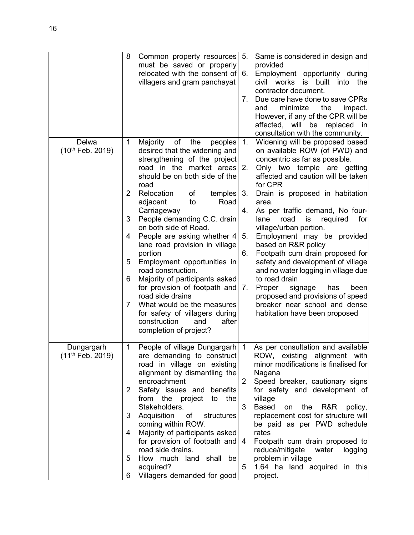|                       | 8            | Common property resources<br>must be saved or properly          | 5.             | Same is considered in design and<br>provided                         |
|-----------------------|--------------|-----------------------------------------------------------------|----------------|----------------------------------------------------------------------|
|                       |              | relocated with the consent of                                   | 6.             | Employment opportunity during                                        |
|                       |              | villagers and gram panchayat                                    |                | built into<br>civil<br>works<br>is<br>the                            |
|                       |              |                                                                 |                | contractor document.                                                 |
|                       |              |                                                                 | 7.             | Due care have done to save CPRs                                      |
|                       |              |                                                                 |                | minimize<br>the<br>and<br>impact.                                    |
|                       |              |                                                                 |                | However, if any of the CPR will be                                   |
|                       |              |                                                                 |                | affected,<br>will<br>be replaced<br>in                               |
| Delwa                 | 1            | Majority<br>of<br>the<br>peoples                                | 1 <sub>1</sub> | consultation with the community.<br>Widening will be proposed based  |
| (10th Feb. 2019)      |              | desired that the widening and                                   |                | on available ROW (of PWD) and                                        |
|                       |              | strengthening of the project                                    |                | concentric as far as possible.                                       |
|                       |              | road in the market areas                                        | 2.             | Only two temple are getting                                          |
|                       |              | should be on both side of the                                   |                | affected and caution will be taken                                   |
|                       |              | road                                                            |                | for CPR                                                              |
|                       | 2            | Relocation<br>temples<br>of                                     | 3.             | Drain is proposed in habitation                                      |
|                       |              | Road<br>adjacent<br>to                                          |                | area.                                                                |
|                       | 3            | Carriageway<br>People demanding C.C. drain                      | 4.             | As per traffic demand, No four-<br>lane<br>road<br>is<br>for         |
|                       |              | on both side of Road.                                           |                | required<br>village/urban portion.                                   |
|                       | 4            | People are asking whether 4                                     | 5.             | Employment may be provided                                           |
|                       |              | lane road provision in village                                  |                | based on R&R policy                                                  |
|                       |              | portion                                                         | 6.             | Footpath cum drain proposed for                                      |
|                       | 5            | Employment opportunities in                                     |                | safety and development of village                                    |
|                       |              | road construction.                                              |                | and no water logging in village due                                  |
|                       | 6            | Majority of participants asked                                  |                | to road drain                                                        |
|                       |              | for provision of footpath and<br>road side drains               | 7.             | Proper<br>signage<br>has<br>been<br>proposed and provisions of speed |
|                       | 7            | What would be the measures                                      |                | breaker near school and dense                                        |
|                       |              | for safety of villagers during                                  |                | habitation have been proposed                                        |
|                       |              | construction<br>after<br>and                                    |                |                                                                      |
|                       |              | completion of project?                                          |                |                                                                      |
|                       |              |                                                                 |                |                                                                      |
| Dungargarh            | 1            | People of village Dungargarh                                    | 1              | As per consultation and available                                    |
| $(11^{th}$ Feb. 2019) |              | are demanding to construct<br>road in village on existing       |                | ROW, existing alignment with<br>minor modifications is finalised for |
|                       |              | alignment by dismantling the                                    |                | Nagana                                                               |
|                       |              | encroachment                                                    | $\overline{2}$ | Speed breaker, cautionary signs                                      |
|                       | $\mathbf{2}$ | Safety issues and benefits                                      |                | for safety and development of                                        |
|                       |              | from the project<br>to the                                      |                | village                                                              |
|                       |              | Stakeholders.                                                   | 3              | <b>Based</b><br>on the R&R<br>policy,                                |
|                       | 3            | Acquisition<br>structures<br>of                                 |                | replacement cost for structure will                                  |
|                       | 4            | coming within ROW.                                              |                | be paid as per PWD schedule<br>rates                                 |
|                       |              | Majority of participants asked<br>for provision of footpath and | 4              | Footpath cum drain proposed to                                       |
|                       |              | road side drains.                                               |                | reduce/mitigate water<br>logging                                     |
|                       | 5            | How much land shall be                                          |                | problem in village                                                   |
|                       |              | acquired?                                                       | 5              | 1.64 ha land acquired in this                                        |
|                       | 6            | Villagers demanded for good                                     |                | project.                                                             |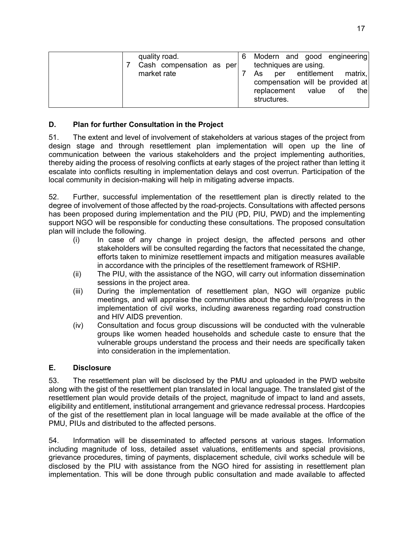| quality road.<br>Cash compensation as per |  | techniques are using.                     |  | Modern and good engineering                                        |
|-------------------------------------------|--|-------------------------------------------|--|--------------------------------------------------------------------|
| market rate                               |  | As<br>replacement value of<br>structures. |  | per entitlement matrix,<br>compensation will be provided at<br>the |

# **D. Plan for further Consultation in the Project**

51. The extent and level of involvement of stakeholders at various stages of the project from design stage and through resettlement plan implementation will open up the line of communication between the various stakeholders and the project implementing authorities, thereby aiding the process of resolving conflicts at early stages of the project rather than letting it escalate into conflicts resulting in implementation delays and cost overrun. Participation of the local community in decision-making will help in mitigating adverse impacts.

52. Further, successful implementation of the resettlement plan is directly related to the degree of involvement of those affected by the road-projects. Consultations with affected persons has been proposed during implementation and the PIU (PD, PIU, PWD) and the implementing support NGO will be responsible for conducting these consultations. The proposed consultation plan will include the following.

- (i) In case of any change in project design, the affected persons and other stakeholders will be consulted regarding the factors that necessitated the change, efforts taken to minimize resettlement impacts and mitigation measures available in accordance with the principles of the resettlement framework of RSHIP.
- (ii) The PIU, with the assistance of the NGO, will carry out information dissemination sessions in the project area.
- (iii) During the implementation of resettlement plan, NGO will organize public meetings, and will appraise the communities about the schedule/progress in the implementation of civil works, including awareness regarding road construction and HIV AIDS prevention.
- (iv) Consultation and focus group discussions will be conducted with the vulnerable groups like women headed households and schedule caste to ensure that the vulnerable groups understand the process and their needs are specifically taken into consideration in the implementation.

# **E. Disclosure**

53. The resettlement plan will be disclosed by the PMU and uploaded in the PWD website along with the gist of the resettlement plan translated in local language. The translated gist of the resettlement plan would provide details of the project, magnitude of impact to land and assets, eligibility and entitlement, institutional arrangement and grievance redressal process. Hardcopies of the gist of the resettlement plan in local language will be made available at the office of the PMU, PIUs and distributed to the affected persons.

54. Information will be disseminated to affected persons at various stages. Information including magnitude of loss, detailed asset valuations, entitlements and special provisions, grievance procedures, timing of payments, displacement schedule, civil works schedule will be disclosed by the PIU with assistance from the NGO hired for assisting in resettlement plan implementation. This will be done through public consultation and made available to affected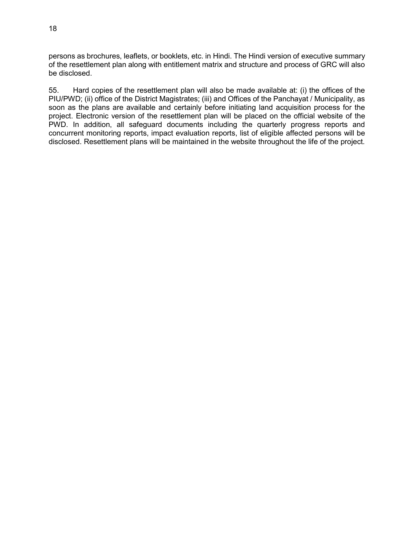persons as brochures, leaflets, or booklets, etc. in Hindi. The Hindi version of executive summary of the resettlement plan along with entitlement matrix and structure and process of GRC will also be disclosed.

55. Hard copies of the resettlement plan will also be made available at: (i) the offices of the PIU/PWD; (ii) office of the District Magistrates; (iii) and Offices of the Panchayat / Municipality, as soon as the plans are available and certainly before initiating land acquisition process for the project. Electronic version of the resettlement plan will be placed on the official website of the PWD. In addition, all safeguard documents including the quarterly progress reports and concurrent monitoring reports, impact evaluation reports, list of eligible affected persons will be disclosed. Resettlement plans will be maintained in the website throughout the life of the project.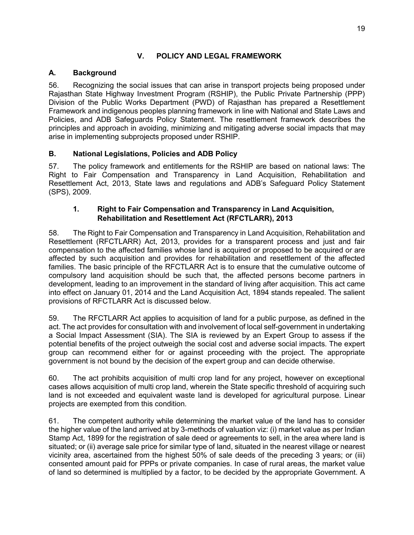# **V. POLICY AND LEGAL FRAMEWORK**

# **A. Background**

56. Recognizing the social issues that can arise in transport projects being proposed under Rajasthan State Highway Investment Program (RSHIP), the Public Private Partnership (PPP) Division of the Public Works Department (PWD) of Rajasthan has prepared a Resettlement Framework and indigenous peoples planning framework in line with National and State Laws and Policies, and ADB Safeguards Policy Statement. The resettlement framework describes the principles and approach in avoiding, minimizing and mitigating adverse social impacts that may arise in implementing subprojects proposed under RSHIP.

# **B. National Legislations, Policies and ADB Policy**

57. The policy framework and entitlements for the RSHIP are based on national laws: The Right to Fair Compensation and Transparency in Land Acquisition, Rehabilitation and Resettlement Act, 2013, State laws and regulations and ADB's Safeguard Policy Statement (SPS), 2009.

## **1. Right to Fair Compensation and Transparency in Land Acquisition, Rehabilitation and Resettlement Act (RFCTLARR), 2013**

58. The Right to Fair Compensation and Transparency in Land Acquisition, Rehabilitation and Resettlement (RFCTLARR) Act, 2013, provides for a transparent process and just and fair compensation to the affected families whose land is acquired or proposed to be acquired or are affected by such acquisition and provides for rehabilitation and resettlement of the affected families. The basic principle of the RFCTLARR Act is to ensure that the cumulative outcome of compulsory land acquisition should be such that, the affected persons become partners in development, leading to an improvement in the standard of living after acquisition. This act came into effect on January 01, 2014 and the Land Acquisition Act, 1894 stands repealed. The salient provisions of RFCTLARR Act is discussed below.

59. The RFCTLARR Act applies to acquisition of land for a public purpose, as defined in the act. The act provides for consultation with and involvement of local self-government in undertaking a Social Impact Assessment (SIA). The SIA is reviewed by an Expert Group to assess if the potential benefits of the project outweigh the social cost and adverse social impacts. The expert group can recommend either for or against proceeding with the project. The appropriate government is not bound by the decision of the expert group and can decide otherwise.

60. The act prohibits acquisition of multi crop land for any project, however on exceptional cases allows acquisition of multi crop land, wherein the State specific threshold of acquiring such land is not exceeded and equivalent waste land is developed for agricultural purpose. Linear projects are exempted from this condition.

61. The competent authority while determining the market value of the land has to consider the higher value of the land arrived at by 3-methods of valuation viz: (i) market value as per Indian Stamp Act, 1899 for the registration of sale deed or agreements to sell, in the area where land is situated; or (ii) average sale price for similar type of land, situated in the nearest village or nearest vicinity area, ascertained from the highest 50% of sale deeds of the preceding 3 years; or (iii) consented amount paid for PPPs or private companies. In case of rural areas, the market value of land so determined is multiplied by a factor, to be decided by the appropriate Government. A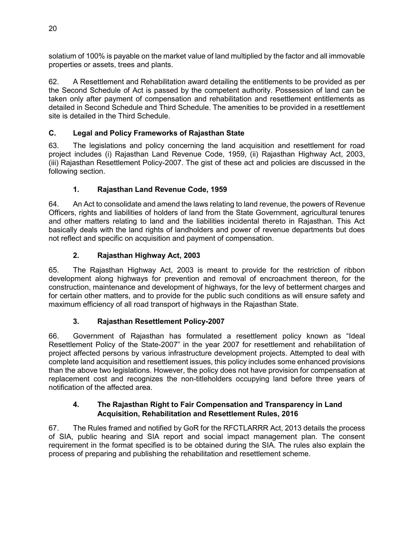solatium of 100% is payable on the market value of land multiplied by the factor and all immovable properties or assets, trees and plants.

62. A Resettlement and Rehabilitation award detailing the entitlements to be provided as per the Second Schedule of Act is passed by the competent authority. Possession of land can be taken only after payment of compensation and rehabilitation and resettlement entitlements as detailed in Second Schedule and Third Schedule. The amenities to be provided in a resettlement site is detailed in the Third Schedule.

# **C. Legal and Policy Frameworks of Rajasthan State**

63. The legislations and policy concerning the land acquisition and resettlement for road project includes (i) Rajasthan Land Revenue Code, 1959, (ii) Rajasthan Highway Act, 2003, (iii) Rajasthan Resettlement Policy-2007. The gist of these act and policies are discussed in the following section.

# **1. Rajasthan Land Revenue Code, 1959**

64. An Act to consolidate and amend the laws relating to land revenue, the powers of Revenue Officers, rights and liabilities of holders of land from the State Government, agricultural tenures and other matters relating to land and the liabilities incidental thereto in Rajasthan. This Act basically deals with the land rights of landholders and power of revenue departments but does not reflect and specific on acquisition and payment of compensation.

# **2. Rajasthan Highway Act, 2003**

65. The Rajasthan Highway Act, 2003 is meant to provide for the restriction of ribbon development along highways for prevention and removal of encroachment thereon, for the construction, maintenance and development of highways, for the levy of betterment charges and for certain other matters, and to provide for the public such conditions as will ensure safety and maximum efficiency of all road transport of highways in the Rajasthan State.

# **3. Rajasthan Resettlement Policy-2007**

66. Government of Rajasthan has formulated a resettlement policy known as "Ideal Resettlement Policy of the State-2007" in the year 2007 for resettlement and rehabilitation of project affected persons by various infrastructure development projects. Attempted to deal with complete land acquisition and resettlement issues, this policy includes some enhanced provisions than the above two legislations. However, the policy does not have provision for compensation at replacement cost and recognizes the non-titleholders occupying land before three years of notification of the affected area.

# **4. The Rajasthan Right to Fair Compensation and Transparency in Land Acquisition, Rehabilitation and Resettlement Rules, 2016**

67. The Rules framed and notified by GoR for the RFCTLARRR Act, 2013 details the process of SIA, public hearing and SIA report and social impact management plan. The consent requirement in the format specified is to be obtained during the SIA. The rules also explain the process of preparing and publishing the rehabilitation and resettlement scheme.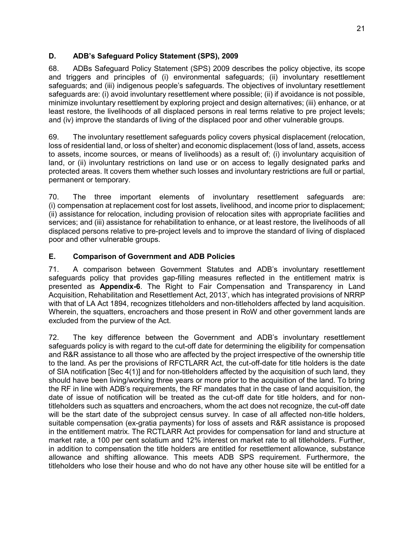# **D. ADB's Safeguard Policy Statement (SPS), 2009**

68. ADBs Safeguard Policy Statement (SPS) 2009 describes the policy objective, its scope and triggers and principles of (i) environmental safeguards; (ii) involuntary resettlement safeguards; and (iii) indigenous people's safeguards. The objectives of involuntary resettlement safeguards are: (i) avoid involuntary resettlement where possible; (ii) if avoidance is not possible, minimize involuntary resettlement by exploring project and design alternatives; (iii) enhance, or at least restore, the livelihoods of all displaced persons in real terms relative to pre project levels; and (iv) improve the standards of living of the displaced poor and other vulnerable groups.

69. The involuntary resettlement safeguards policy covers physical displacement (relocation, loss of residential land, or loss of shelter) and economic displacement (loss of land, assets, access to assets, income sources, or means of livelihoods) as a result of; (i) involuntary acquisition of land, or (ii) involuntary restrictions on land use or on access to legally designated parks and protected areas. It covers them whether such losses and involuntary restrictions are full or partial, permanent or temporary.

70. The three important elements of involuntary resettlement safeguards are: (i) compensation at replacement cost for lost assets, livelihood, and income prior to displacement; (ii) assistance for relocation, including provision of relocation sites with appropriate facilities and services; and (iii) assistance for rehabilitation to enhance, or at least restore, the livelihoods of all displaced persons relative to pre-project levels and to improve the standard of living of displaced poor and other vulnerable groups.

# **E. Comparison of Government and ADB Policies**

71. A comparison between Government Statutes and ADB's involuntary resettlement safeguards policy that provides gap-filling measures reflected in the entitlement matrix is presented as **Appendix-6**. The Right to Fair Compensation and Transparency in Land Acquisition, Rehabilitation and Resettlement Act, 2013', which has integrated provisions of NRRP with that of LA Act 1894, recognizes titleholders and non-titleholders affected by land acquisition. Wherein, the squatters, encroachers and those present in RoW and other government lands are excluded from the purview of the Act.

72. The key difference between the Government and ADB's involuntary resettlement safeguards policy is with regard to the cut-off date for determining the eligibility for compensation and R&R assistance to all those who are affected by the project irrespective of the ownership title to the land. As per the provisions of RFCTLARR Act, the cut-off-date for title holders is the date of SIA notification [Sec 4(1)] and for non-titleholders affected by the acquisition of such land, they should have been living/working three years or more prior to the acquisition of the land. To bring the RF in line with ADB's requirements, the RF mandates that in the case of land acquisition, the date of issue of notification will be treated as the cut-off date for title holders, and for nontitleholders such as squatters and encroachers, whom the act does not recognize, the cut-off date will be the start date of the subproject census survey. In case of all affected non-title holders, suitable compensation (ex-gratia payments) for loss of assets and R&R assistance is proposed in the entitlement matrix. The RCTLARR Act provides for compensation for land and structure at market rate, a 100 per cent solatium and 12% interest on market rate to all titleholders. Further, in addition to compensation the title holders are entitled for resettlement allowance, substance allowance and shifting allowance. This meets ADB SPS requirement. Furthermore, the titleholders who lose their house and who do not have any other house site will be entitled for a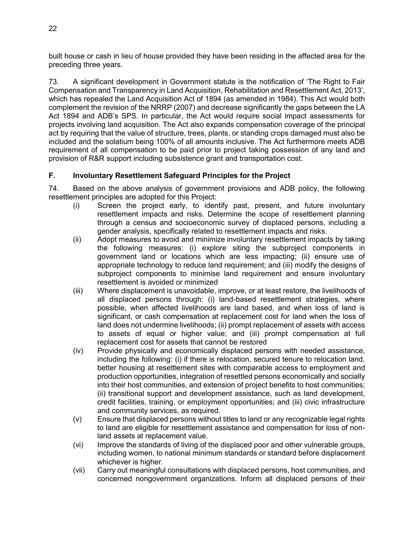built house or cash in lieu of house provided they have been residing in the affected area for the preceding three years.

73. A significant development in Government statute is the notification of 'The Right to Fair Compensation and Transparency in Land Acquisition, Rehabilitation and Resettlement Act, 2013', which has repealed the Land Acquisition Act of 1894 (as amended in 1984). This Act would both complement the revision of the NRRP (2007) and decrease significantly the gaps between the LA Act 1894 and ADB's SPS. In particular, the Act would require social impact assessments for projects involving land acquisition. The Act also expands compensation coverage of the principal act by requiring that the value of structure, trees, plants, or standing crops damaged must also be included and the solatium being 100% of all amounts inclusive. The Act furthermore meets ADB requirement of all compensation to be paid prior to project taking possession of any land and provision of R&R support including subsistence grant and transportation cost.

# **F. Involuntary Resettlement Safeguard Principles for the Project**

74. Based on the above analysis of government provisions and ADB policy, the following resettlement principles are adopted for this Project:

- (i) Screen the project early, to identify past, present, and future involuntary resettlement impacts and risks. Determine the scope of resettlement planning through a census and socioeconomic survey of displaced persons, including a gender analysis, specifically related to resettlement impacts and risks.
- (ii) Adopt measures to avoid and minimize involuntary resettlement impacts by taking the following measures: (i) explore siting the subproject components in government land or locations which are less impacting; (ii) ensure use of appropriate technology to reduce land requirement; and (iii) modify the designs of subproject components to minimise land requirement and ensure involuntary resettlement is avoided or minimized
- (iii) Where displacement is unavoidable, improve, or at least restore, the livelihoods of all displaced persons through: (i) land-based resettlement strategies, where possible, when affected livelihoods are land based, and when loss of land is significant, or cash compensation at replacement cost for land when the loss of land does not undermine livelihoods; (ii) prompt replacement of assets with access to assets of equal or higher value; and (iii) prompt compensation at full replacement cost for assets that cannot be restored
- (iv) Provide physically and economically displaced persons with needed assistance, including the following: (i) if there is relocation, secured tenure to relocation land, better housing at resettlement sites with comparable access to employment and production opportunities, integration of resettled persons economically and socially into their host communities, and extension of project benefits to host communities; (ii) transitional support and development assistance, such as land development, credit facilities, training, or employment opportunities; and (iii) civic infrastructure and community services, as required.
- (v) Ensure that displaced persons without titles to land or any recognizable legal rights to land are eligible for resettlement assistance and compensation for loss of nonland assets at replacement value.
- (vi) Improve the standards of living of the displaced poor and other vulnerable groups, including women, to national minimum standards or standard before displacement whichever is higher.
- (vii) Carry out meaningful consultations with displaced persons, host communities, and concerned nongovernment organizations. Inform all displaced persons of their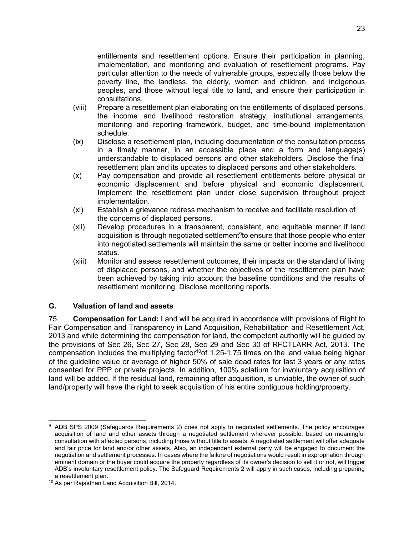entitlements and resettlement options. Ensure their participation in planning, implementation, and monitoring and evaluation of resettlement programs. Pay particular attention to the needs of vulnerable groups, especially those below the poverty line, the landless, the elderly, women and children, and indigenous peoples, and those without legal title to land, and ensure their participation in consultations.

- (viii) Prepare a resettlement plan elaborating on the entitlements of displaced persons, the income and livelihood restoration strategy, institutional arrangements, monitoring and reporting framework, budget, and time-bound implementation schedule.
- (ix) Disclose a resettlement plan, including documentation of the consultation process in a timely manner, in an accessible place and a form and language(s) understandable to displaced persons and other stakeholders. Disclose the final resettlement plan and its updates to displaced persons and other stakeholders.
- (x) Pay compensation and provide all resettlement entitlements before physical or economic displacement and before physical and economic displacement. Implement the resettlement plan under close supervision throughout project implementation.
- (xi) Establish a grievance redress mechanism to receive and facilitate resolution of the concerns of displaced persons.
- (xii) Develop procedures in a transparent, consistent, and equitable manner if land acquisition is through negotiated settlement<sup>9</sup>to ensure that those people who enter into negotiated settlements will maintain the same or better income and livelihood status.
- (xiii) Monitor and assess resettlement outcomes, their impacts on the standard of living of displaced persons, and whether the objectives of the resettlement plan have been achieved by taking into account the baseline conditions and the results of resettlement monitoring. Disclose monitoring reports.

#### **G. Valuation of land and assets**

75. **Compensation for Land:** Land will be acquired in accordance with provisions of Right to Fair Compensation and Transparency in Land Acquisition, Rehabilitation and Resettlement Act, 2013 and while determining the compensation for land, the competent authority will be guided by the provisions of Sec 26, Sec 27, Sec 28, Sec 29 and Sec 30 of RFCTLARR Act, 2013. The compensation includes the multiplying factor<sup>10</sup>of 1.25-1.75 times on the land value being higher of the guideline value or average of higher 50% of sale dead rates for last 3 years or any rates consented for PPP or private projects. In addition, 100% solatium for involuntary acquisition of land will be added. If the residual land, remaining after acquisition, is unviable, the owner of such land/property will have the right to seek acquisition of his entire contiguous holding/property.

 9 ADB SPS 2009 (Safeguards Requirements 2) does not apply to negotiated settlements. The policy encourages acquisition of land and other assets through a negotiated settlement wherever possible, based on meaningful consultation with affected persons, including those without title to assets. A negotiated settlement will offer adequate and fair price for land and/or other assets. Also, an independent external party will be engaged to document the negotiation and settlement processes. In cases where the failure of negotiations would result in expropriation through eminent domain or the buyer could acquire the property regardless of its owner's decision to sell it or not, will trigger ADB's involuntary resettlement policy. The Safeguard Requirements 2 will apply in such cases, including preparing a resettlement plan.

<sup>10</sup> As per Rajasthan Land Acquisition Bill, 2014.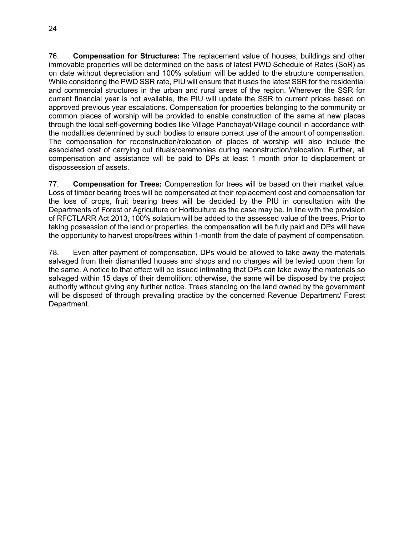76. **Compensation for Structures:** The replacement value of houses, buildings and other immovable properties will be determined on the basis of latest PWD Schedule of Rates (SoR) as on date without depreciation and 100% solatium will be added to the structure compensation. While considering the PWD SSR rate, PIU will ensure that it uses the latest SSR for the residential and commercial structures in the urban and rural areas of the region. Wherever the SSR for current financial year is not available, the PIU will update the SSR to current prices based on approved previous year escalations. Compensation for properties belonging to the community or common places of worship will be provided to enable construction of the same at new places through the local self-governing bodies like Village Panchayat/Village council in accordance with the modalities determined by such bodies to ensure correct use of the amount of compensation. The compensation for reconstruction/relocation of places of worship will also include the associated cost of carrying out rituals/ceremonies during reconstruction/relocation. Further, all compensation and assistance will be paid to DPs at least 1 month prior to displacement or dispossession of assets.

77. **Compensation for Trees:** Compensation for trees will be based on their market value. Loss of timber bearing trees will be compensated at their replacement cost and compensation for the loss of crops, fruit bearing trees will be decided by the PIU in consultation with the Departments of Forest or Agriculture or Horticulture as the case may be. In line with the provision of RFCTLARR Act 2013, 100% solatium will be added to the assessed value of the trees. Prior to taking possession of the land or properties, the compensation will be fully paid and DPs will have the opportunity to harvest crops/trees within 1-month from the date of payment of compensation.

78. Even after payment of compensation, DPs would be allowed to take away the materials salvaged from their dismantled houses and shops and no charges will be levied upon them for the same. A notice to that effect will be issued intimating that DPs can take away the materials so salvaged within 15 days of their demolition; otherwise, the same will be disposed by the project authority without giving any further notice. Trees standing on the land owned by the government will be disposed of through prevailing practice by the concerned Revenue Department/ Forest Department.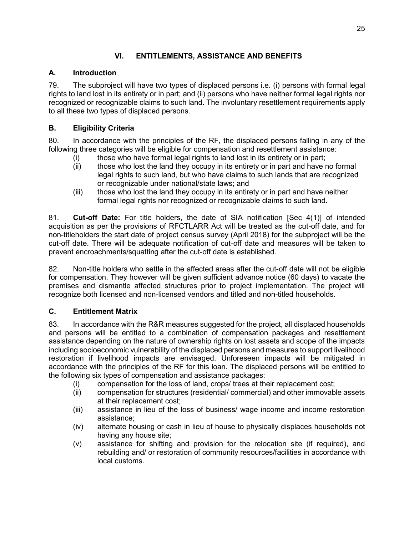# **VI. ENTITLEMENTS, ASSISTANCE AND BENEFITS**

# **A. Introduction**

79. The subproject will have two types of displaced persons i.e. (i) persons with formal legal rights to land lost in its entirety or in part; and (ii) persons who have neither formal legal rights nor recognized or recognizable claims to such land. The involuntary resettlement requirements apply to all these two types of displaced persons.

# **B. Eligibility Criteria**

80. In accordance with the principles of the RF, the displaced persons falling in any of the following three categories will be eligible for compensation and resettlement assistance:

- (i) those who have formal legal rights to land lost in its entirety or in part;
- (ii) those who lost the land they occupy in its entirety or in part and have no formal legal rights to such land, but who have claims to such lands that are recognized or recognizable under national/state laws; and
- (iii) those who lost the land they occupy in its entirety or in part and have neither formal legal rights nor recognized or recognizable claims to such land.

81. **Cut-off Date:** For title holders, the date of SIA notification [Sec 4(1)] of intended acquisition as per the provisions of RFCTLARR Act will be treated as the cut-off date, and for non-titleholders the start date of project census survey (April 2018) for the subproject will be the cut-off date. There will be adequate notification of cut-off date and measures will be taken to prevent encroachments/squatting after the cut-off date is established.

82. Non-title holders who settle in the affected areas after the cut-off date will not be eligible for compensation. They however will be given sufficient advance notice (60 days) to vacate the premises and dismantle affected structures prior to project implementation. The project will recognize both licensed and non-licensed vendors and titled and non-titled households.

# **C. Entitlement Matrix**

83. In accordance with the R&R measures suggested for the project, all displaced households and persons will be entitled to a combination of compensation packages and resettlement assistance depending on the nature of ownership rights on lost assets and scope of the impacts including socioeconomic vulnerability of the displaced persons and measures to support livelihood restoration if livelihood impacts are envisaged. Unforeseen impacts will be mitigated in accordance with the principles of the RF for this loan. The displaced persons will be entitled to the following six types of compensation and assistance packages:

- (i) compensation for the loss of land, crops/ trees at their replacement cost;
- (ii) compensation for structures (residential/ commercial) and other immovable assets at their replacement cost;
- (iii) assistance in lieu of the loss of business/ wage income and income restoration assistance;
- (iv) alternate housing or cash in lieu of house to physically displaces households not having any house site;
- (v) assistance for shifting and provision for the relocation site (if required), and rebuilding and/ or restoration of community resources/facilities in accordance with local customs.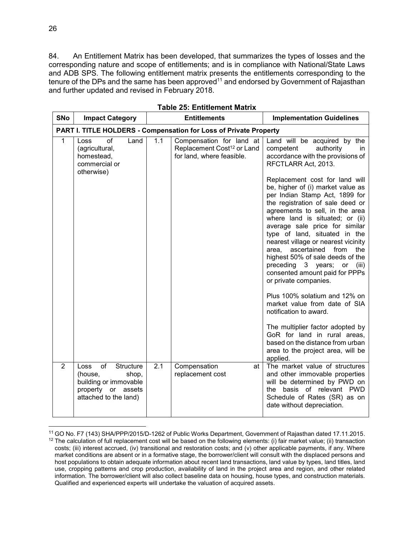84. An Entitlement Matrix has been developed, that summarizes the types of losses and the corresponding nature and scope of entitlements; and is in compliance with National/State Laws and ADB SPS. The following entitlement matrix presents the entitlements corresponding to the tenure of the DPs and the same has been approved<sup>11</sup> and endorsed by Government of Rajasthan and further updated and revised in February 2018.

| <b>SNo</b>                                                        | <b>Impact Category</b>                                                                                              |     | <b>Entitlements</b>                                                                             | <b>Implementation Guidelines</b>                                                                                                                                                                                                                                                                                                                                                                                                                                                                                                                                                                                                                                                                                                                                                                                                                                                    |  |  |  |  |
|-------------------------------------------------------------------|---------------------------------------------------------------------------------------------------------------------|-----|-------------------------------------------------------------------------------------------------|-------------------------------------------------------------------------------------------------------------------------------------------------------------------------------------------------------------------------------------------------------------------------------------------------------------------------------------------------------------------------------------------------------------------------------------------------------------------------------------------------------------------------------------------------------------------------------------------------------------------------------------------------------------------------------------------------------------------------------------------------------------------------------------------------------------------------------------------------------------------------------------|--|--|--|--|
| PART I. TITLE HOLDERS - Compensation for Loss of Private Property |                                                                                                                     |     |                                                                                                 |                                                                                                                                                                                                                                                                                                                                                                                                                                                                                                                                                                                                                                                                                                                                                                                                                                                                                     |  |  |  |  |
| $\mathbf{1}$                                                      | $\sigma$ f<br>Land<br>Loss<br>(agricultural,<br>homestead,<br>commercial or<br>otherwise)                           | 1.1 | Compensation for land at<br>Replacement Cost <sup>12</sup> or Land<br>for land, where feasible. | Land will be acquired by the<br>competent<br>authority<br>in.<br>accordance with the provisions of<br>RFCTLARR Act, 2013.<br>Replacement cost for land will<br>be, higher of (i) market value as<br>per Indian Stamp Act, 1899 for<br>the registration of sale deed or<br>agreements to sell, in the area<br>where land is situated; or (ii)<br>average sale price for similar<br>type of land, situated in the<br>nearest village or nearest vicinity<br>ascertained<br>from<br>area,<br>the<br>highest 50% of sale deeds of the<br>preceding 3 years; or<br>(iii)<br>consented amount paid for PPPs<br>or private companies.<br>Plus 100% solatium and 12% on<br>market value from date of SIA<br>notification to award.<br>The multiplier factor adopted by<br>GoR for land in rural areas,<br>based on the distance from urban<br>area to the project area, will be<br>applied. |  |  |  |  |
| $\overline{2}$                                                    | of<br>Structure<br>Loss<br>(house,<br>shop,<br>building or immovable<br>property or assets<br>attached to the land) | 2.1 | Compensation<br>at<br>replacement cost                                                          | The market value of structures<br>and other immovable properties<br>will be determined by PWD on<br>the basis of relevant PWD<br>Schedule of Rates (SR) as on<br>date without depreciation.                                                                                                                                                                                                                                                                                                                                                                                                                                                                                                                                                                                                                                                                                         |  |  |  |  |

**Table 25: Entitlement Matrix** 

 $\overline{a}$ 

<sup>11</sup> GO No. F7 (143) SHA/PPP/2015/D-1262 of Public Works Department, Government of Rajasthan dated 17.11.2015.  $12$  The calculation of full replacement cost will be based on the following elements: (i) fair market value; (ii) transaction costs; (iii) interest accrued, (iv) transitional and restoration costs; and (v) other applicable payments, if any. Where market conditions are absent or in a formative stage, the borrower/client will consult with the displaced persons and host populations to obtain adequate information about recent land transactions, land value by types, land titles, land use, cropping patterns and crop production, availability of land in the project area and region, and other related information. The borrower/client will also collect baseline data on housing, house types, and construction materials. Qualified and experienced experts will undertake the valuation of acquired assets.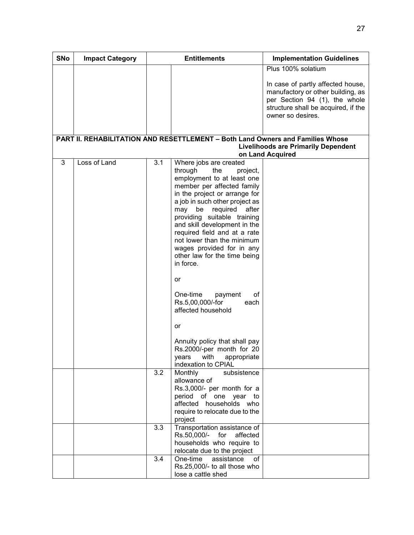| <b>SNo</b> | <b>Impact Category</b> | <b>Entitlements</b> |                                                                                                                                                                                                                                                                                                                                                                                                                                                                                                                | <b>Implementation Guidelines</b>                                                                                                                                    |
|------------|------------------------|---------------------|----------------------------------------------------------------------------------------------------------------------------------------------------------------------------------------------------------------------------------------------------------------------------------------------------------------------------------------------------------------------------------------------------------------------------------------------------------------------------------------------------------------|---------------------------------------------------------------------------------------------------------------------------------------------------------------------|
|            |                        |                     |                                                                                                                                                                                                                                                                                                                                                                                                                                                                                                                | Plus 100% solatium                                                                                                                                                  |
|            |                        |                     |                                                                                                                                                                                                                                                                                                                                                                                                                                                                                                                | In case of partly affected house,<br>manufactory or other building, as<br>per Section 94 (1), the whole<br>structure shall be acquired, if the<br>owner so desires. |
|            |                        |                     | PART II. REHABILITATION AND RESETTLEMENT - Both Land Owners and Families Whose                                                                                                                                                                                                                                                                                                                                                                                                                                 |                                                                                                                                                                     |
|            |                        |                     |                                                                                                                                                                                                                                                                                                                                                                                                                                                                                                                | <b>Livelihoods are Primarily Dependent</b>                                                                                                                          |
| 3          | Loss of Land           | 3.1                 | Where jobs are created<br>through<br>the<br>project,<br>employment to at least one<br>member per affected family<br>in the project or arrange for<br>a job in such other project as<br>required<br>may be<br>after<br>providing suitable training<br>and skill development in the<br>required field and at a rate<br>not lower than the minimum<br>wages provided for in any<br>other law for the time being<br>in force.<br>or<br>One-time<br>οf<br>payment<br>Rs.5,00,000/-for<br>each<br>affected household | on Land Acquired                                                                                                                                                    |
|            |                        |                     | or<br>Annuity policy that shall pay<br>Rs.2000/-per month for 20<br>appropriate<br>years<br>with<br>indexation to CPIAL                                                                                                                                                                                                                                                                                                                                                                                        |                                                                                                                                                                     |
|            |                        | 3.2                 | Monthly<br>subsistence<br>allowance of<br>Rs.3,000/- per month for a<br>period of one year to<br>affected households who<br>require to relocate due to the<br>project                                                                                                                                                                                                                                                                                                                                          |                                                                                                                                                                     |
|            |                        | 3.3                 | Transportation assistance of<br>Rs.50,000/- for<br>affected<br>households who require to<br>relocate due to the project                                                                                                                                                                                                                                                                                                                                                                                        |                                                                                                                                                                     |
|            |                        | 3.4                 | One-time<br>assistance<br>of<br>Rs.25,000/- to all those who<br>lose a cattle shed                                                                                                                                                                                                                                                                                                                                                                                                                             |                                                                                                                                                                     |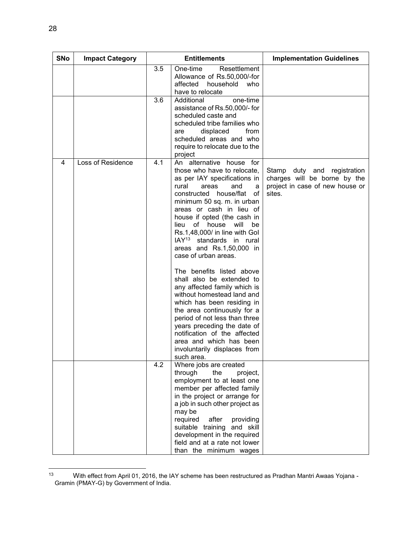| <b>SNo</b> | <b>Impact Category</b> | <b>Entitlements</b> |                                                                                                                                                                                                                                                                                                                                                                                                                                                                                                                                                                                                                                                                                                                                                                       | <b>Implementation Guidelines</b>                                                                         |
|------------|------------------------|---------------------|-----------------------------------------------------------------------------------------------------------------------------------------------------------------------------------------------------------------------------------------------------------------------------------------------------------------------------------------------------------------------------------------------------------------------------------------------------------------------------------------------------------------------------------------------------------------------------------------------------------------------------------------------------------------------------------------------------------------------------------------------------------------------|----------------------------------------------------------------------------------------------------------|
|            |                        | 3.5                 | One-time<br>Resettlement<br>Allowance of Rs.50,000/-for<br>affected<br>household<br>who<br>have to relocate                                                                                                                                                                                                                                                                                                                                                                                                                                                                                                                                                                                                                                                           |                                                                                                          |
|            |                        | 3.6                 | Additional<br>one-time<br>assistance of Rs.50,000/- for<br>scheduled caste and<br>scheduled tribe families who<br>displaced<br>from<br>are<br>scheduled areas and who<br>require to relocate due to the<br>project                                                                                                                                                                                                                                                                                                                                                                                                                                                                                                                                                    |                                                                                                          |
| 4          | Loss of Residence      | 4.1                 | An alternative house for<br>those who have to relocate,<br>as per IAY specifications in<br>rural<br>areas<br>and<br>a<br>constructed house/flat<br>of<br>minimum 50 sq. m. in urban<br>areas or cash in lieu of<br>house if opted (the cash in<br>lieu of house will<br>be<br>Rs.1,48,000/ in line with Gol<br>IAY <sup>13</sup> standards in rural<br>areas and Rs.1,50,000 in<br>case of urban areas.<br>The benefits listed above<br>shall also be extended to<br>any affected family which is<br>without homestead land and<br>which has been residing in<br>the area continuously for a<br>period of not less than three<br>years preceding the date of<br>notification of the affected<br>area and which has been<br>involuntarily displaces from<br>such area. | Stamp duty and registration<br>charges will be borne by the<br>project in case of new house or<br>sites. |
|            |                        | 4.2                 | Where jobs are created<br>through<br>the<br>project,<br>employment to at least one<br>member per affected family<br>in the project or arrange for<br>a job in such other project as<br>may be<br>required<br>after<br>providing<br>suitable training<br>and skill<br>development in the required<br>field and at a rate not lower<br>than the minimum wages                                                                                                                                                                                                                                                                                                                                                                                                           |                                                                                                          |

 $13$ 13 With effect from April 01, 2016, the IAY scheme has been restructured as Pradhan Mantri Awaas Yojana -Gramin (PMAY-G) by Government of India.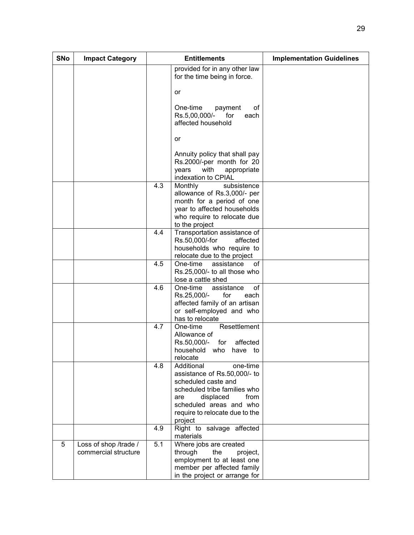| <b>SNo</b> | <b>Impact Category</b>                        |     | <b>Entitlements</b>                                                                                                                                                                                               | <b>Implementation Guidelines</b> |
|------------|-----------------------------------------------|-----|-------------------------------------------------------------------------------------------------------------------------------------------------------------------------------------------------------------------|----------------------------------|
|            |                                               |     | provided for in any other law<br>for the time being in force.                                                                                                                                                     |                                  |
|            |                                               |     | or                                                                                                                                                                                                                |                                  |
|            |                                               |     | One-time<br>οf<br>payment<br>Rs.5,00,000/-<br>for<br>each<br>affected household                                                                                                                                   |                                  |
|            |                                               |     | or                                                                                                                                                                                                                |                                  |
|            |                                               |     | Annuity policy that shall pay<br>Rs.2000/-per month for 20<br>years<br>with<br>appropriate<br>indexation to CPIAL                                                                                                 |                                  |
|            |                                               | 4.3 | Monthly<br>subsistence<br>allowance of Rs.3,000/- per<br>month for a period of one<br>year to affected households<br>who require to relocate due<br>to the project                                                |                                  |
|            |                                               | 4.4 | Transportation assistance of<br>Rs.50,000/-for<br>affected<br>households who require to<br>relocate due to the project                                                                                            |                                  |
|            |                                               | 4.5 | One-time<br>assistance<br>of<br>Rs.25,000/- to all those who<br>lose a cattle shed                                                                                                                                |                                  |
|            |                                               | 4.6 | One-time<br>of<br>assistance<br>Rs.25,000/-<br>for<br>each<br>affected family of an artisan<br>or self-employed and who<br>has to relocate                                                                        |                                  |
|            |                                               | 4.7 | Resettlement<br>One-time<br>Allowance of<br>affected<br>Rs.50,000/-<br>for<br>household who<br>have to<br>relocate                                                                                                |                                  |
|            |                                               | 4.8 | Additional<br>one-time<br>assistance of Rs.50,000/- to<br>scheduled caste and<br>scheduled tribe families who<br>displaced<br>from<br>are<br>scheduled areas and who<br>require to relocate due to the<br>project |                                  |
|            |                                               | 4.9 | Right to salvage affected<br>materials                                                                                                                                                                            |                                  |
| 5          | Loss of shop /trade /<br>commercial structure | 5.1 | Where jobs are created<br>through<br>the<br>project,<br>employment to at least one<br>member per affected family<br>in the project or arrange for                                                                 |                                  |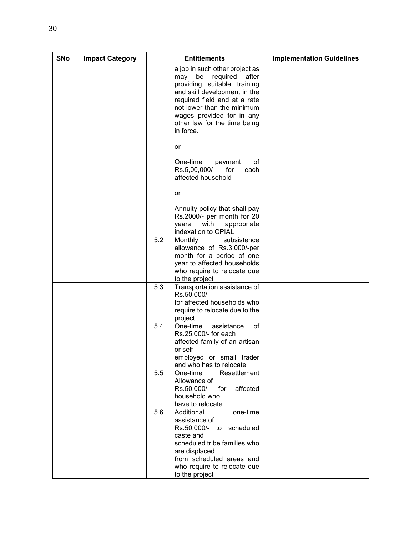| <b>SNo</b> | <b>Impact Category</b> |     | <b>Entitlements</b>                                                                                                                                                                                                                                                     | <b>Implementation Guidelines</b> |
|------------|------------------------|-----|-------------------------------------------------------------------------------------------------------------------------------------------------------------------------------------------------------------------------------------------------------------------------|----------------------------------|
|            |                        |     | a job in such other project as<br>required<br>be<br>after<br>may<br>providing suitable training<br>and skill development in the<br>required field and at a rate<br>not lower than the minimum<br>wages provided for in any<br>other law for the time being<br>in force. |                                  |
|            |                        |     | or                                                                                                                                                                                                                                                                      |                                  |
|            |                        |     | One-time<br>οf<br>payment<br>Rs.5,00,000/-<br>for<br>each<br>affected household                                                                                                                                                                                         |                                  |
|            |                        |     | or                                                                                                                                                                                                                                                                      |                                  |
|            |                        |     | Annuity policy that shall pay<br>Rs.2000/- per month for 20<br>years<br>with<br>appropriate<br>indexation to CPIAL                                                                                                                                                      |                                  |
|            |                        | 5.2 | Monthly<br>subsistence<br>allowance of Rs.3,000/-per<br>month for a period of one<br>year to affected households<br>who require to relocate due<br>to the project                                                                                                       |                                  |
|            |                        | 5.3 | Transportation assistance of<br>Rs.50,000/-<br>for affected households who<br>require to relocate due to the<br>project                                                                                                                                                 |                                  |
|            |                        | 5.4 | One-time<br>of<br>assistance<br>Rs.25,000/- for each<br>affected family of an artisan<br>or self-<br>employed or small trader<br>and who has to relocate                                                                                                                |                                  |
|            |                        | 5.5 | One-time<br>Resettlement<br>Allowance of<br>affected<br>Rs.50,000/-<br>for<br>household who<br>have to relocate                                                                                                                                                         |                                  |
|            |                        | 5.6 | Additional<br>one-time<br>assistance of<br>Rs.50,000/- to scheduled<br>caste and<br>scheduled tribe families who<br>are displaced<br>from scheduled areas and<br>who require to relocate due<br>to the project                                                          |                                  |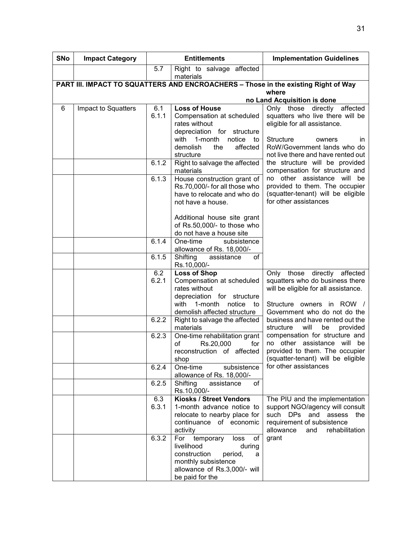| <b>SNo</b> | <b>Impact Category</b> |              | <b>Entitlements</b>                                                                                                                                                                                        | <b>Implementation Guidelines</b>                                                                                                                                           |
|------------|------------------------|--------------|------------------------------------------------------------------------------------------------------------------------------------------------------------------------------------------------------------|----------------------------------------------------------------------------------------------------------------------------------------------------------------------------|
|            |                        | 5.7          | Right to salvage affected<br>materials                                                                                                                                                                     |                                                                                                                                                                            |
|            |                        |              |                                                                                                                                                                                                            | PART III. IMPACT TO SQUATTERS AND ENCROACHERS - Those in the existing Right of Way                                                                                         |
|            |                        |              |                                                                                                                                                                                                            | where                                                                                                                                                                      |
| 6          | Impact to Squatters    | 6.1          | <b>Loss of House</b>                                                                                                                                                                                       | no Land Acquisition is done<br>Only those directly affected                                                                                                                |
|            |                        | 6.1.1        | Compensation at scheduled<br>rates without<br>depreciation for structure<br>with 1-month<br>notice to<br>affected<br>demolish<br>the<br>structure                                                          | squatters who live there will be<br>eligible for all assistance.<br><b>Structure</b><br>owners<br>ın<br>RoW/Government lands who do<br>not live there and have rented out  |
|            |                        | 6.1.2        | Right to salvage the affected<br>materials                                                                                                                                                                 | the structure will be provided<br>compensation for structure and                                                                                                           |
|            |                        | 6.1.3        | House construction grant of<br>Rs.70,000/- for all those who<br>have to relocate and who do<br>not have a house.<br>Additional house site grant<br>of Rs.50,000/- to those who<br>do not have a house site | no other assistance will be<br>provided to them. The occupier<br>(squatter-tenant) will be eligible<br>for other assistances                                               |
|            |                        | 6.1.4        | One-time<br>subsistence<br>allowance of Rs. 18,000/-                                                                                                                                                       |                                                                                                                                                                            |
|            |                        | 6.1.5        | Shifting<br>of<br>assistance<br>Rs.10,000/-                                                                                                                                                                |                                                                                                                                                                            |
|            |                        | 6.2<br>6.2.1 | <b>Loss of Shop</b><br>Compensation at scheduled<br>rates without<br>depreciation for structure<br>with<br>1-month<br>notice<br>to<br>demolish affected structure                                          | directly affected<br>Only<br>those<br>squatters who do business there<br>will be eligible for all assistance.<br>Structure owners in ROW /<br>Government who do not do the |
|            |                        | 6.2.2        | Right to salvage the affected<br>materials                                                                                                                                                                 | business and have rented out the<br>structure<br>will<br>be<br>provided                                                                                                    |
|            |                        | 6.2.3        | One-time rehabilitation grant<br>οf<br>Rs.20,000<br>for<br>reconstruction of affected<br>shop                                                                                                              | compensation for structure and<br>no other assistance<br>will<br>be<br>provided to them. The occupier<br>(squatter-tenant) will be eligible                                |
|            |                        | 6.2.4        | One-time<br>subsistence<br>allowance of Rs. 18,000/-                                                                                                                                                       | for other assistances                                                                                                                                                      |
|            |                        | 6.2.5        | Shifting<br>assistance<br>of<br>Rs.10,000/-                                                                                                                                                                |                                                                                                                                                                            |
|            |                        | 6.3<br>6.3.1 | Kiosks / Street Vendors<br>1-month advance notice to<br>relocate to nearby place for<br>continuance of economic<br>activity                                                                                | The PIU and the implementation<br>support NGO/agency will consult<br>such DPs<br>and<br>assess<br>the<br>requirement of subsistence<br>allowance<br>rehabilitation<br>and  |
|            |                        | 6.3.2        | temporary<br>For<br>loss<br>οf<br>livelihood<br>during<br>construction<br>period,<br>a<br>monthly subsistence<br>allowance of Rs.3,000/- will<br>be paid for the                                           | grant                                                                                                                                                                      |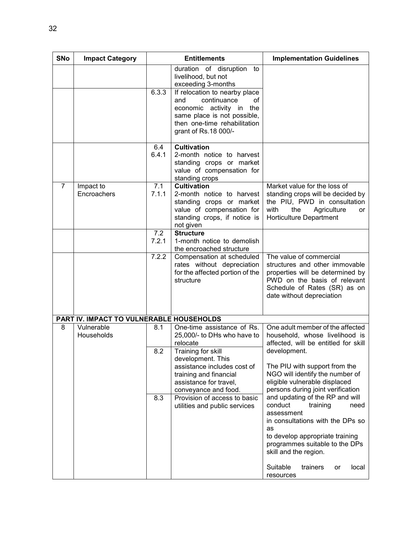| <b>SNo</b>     | <b>Impact Category</b>                   |              | <b>Entitlements</b>                                                                                                                                                             | <b>Implementation Guidelines</b>                                                                                                                                                                                                                                         |  |  |  |  |
|----------------|------------------------------------------|--------------|---------------------------------------------------------------------------------------------------------------------------------------------------------------------------------|--------------------------------------------------------------------------------------------------------------------------------------------------------------------------------------------------------------------------------------------------------------------------|--|--|--|--|
|                |                                          |              | duration of disruption<br>to<br>livelihood, but not<br>exceeding 3-months                                                                                                       |                                                                                                                                                                                                                                                                          |  |  |  |  |
|                |                                          | 6.3.3        | If relocation to nearby place<br>continuance<br>of<br>and<br>economic activity in<br>the<br>same place is not possible,<br>then one-time rehabilitation<br>grant of Rs.18 000/- |                                                                                                                                                                                                                                                                          |  |  |  |  |
|                |                                          | 6.4<br>6.4.1 | <b>Cultivation</b><br>2-month notice to harvest<br>standing crops or market<br>value of compensation for<br>standing crops                                                      |                                                                                                                                                                                                                                                                          |  |  |  |  |
| $\overline{7}$ | Impact to<br>Encroachers                 | 7.1<br>7.1.1 | <b>Cultivation</b><br>2-month notice to harvest<br>standing crops or market<br>value of compensation for<br>standing crops, if notice is<br>not given                           | Market value for the loss of<br>standing crops will be decided by<br>the PIU, PWD in consultation<br>with<br>the<br>Agriculture<br>or<br>Horticulture Department                                                                                                         |  |  |  |  |
|                |                                          | 7.2<br>7.2.1 | <b>Structure</b><br>1-month notice to demolish<br>the encroached structure                                                                                                      |                                                                                                                                                                                                                                                                          |  |  |  |  |
|                |                                          | 7.2.2        | Compensation at scheduled<br>rates without depreciation<br>for the affected portion of the<br>structure                                                                         | The value of commercial<br>structures and other immovable<br>properties will be determined by<br>PWD on the basis of relevant<br>Schedule of Rates (SR) as on<br>date without depreciation                                                                               |  |  |  |  |
|                | PART IV. IMPACT TO VULNERABLE HOUSEHOLDS |              |                                                                                                                                                                                 |                                                                                                                                                                                                                                                                          |  |  |  |  |
| 8              | Vulnerable<br>Households                 | 8.1<br>8.2   | One-time assistance of Rs.<br>25,000/- to DHs who have to<br>relocate<br>Training for skill                                                                                     | One adult member of the affected<br>household, whose livelihood is<br>affected, will be entitled for skill<br>development.                                                                                                                                               |  |  |  |  |
|                |                                          |              | development. This<br>assistance includes cost of<br>training and financial<br>assistance for travel,<br>conveyance and food.                                                    | The PIU with support from the<br>NGO will identify the number of<br>eligible vulnerable displaced<br>persons during joint verification                                                                                                                                   |  |  |  |  |
|                |                                          | 8.3          | Provision of access to basic<br>utilities and public services                                                                                                                   | and updating of the RP and will<br>conduct<br>training<br>need<br>assessment<br>in consultations with the DPs so<br>as<br>to develop appropriate training<br>programmes suitable to the DPs<br>skill and the region.<br>Suitable<br>trainers<br>local<br>or<br>resources |  |  |  |  |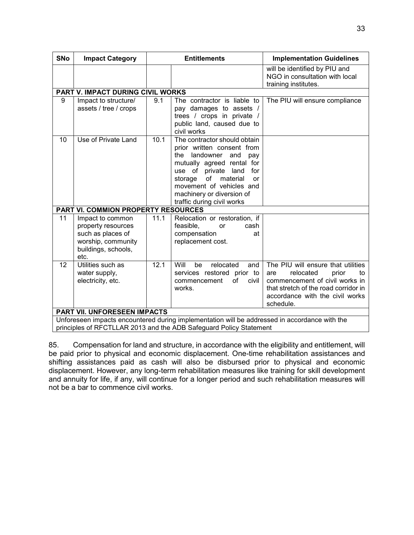| <b>SNo</b> | <b>Impact Category</b>                                                                                           |      | <b>Entitlements</b>                                                                                                                                                                                                                                                             | <b>Implementation Guidelines</b>                                                                                                                                                                |
|------------|------------------------------------------------------------------------------------------------------------------|------|---------------------------------------------------------------------------------------------------------------------------------------------------------------------------------------------------------------------------------------------------------------------------------|-------------------------------------------------------------------------------------------------------------------------------------------------------------------------------------------------|
|            |                                                                                                                  |      |                                                                                                                                                                                                                                                                                 | will be identified by PIU and<br>NGO in consultation with local<br>training institutes.                                                                                                         |
|            | PART V. IMPACT DURING CIVIL WORKS                                                                                |      |                                                                                                                                                                                                                                                                                 |                                                                                                                                                                                                 |
| 9          | Impact to structure/<br>assets / tree / crops                                                                    | 9.1  | The contractor is liable to<br>pay damages to assets /<br>trees / crops in private /<br>public land, caused due to<br>civil works                                                                                                                                               | The PIU will ensure compliance                                                                                                                                                                  |
| 10         | Use of Private Land                                                                                              | 10.1 | The contractor should obtain<br>prior written consent from<br>the landowner<br>and<br>pay<br>mutually agreed rental for<br>use of private land<br>for<br>storage<br>of<br>material<br>or<br>movement of vehicles and<br>machinery or diversion of<br>traffic during civil works |                                                                                                                                                                                                 |
|            | <b>PART VI. COMMION PROPERTY RESOURCES</b>                                                                       |      |                                                                                                                                                                                                                                                                                 |                                                                                                                                                                                                 |
| 11         | Impact to common<br>property resources<br>such as places of<br>worship, community<br>buildings, schools,<br>etc. | 11.1 | Relocation or restoration, if<br>feasible,<br>cash<br>or<br>compensation<br>at<br>replacement cost.                                                                                                                                                                             |                                                                                                                                                                                                 |
| 12         | Utilities such as<br>water supply,<br>electricity, etc.                                                          | 12.1 | Will<br>relocated<br>be<br>and<br>services restored prior to<br>of<br>civil<br>commencement<br>works.                                                                                                                                                                           | The PIU will ensure that utilities<br>relocated<br>prior<br>are<br>to<br>commencement of civil works in<br>that stretch of the road corridor in<br>accordance with the civil works<br>schedule. |
|            | PART VII. UNFORESEEN IMPACTS                                                                                     |      |                                                                                                                                                                                                                                                                                 |                                                                                                                                                                                                 |
|            |                                                                                                                  |      | Unforeseen impacts encountered during implementation will be addressed in accordance with the                                                                                                                                                                                   |                                                                                                                                                                                                 |
|            |                                                                                                                  |      | principles of RFCTLLAR 2013 and the ADB Safeguard Policy Statement                                                                                                                                                                                                              |                                                                                                                                                                                                 |

85. Compensation for land and structure, in accordance with the eligibility and entitlement, will be paid prior to physical and economic displacement. One-time rehabilitation assistances and shifting assistances paid as cash will also be disbursed prior to physical and economic displacement. However, any long-term rehabilitation measures like training for skill development and annuity for life, if any, will continue for a longer period and such rehabilitation measures will not be a bar to commence civil works.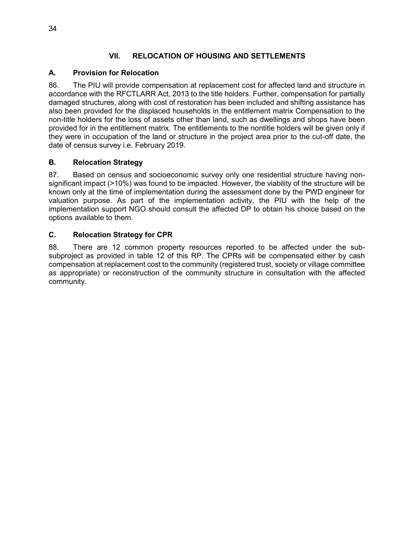### **VII. RELOCATION OF HOUSING AND SETTLEMENTS**

#### **A. Provision for Relocation**

86. The PIU will provide compensation at replacement cost for affected land and structure in accordance with the RFCTLARR Act, 2013 to the title holders. Further, compensation for partially damaged structures, along with cost of restoration has been included and shifting assistance has also been provided for the displaced households in the entitlement matrix Compensation to the non-title holders for the loss of assets other than land, such as dwellings and shops have been provided for in the entitlement matrix. The entitlements to the nontitle holders will be given only if they were in occupation of the land or structure in the project area prior to the cut-off date, the date of census survey i.e. February 2019.

#### **B. Relocation Strategy**

87. Based on census and socioeconomic survey only one residential structure having nonsignificant impact (>10%) was found to be impacted. However, the viability of the structure will be known only at the time of implementation during the assessment done by the PWD engineer for valuation purpose. As part of the implementation activity, the PIU with the help of the implementation support NGO should consult the affected DP to obtain his choice based on the options available to them.

#### **C. Relocation Strategy for CPR**

88. There are 12 common property resources reported to be affected under the subsubproject as provided in table 12 of this RP. The CPRs will be compensated either by cash compensation at replacement cost to the community (registered trust, society or village committee as appropriate) or reconstruction of the community structure in consultation with the affected community.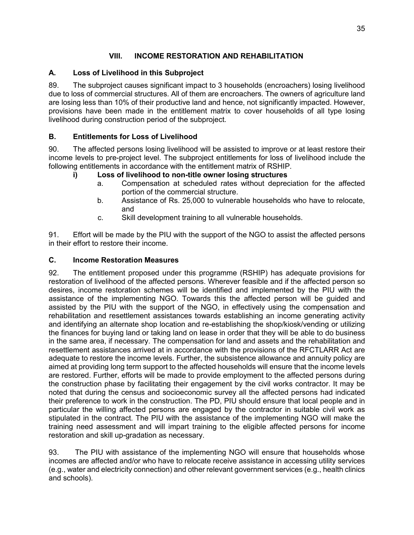# **VIII. INCOME RESTORATION AND REHABILITATION**

# **A. Loss of Livelihood in this Subproject**

89. The subproject causes significant impact to 3 households (encroachers) losing livelihood due to loss of commercial structures. All of them are encroachers. The owners of agriculture land are losing less than 10% of their productive land and hence, not significantly impacted. However, provisions have been made in the entitlement matrix to cover households of all type losing livelihood during construction period of the subproject.

### **B. Entitlements for Loss of Livelihood**

90. The affected persons losing livelihood will be assisted to improve or at least restore their income levels to pre-project level. The subproject entitlements for loss of livelihood include the following entitlements in accordance with the entitlement matrix of RSHIP.

#### **i) Loss of livelihood to non-title owner losing structures**

- a. Compensation at scheduled rates without depreciation for the affected portion of the commercial structure.
- b. Assistance of Rs. 25,000 to vulnerable households who have to relocate, and
- c. Skill development training to all vulnerable households.

91. Effort will be made by the PIU with the support of the NGO to assist the affected persons in their effort to restore their income.

#### **C. Income Restoration Measures**

92. The entitlement proposed under this programme (RSHIP) has adequate provisions for restoration of livelihood of the affected persons. Wherever feasible and if the affected person so desires, income restoration schemes will be identified and implemented by the PIU with the assistance of the implementing NGO. Towards this the affected person will be guided and assisted by the PIU with the support of the NGO, in effectively using the compensation and rehabilitation and resettlement assistances towards establishing an income generating activity and identifying an alternate shop location and re-establishing the shop/kiosk/vending or utilizing the finances for buying land or taking land on lease in order that they will be able to do business in the same area, if necessary. The compensation for land and assets and the rehabilitation and resettlement assistances arrived at in accordance with the provisions of the RFCTLARR Act are adequate to restore the income levels. Further, the subsistence allowance and annuity policy are aimed at providing long term support to the affected households will ensure that the income levels are restored. Further, efforts will be made to provide employment to the affected persons during the construction phase by facilitating their engagement by the civil works contractor. It may be noted that during the census and socioeconomic survey all the affected persons had indicated their preference to work in the construction. The PD, PIU should ensure that local people and in particular the willing affected persons are engaged by the contractor in suitable civil work as stipulated in the contract. The PIU with the assistance of the implementing NGO will make the training need assessment and will impart training to the eligible affected persons for income restoration and skill up-gradation as necessary.

93. The PIU with assistance of the implementing NGO will ensure that households whose incomes are affected and/or who have to relocate receive assistance in accessing utility services (e.g., water and electricity connection) and other relevant government services (e.g., health clinics and schools).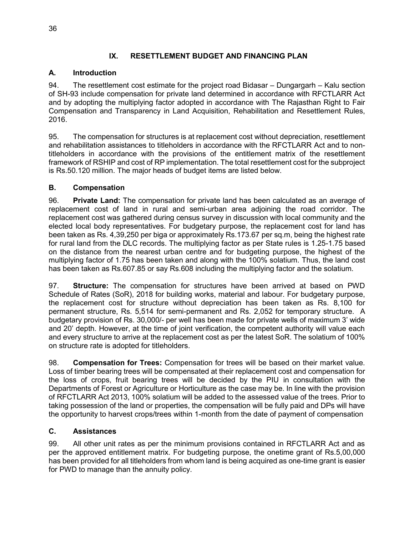# **IX. RESETTLEMENT BUDGET AND FINANCING PLAN**

### **A. Introduction**

94. The resettlement cost estimate for the project road Bidasar – Dungargarh – Kalu section of SH-93 include compensation for private land determined in accordance with RFCTLARR Act and by adopting the multiplying factor adopted in accordance with The Rajasthan Right to Fair Compensation and Transparency in Land Acquisition, Rehabilitation and Resettlement Rules, 2016.

95. The compensation for structures is at replacement cost without depreciation, resettlement and rehabilitation assistances to titleholders in accordance with the RFCTLARR Act and to nontitleholders in accordance with the provisions of the entitlement matrix of the resettlement framework of RSHIP and cost of RP implementation. The total resettlement cost for the subproject is Rs.50.120 million. The major heads of budget items are listed below.

#### **B. Compensation**

96. **Private Land:** The compensation for private land has been calculated as an average of replacement cost of land in rural and semi-urban area adjoining the road corridor. The replacement cost was gathered during census survey in discussion with local community and the elected local body representatives. For budgetary purpose, the replacement cost for land has been taken as Rs. 4,39,250 per biga or approximately Rs.173.67 per sq.m, being the highest rate for rural land from the DLC records. The multiplying factor as per State rules is 1.25-1.75 based on the distance from the nearest urban centre and for budgeting purpose, the highest of the multiplying factor of 1.75 has been taken and along with the 100% solatium. Thus, the land cost has been taken as Rs.607.85 or say Rs.608 including the multiplying factor and the solatium.

97. **Structure:** The compensation for structures have been arrived at based on PWD Schedule of Rates (SoR), 2018 for building works, material and labour. For budgetary purpose, the replacement cost for structure without depreciation has been taken as Rs. 8,100 for permanent structure, Rs. 5,514 for semi-permanent and Rs. 2,052 for temporary structure. A budgetary provision of Rs. 30,000/- per well has been made for private wells of maximum 3' wide and 20' depth. However, at the time of joint verification, the competent authority will value each and every structure to arrive at the replacement cost as per the latest SoR. The solatium of 100% on structure rate is adopted for titleholders.

98. **Compensation for Trees:** Compensation for trees will be based on their market value. Loss of timber bearing trees will be compensated at their replacement cost and compensation for the loss of crops, fruit bearing trees will be decided by the PIU in consultation with the Departments of Forest or Agriculture or Horticulture as the case may be. In line with the provision of RFCTLARR Act 2013, 100% solatium will be added to the assessed value of the trees. Prior to taking possession of the land or properties, the compensation will be fully paid and DPs will have the opportunity to harvest crops/trees within 1-month from the date of payment of compensation

#### **C. Assistances**

99. All other unit rates as per the minimum provisions contained in RFCTLARR Act and as per the approved entitlement matrix. For budgeting purpose, the onetime grant of Rs.5,00,000 has been provided for all titleholders from whom land is being acquired as one-time grant is easier for PWD to manage than the annuity policy.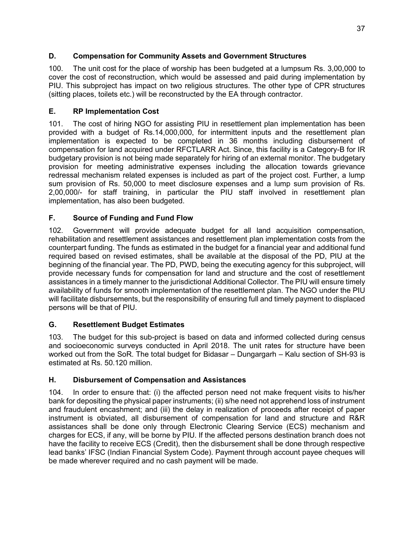# **D. Compensation for Community Assets and Government Structures**

100. The unit cost for the place of worship has been budgeted at a lumpsum Rs. 3,00,000 to cover the cost of reconstruction, which would be assessed and paid during implementation by PIU. This subproject has impact on two religious structures. The other type of CPR structures (sitting places, toilets etc.) will be reconstructed by the EA through contractor.

# **E. RP Implementation Cost**

101. The cost of hiring NGO for assisting PIU in resettlement plan implementation has been provided with a budget of Rs.14,000,000, for intermittent inputs and the resettlement plan implementation is expected to be completed in 36 months including disbursement of compensation for land acquired under RFCTLARR Act. Since, this facility is a Category-B for IR budgetary provision is not being made separately for hiring of an external monitor. The budgetary provision for meeting administrative expenses including the allocation towards grievance redressal mechanism related expenses is included as part of the project cost. Further, a lump sum provision of Rs. 50,000 to meet disclosure expenses and a lump sum provision of Rs. 2,00,000/- for staff training, in particular the PIU staff involved in resettlement plan implementation, has also been budgeted.

# **F. Source of Funding and Fund Flow**

102. Government will provide adequate budget for all land acquisition compensation, rehabilitation and resettlement assistances and resettlement plan implementation costs from the counterpart funding. The funds as estimated in the budget for a financial year and additional fund required based on revised estimates, shall be available at the disposal of the PD, PIU at the beginning of the financial year. The PD, PWD, being the executing agency for this subproject, will provide necessary funds for compensation for land and structure and the cost of resettlement assistances in a timely manner to the jurisdictional Additional Collector. The PIU will ensure timely availability of funds for smooth implementation of the resettlement plan. The NGO under the PIU will facilitate disbursements, but the responsibility of ensuring full and timely payment to displaced persons will be that of PIU.

# **G. Resettlement Budget Estimates**

103. The budget for this sub-project is based on data and informed collected during census and socioeconomic surveys conducted in April 2018. The unit rates for structure have been worked out from the SoR. The total budget for Bidasar – Dungargarh – Kalu section of SH-93 is estimated at Rs. 50.120 million.

# **H. Disbursement of Compensation and Assistances**

104. In order to ensure that: (i) the affected person need not make frequent visits to his/her bank for depositing the physical paper instruments; (ii) s/he need not apprehend loss of instrument and fraudulent encashment; and (iii) the delay in realization of proceeds after receipt of paper instrument is obviated, all disbursement of compensation for land and structure and R&R assistances shall be done only through Electronic Clearing Service (ECS) mechanism and charges for ECS, if any, will be borne by PIU. If the affected persons destination branch does not have the facility to receive ECS (Credit), then the disbursement shall be done through respective lead banks' IFSC (Indian Financial System Code). Payment through account payee cheques will be made wherever required and no cash payment will be made.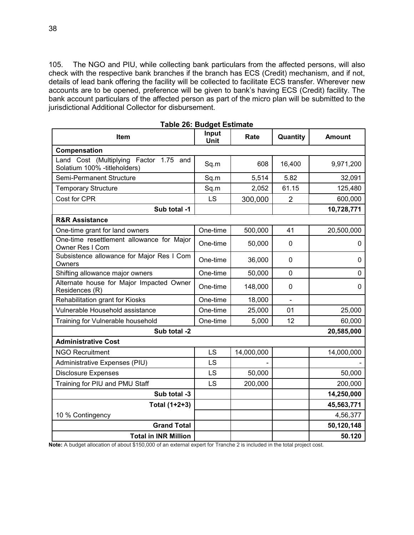105. The NGO and PIU, while collecting bank particulars from the affected persons, will also check with the respective bank branches if the branch has ECS (Credit) mechanism, and if not, details of lead bank offering the facility will be collected to facilitate ECS transfer. Wherever new accounts are to be opened, preference will be given to bank's having ECS (Credit) facility. The bank account particulars of the affected person as part of the micro plan will be submitted to the jurisdictional Additional Collector for disbursement.

| Item                                                                   | Input<br>Unit | Rate       | Quantity       | <b>Amount</b> |
|------------------------------------------------------------------------|---------------|------------|----------------|---------------|
| Compensation                                                           |               |            |                |               |
| Land Cost (Multiplying Factor 1.75 and<br>Solatium 100% -titleholders) | Sq.m          | 608        | 16,400         | 9,971,200     |
| Semi-Permanent Structure                                               | Sq.m          | 5,514      | 5.82           | 32,091        |
| <b>Temporary Structure</b>                                             | Sq.m          | 2,052      | 61.15          | 125,480       |
| Cost for CPR                                                           | LS            | 300,000    | $\overline{2}$ | 600,000       |
| Sub total -1                                                           |               |            |                | 10,728,771    |
| <b>R&amp;R Assistance</b>                                              |               |            |                |               |
| One-time grant for land owners                                         | One-time      | 500,000    | 41             | 20,500,000    |
| One-time resettlement allowance for Major<br>Owner Res I Com           | One-time      | 50,000     | $\mathbf 0$    | 0             |
| Subsistence allowance for Major Res I Com<br>Owners                    | One-time      | 36,000     | $\mathbf{0}$   | 0             |
| Shifting allowance major owners                                        | One-time      | 50,000     | $\Omega$       | $\Omega$      |
| Alternate house for Major Impacted Owner<br>Residences (R)             | One-time      | 148,000    | $\mathbf 0$    | $\mathbf 0$   |
| Rehabilitation grant for Kiosks                                        | One-time      | 18,000     |                |               |
| Vulnerable Household assistance                                        | One-time      | 25,000     | 01             | 25,000        |
| Training for Vulnerable household                                      | One-time      | 5,000      | 12             | 60,000        |
| Sub total -2                                                           |               |            |                | 20,585,000    |
| <b>Administrative Cost</b>                                             |               |            |                |               |
| <b>NGO Recruitment</b>                                                 | LS            | 14,000,000 |                | 14,000,000    |
| Administrative Expenses (PIU)                                          | LS            |            |                |               |
| <b>Disclosure Expenses</b>                                             | LS            | 50,000     |                | 50,000        |
| Training for PIU and PMU Staff                                         | LS            | 200,000    |                | 200,000       |
| Sub total -3                                                           |               |            |                | 14,250,000    |
| Total (1+2+3)                                                          |               |            |                | 45,563,771    |
| 10 % Contingency                                                       |               |            |                | 4,56,377      |
| <b>Grand Total</b>                                                     |               |            |                | 50,120,148    |
| <b>Total in INR Million</b>                                            |               |            |                | 50.120        |

**Table 26: Budget Estimate** 

**Note:** A budget allocation of about \$150,000 of an external expert for Tranche 2 is included in the total project cost.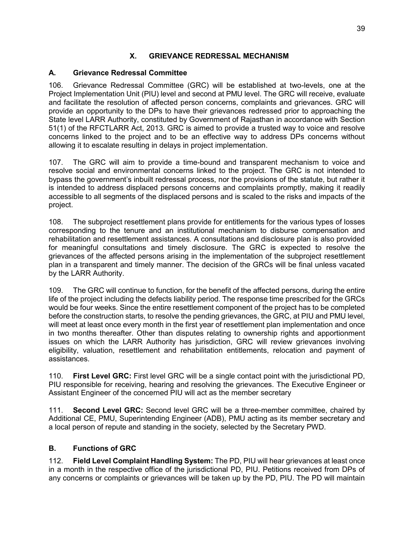### **X. GRIEVANCE REDRESSAL MECHANISM**

#### **A. Grievance Redressal Committee**

106. Grievance Redressal Committee (GRC) will be established at two-levels, one at the Project Implementation Unit (PIU) level and second at PMU level. The GRC will receive, evaluate and facilitate the resolution of affected person concerns, complaints and grievances. GRC will provide an opportunity to the DPs to have their grievances redressed prior to approaching the State level LARR Authority, constituted by Government of Rajasthan in accordance with Section 51(1) of the RFCTLARR Act, 2013. GRC is aimed to provide a trusted way to voice and resolve concerns linked to the project and to be an effective way to address DPs concerns without allowing it to escalate resulting in delays in project implementation.

107. The GRC will aim to provide a time-bound and transparent mechanism to voice and resolve social and environmental concerns linked to the project. The GRC is not intended to bypass the government's inbuilt redressal process, nor the provisions of the statute, but rather it is intended to address displaced persons concerns and complaints promptly, making it readily accessible to all segments of the displaced persons and is scaled to the risks and impacts of the project.

108. The subproject resettlement plans provide for entitlements for the various types of losses corresponding to the tenure and an institutional mechanism to disburse compensation and rehabilitation and resettlement assistances. A consultations and disclosure plan is also provided for meaningful consultations and timely disclosure. The GRC is expected to resolve the grievances of the affected persons arising in the implementation of the subproject resettlement plan in a transparent and timely manner. The decision of the GRCs will be final unless vacated by the LARR Authority.

109. The GRC will continue to function, for the benefit of the affected persons, during the entire life of the project including the defects liability period. The response time prescribed for the GRCs would be four weeks. Since the entire resettlement component of the project has to be completed before the construction starts, to resolve the pending grievances, the GRC, at PIU and PMU level, will meet at least once every month in the first year of resettlement plan implementation and once in two months thereafter. Other than disputes relating to ownership rights and apportionment issues on which the LARR Authority has jurisdiction, GRC will review grievances involving eligibility, valuation, resettlement and rehabilitation entitlements, relocation and payment of assistances.

110. **First Level GRC:** First level GRC will be a single contact point with the jurisdictional PD, PIU responsible for receiving, hearing and resolving the grievances. The Executive Engineer or Assistant Engineer of the concerned PIU will act as the member secretary

111. **Second Level GRC:** Second level GRC will be a three-member committee, chaired by Additional CE, PMU, Superintending Engineer (ADB), PMU acting as its member secretary and a local person of repute and standing in the society, selected by the Secretary PWD.

#### **B. Functions of GRC**

112. **Field Level Complaint Handling System:** The PD, PIU will hear grievances at least once in a month in the respective office of the jurisdictional PD, PIU. Petitions received from DPs of any concerns or complaints or grievances will be taken up by the PD, PIU. The PD will maintain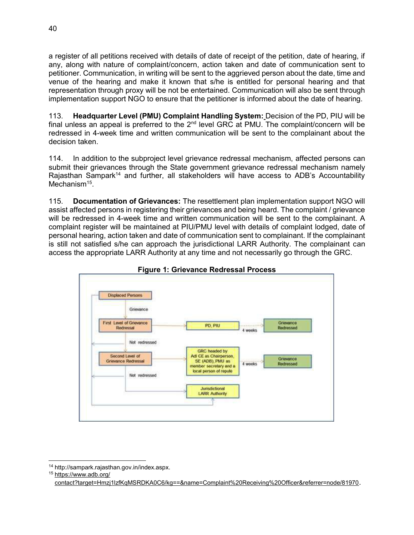a register of all petitions received with details of date of receipt of the petition, date of hearing, if any, along with nature of complaint/concern, action taken and date of communication sent to petitioner. Communication, in writing will be sent to the aggrieved person about the date, time and venue of the hearing and make it known that s/he is entitled for personal hearing and that representation through proxy will be not be entertained. Communication will also be sent through implementation support NGO to ensure that the petitioner is informed about the date of hearing.

113. **Headquarter Level (PMU) Complaint Handling System:** Decision of the PD, PIU will be final unless an appeal is preferred to the  $2<sup>nd</sup>$  level GRC at PMU. The complaint/concern will be redressed in 4-week time and written communication will be sent to the complainant about the decision taken.

114. In addition to the subproject level grievance redressal mechanism, affected persons can submit their grievances through the State government grievance redressal mechanism namely Rajasthan Sampark<sup>14</sup> and further, all stakeholders will have access to ADB's Accountability Mechanism<sup>15</sup>.

115. **Documentation of Grievances:** The resettlement plan implementation support NGO will assist affected persons in registering their grievances and being heard. The complaint / grievance will be redressed in 4-week time and written communication will be sent to the complainant. A complaint register will be maintained at PIU/PMU level with details of complaint lodged, date of personal hearing, action taken and date of communication sent to complainant. If the complainant is still not satisfied s/he can approach the jurisdictional LARR Authority. The complainant can access the appropriate LARR Authority at any time and not necessarily go through the GRC.



**Figure 1: Grievance Redressal Process** 

 $\overline{a}$ <sup>14</sup> http://sampark.rajasthan.gov.in/index.aspx.

<sup>15</sup> [https://www.adb.org/](https://www.adb.org/%20contact?target=Hmzj1lzfKqMSRDKA0C6/kg==&name=Complaint%20Receiving%20Officer&referrer=node/81970) 

[contact?target=Hmzj1lzfKqMSRDKA0C6/kg==&name=Complaint%20Receiving%20Officer&referrer=node/81970](https://www.adb.org/%20contact?target=Hmzj1lzfKqMSRDKA0C6/kg==&name=Complaint%20Receiving%20Officer&referrer=node/81970).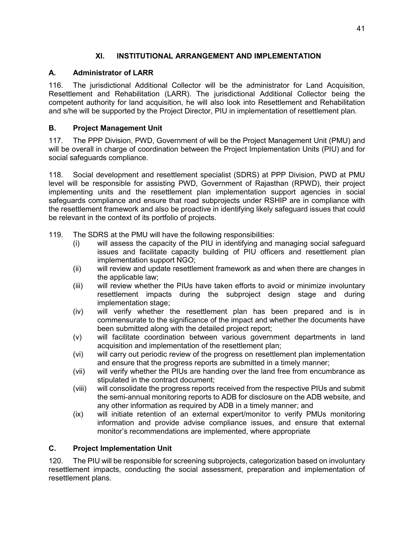# **XI. INSTITUTIONAL ARRANGEMENT AND IMPLEMENTATION**

# **A. Administrator of LARR**

116. The jurisdictional Additional Collector will be the administrator for Land Acquisition, Resettlement and Rehabilitation (LARR). The jurisdictional Additional Collector being the competent authority for land acquisition, he will also look into Resettlement and Rehabilitation and s/he will be supported by the Project Director, PIU in implementation of resettlement plan.

# **B. Project Management Unit**

117. The PPP Division, PWD, Government of will be the Project Management Unit (PMU) and will be overall in charge of coordination between the Project Implementation Units (PIU) and for social safeguards compliance.

118. Social development and resettlement specialist (SDRS) at PPP Division, PWD at PMU level will be responsible for assisting PWD, Government of Rajasthan (RPWD), their project implementing units and the resettlement plan implementation support agencies in social safeguards compliance and ensure that road subprojects under RSHIP are in compliance with the resettlement framework and also be proactive in identifying likely safeguard issues that could be relevant in the context of its portfolio of projects.

- 119. The SDRS at the PMU will have the following responsibilities:
	- (i) will assess the capacity of the PIU in identifying and managing social safeguard issues and facilitate capacity building of PIU officers and resettlement plan implementation support NGO;
	- (ii) will review and update resettlement framework as and when there are changes in the applicable law;
	- (iii) will review whether the PIUs have taken efforts to avoid or minimize involuntary resettlement impacts during the subproject design stage and during implementation stage;
	- (iv) will verify whether the resettlement plan has been prepared and is in commensurate to the significance of the impact and whether the documents have been submitted along with the detailed project report;
	- (v) will facilitate coordination between various government departments in land acquisition and implementation of the resettlement plan;
	- (vi) will carry out periodic review of the progress on resettlement plan implementation and ensure that the progress reports are submitted in a timely manner;
	- (vii) will verify whether the PIUs are handing over the land free from encumbrance as stipulated in the contract document;
	- (viii) will consolidate the progress reports received from the respective PIUs and submit the semi-annual monitoring reports to ADB for disclosure on the ADB website, and any other information as required by ADB in a timely manner; and
	- (ix) will initiate retention of an external expert/monitor to verify PMUs monitoring information and provide advise compliance issues, and ensure that external monitor's recommendations are implemented, where appropriate

#### **C. Project Implementation Unit**

120. The PIU will be responsible for screening subprojects, categorization based on involuntary resettlement impacts, conducting the social assessment, preparation and implementation of resettlement plans.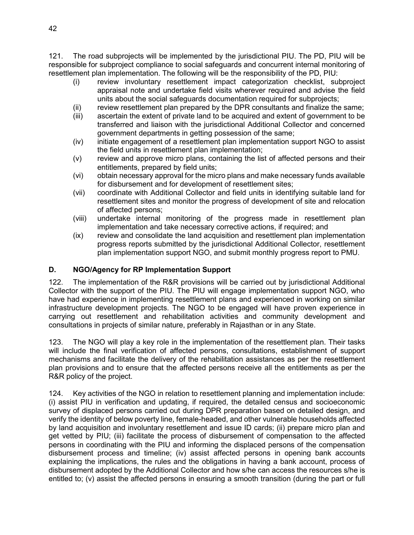121. The road subprojects will be implemented by the jurisdictional PIU. The PD, PIU will be responsible for subproject compliance to social safeguards and concurrent internal monitoring of resettlement plan implementation. The following will be the responsibility of the PD, PIU:

- (i) review involuntary resettlement impact categorization checklist, subproject appraisal note and undertake field visits wherever required and advise the field units about the social safeguards documentation required for subprojects;
- (ii) review resettlement plan prepared by the DPR consultants and finalize the same;
- (iii) ascertain the extent of private land to be acquired and extent of government to be transferred and liaison with the jurisdictional Additional Collector and concerned government departments in getting possession of the same;
- (iv) initiate engagement of a resettlement plan implementation support NGO to assist the field units in resettlement plan implementation;
- (v) review and approve micro plans, containing the list of affected persons and their entitlements, prepared by field units;
- (vi) obtain necessary approval for the micro plans and make necessary funds available for disbursement and for development of resettlement sites;
- (vii) coordinate with Additional Collector and field units in identifying suitable land for resettlement sites and monitor the progress of development of site and relocation of affected persons;
- (viii) undertake internal monitoring of the progress made in resettlement plan implementation and take necessary corrective actions, if required; and
- (ix) review and consolidate the land acquisition and resettlement plan implementation progress reports submitted by the jurisdictional Additional Collector, resettlement plan implementation support NGO, and submit monthly progress report to PMU.

#### **D. NGO/Agency for RP Implementation Support**

122. The implementation of the R&R provisions will be carried out by jurisdictional Additional Collector with the support of the PIU. The PIU will engage implementation support NGO, who have had experience in implementing resettlement plans and experienced in working on similar infrastructure development projects. The NGO to be engaged will have proven experience in carrying out resettlement and rehabilitation activities and community development and consultations in projects of similar nature, preferably in Rajasthan or in any State.

123. The NGO will play a key role in the implementation of the resettlement plan. Their tasks will include the final verification of affected persons, consultations, establishment of support mechanisms and facilitate the delivery of the rehabilitation assistances as per the resettlement plan provisions and to ensure that the affected persons receive all the entitlements as per the R&R policy of the project.

124. Key activities of the NGO in relation to resettlement planning and implementation include: (i) assist PIU in verification and updating, if required, the detailed census and socioeconomic survey of displaced persons carried out during DPR preparation based on detailed design, and verify the identity of below poverty line, female-headed, and other vulnerable households affected by land acquisition and involuntary resettlement and issue ID cards; (ii) prepare micro plan and get vetted by PIU; (iii) facilitate the process of disbursement of compensation to the affected persons in coordinating with the PIU and informing the displaced persons of the compensation disbursement process and timeline; (iv) assist affected persons in opening bank accounts explaining the implications, the rules and the obligations in having a bank account, process of disbursement adopted by the Additional Collector and how s/he can access the resources s/he is entitled to; (v) assist the affected persons in ensuring a smooth transition (during the part or full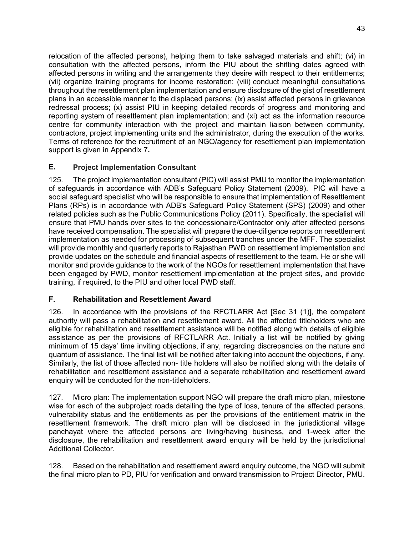relocation of the affected persons), helping them to take salvaged materials and shift; (vi) in consultation with the affected persons, inform the PIU about the shifting dates agreed with affected persons in writing and the arrangements they desire with respect to their entitlements; (vii) organize training programs for income restoration; (viii) conduct meaningful consultations throughout the resettlement plan implementation and ensure disclosure of the gist of resettlement plans in an accessible manner to the displaced persons; (ix) assist affected persons in grievance redressal process; (x) assist PIU in keeping detailed records of progress and monitoring and reporting system of resettlement plan implementation; and (xi) act as the information resource centre for community interaction with the project and maintain liaison between community, contractors, project implementing units and the administrator, during the execution of the works. Terms of reference for the recruitment of an NGO/agency for resettlement plan implementation support is given in Appendix 7**.**

#### **E. Project Implementation Consultant**

125. The project implementation consultant (PIC) will assist PMU to monitor the implementation of safeguards in accordance with ADB's Safeguard Policy Statement (2009). PIC will have a social safeguard specialist who will be responsible to ensure that implementation of Resettlement Plans (RPs) is in accordance with ADB's Safeguard Policy Statement (SPS) (2009) and other related policies such as the Public Communications Policy (2011). Specifically, the specialist will ensure that PMU hands over sites to the concessionaire/Contractor only after affected persons have received compensation. The specialist will prepare the due-diligence reports on resettlement implementation as needed for processing of subsequent tranches under the MFF. The specialist will provide monthly and quarterly reports to Rajasthan PWD on resettlement implementation and provide updates on the schedule and financial aspects of resettlement to the team. He or she will monitor and provide guidance to the work of the NGOs for resettlement implementation that have been engaged by PWD, monitor resettlement implementation at the project sites, and provide training, if required, to the PIU and other local PWD staff.

#### **F. Rehabilitation and Resettlement Award**

126. In accordance with the provisions of the RFCTLARR Act [Sec 31 (1)], the competent authority will pass a rehabilitation and resettlement award. All the affected titleholders who are eligible for rehabilitation and resettlement assistance will be notified along with details of eligible assistance as per the provisions of RFCTLARR Act. Initially a list will be notified by giving minimum of 15 days' time inviting objections, if any, regarding discrepancies on the nature and quantum of assistance. The final list will be notified after taking into account the objections, if any. Similarly, the list of those affected non- title holders will also be notified along with the details of rehabilitation and resettlement assistance and a separate rehabilitation and resettlement award enquiry will be conducted for the non-titleholders.

127. Micro plan: The implementation support NGO will prepare the draft micro plan, milestone wise for each of the subproject roads detailing the type of loss, tenure of the affected persons, vulnerability status and the entitlements as per the provisions of the entitlement matrix in the resettlement framework. The draft micro plan will be disclosed in the jurisdictional village panchayat where the affected persons are living/having business, and 1-week after the disclosure, the rehabilitation and resettlement award enquiry will be held by the jurisdictional Additional Collector.

128. Based on the rehabilitation and resettlement award enquiry outcome, the NGO will submit the final micro plan to PD, PIU for verification and onward transmission to Project Director, PMU.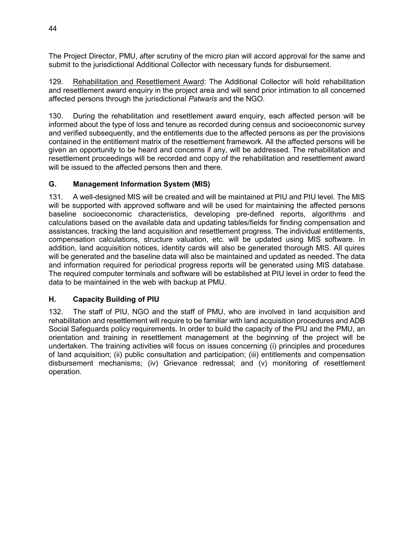The Project Director, PMU, after scrutiny of the micro plan will accord approval for the same and submit to the jurisdictional Additional Collector with necessary funds for disbursement.

129. Rehabilitation and Resettlement Award: The Additional Collector will hold rehabilitation and resettlement award enquiry in the project area and will send prior intimation to all concerned affected persons through the jurisdictional *Patwaris* and the NGO.

130. During the rehabilitation and resettlement award enquiry, each affected person will be informed about the type of loss and tenure as recorded during census and socioeconomic survey and verified subsequently, and the entitlements due to the affected persons as per the provisions contained in the entitlement matrix of the resettlement framework. All the affected persons will be given an opportunity to be heard and concerns if any, will be addressed. The rehabilitation and resettlement proceedings will be recorded and copy of the rehabilitation and resettlement award will be issued to the affected persons then and there.

#### **G. Management Information System (MIS)**

131. A well-designed MIS will be created and will be maintained at PIU and PIU level. The MIS will be supported with approved software and will be used for maintaining the affected persons baseline socioeconomic characteristics, developing pre-defined reports, algorithms and calculations based on the available data and updating tables/fields for finding compensation and assistances, tracking the land acquisition and resettlement progress. The individual entitlements, compensation calculations, structure valuation, etc. will be updated using MIS software. In addition, land acquisition notices, identity cards will also be generated thorough MIS. All quires will be generated and the baseline data will also be maintained and updated as needed. The data and information required for periodical progress reports will be generated using MIS database. The required computer terminals and software will be established at PIU level in order to feed the data to be maintained in the web with backup at PMU.

#### **H. Capacity Building of PIU**

132. The staff of PIU, NGO and the staff of PMU, who are involved in land acquisition and rehabilitation and resettlement will require to be familiar with land acquisition procedures and ADB Social Safeguards policy requirements. In order to build the capacity of the PIU and the PMU, an orientation and training in resettlement management at the beginning of the project will be undertaken. The training activities will focus on issues concerning (i) principles and procedures of land acquisition; (ii) public consultation and participation; (iii) entitlements and compensation disbursement mechanisms; (iv) Grievance redressal; and (v) monitoring of resettlement operation.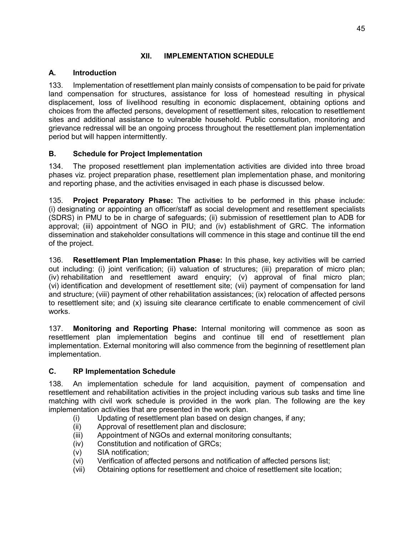### **XII. IMPLEMENTATION SCHEDULE**

# **A. Introduction**

133. Implementation of resettlement plan mainly consists of compensation to be paid for private land compensation for structures, assistance for loss of homestead resulting in physical displacement, loss of livelihood resulting in economic displacement, obtaining options and choices from the affected persons, development of resettlement sites, relocation to resettlement sites and additional assistance to vulnerable household. Public consultation, monitoring and grievance redressal will be an ongoing process throughout the resettlement plan implementation period but will happen intermittently.

# **B. Schedule for Project Implementation**

134. The proposed resettlement plan implementation activities are divided into three broad phases viz. project preparation phase, resettlement plan implementation phase, and monitoring and reporting phase, and the activities envisaged in each phase is discussed below.

135. **Project Preparatory Phase:** The activities to be performed in this phase include: (i) designating or appointing an officer/staff as social development and resettlement specialists (SDRS) in PMU to be in charge of safeguards; (ii) submission of resettlement plan to ADB for approval; (iii) appointment of NGO in PIU; and (iv) establishment of GRC. The information dissemination and stakeholder consultations will commence in this stage and continue till the end of the project.

136. **Resettlement Plan Implementation Phase:** In this phase, key activities will be carried out including: (i) joint verification; (ii) valuation of structures; (iii) preparation of micro plan; (iv) rehabilitation and resettlement award enquiry; (v) approval of final micro plan; (vi) identification and development of resettlement site; (vii) payment of compensation for land and structure; (viii) payment of other rehabilitation assistances; (ix) relocation of affected persons to resettlement site; and (x) issuing site clearance certificate to enable commencement of civil works.

137. **Monitoring and Reporting Phase:** Internal monitoring will commence as soon as resettlement plan implementation begins and continue till end of resettlement plan implementation. External monitoring will also commence from the beginning of resettlement plan implementation.

#### **C. RP Implementation Schedule**

138. An implementation schedule for land acquisition, payment of compensation and resettlement and rehabilitation activities in the project including various sub tasks and time line matching with civil work schedule is provided in the work plan. The following are the key implementation activities that are presented in the work plan.

- (i) Updating of resettlement plan based on design changes, if any;
- (ii) Approval of resettlement plan and disclosure;
- (iii) Appointment of NGOs and external monitoring consultants;
- (iv) Constitution and notification of GRCs;
- (v) SIA notification;
- (vi) Verification of affected persons and notification of affected persons list;
- (vii) Obtaining options for resettlement and choice of resettlement site location;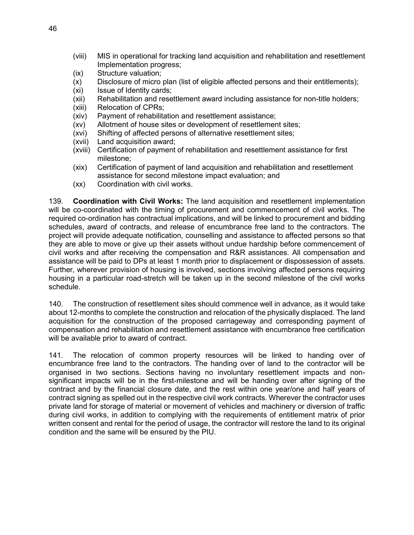- (viii) MIS in operational for tracking land acquisition and rehabilitation and resettlement Implementation progress;
- (ix) Structure valuation;
- (x) Disclosure of micro plan (list of eligible affected persons and their entitlements);
- (xi) Issue of Identity cards;
- (xii) Rehabilitation and resettlement award including assistance for non-title holders;
- (xiii) Relocation of CPRs;
- (xiv) Payment of rehabilitation and resettlement assistance;
- (xv) Allotment of house sites or development of resettlement sites;
- (xvi) Shifting of affected persons of alternative resettlement sites;
- (xvii) Land acquisition award;
- (xviii) Certification of payment of rehabilitation and resettlement assistance for first milestone;
- (xix) Certification of payment of land acquisition and rehabilitation and resettlement assistance for second milestone impact evaluation; and
- (xx) Coordination with civil works.

139. **Coordination with Civil Works:** The land acquisition and resettlement implementation will be co-coordinated with the timing of procurement and commencement of civil works. The required co-ordination has contractual implications, and will be linked to procurement and bidding schedules, award of contracts, and release of encumbrance free land to the contractors. The project will provide adequate notification, counselling and assistance to affected persons so that they are able to move or give up their assets without undue hardship before commencement of civil works and after receiving the compensation and R&R assistances. All compensation and assistance will be paid to DPs at least 1 month prior to displacement or dispossession of assets. Further, wherever provision of housing is involved, sections involving affected persons requiring housing in a particular road-stretch will be taken up in the second milestone of the civil works schedule.

140. The construction of resettlement sites should commence well in advance, as it would take about 12-months to complete the construction and relocation of the physically displaced. The land acquisition for the construction of the proposed carriageway and corresponding payment of compensation and rehabilitation and resettlement assistance with encumbrance free certification will be available prior to award of contract.

141. The relocation of common property resources will be linked to handing over of encumbrance free land to the contractors. The handing over of land to the contractor will be organised in two sections. Sections having no involuntary resettlement impacts and nonsignificant impacts will be in the first-milestone and will be handing over after signing of the contract and by the financial closure date, and the rest within one year/one and half years of contract signing as spelled out in the respective civil work contracts. Wherever the contractor uses private land for storage of material or movement of vehicles and machinery or diversion of traffic during civil works, in addition to complying with the requirements of entitlement matrix of prior written consent and rental for the period of usage, the contractor will restore the land to its original condition and the same will be ensured by the PIU.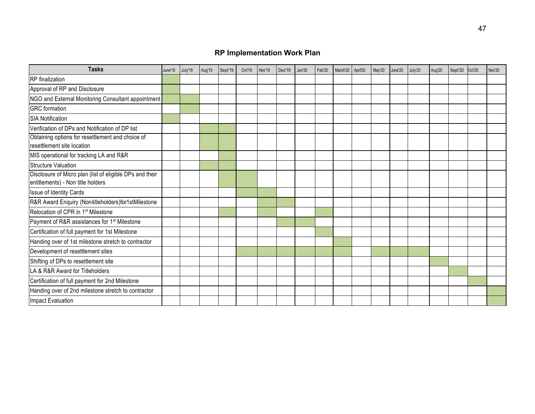# **RP Implementation Work Plan**

| <b>Tasks</b>                                                                                  | June'19 | July'19 | Aug'19 | Sept'19 | Oct'19 | Nov'19 | Dec'19 | Jan'20 | Feb'20 | March'20 | April'20 | May'20 | June'20 | July'20 | Aug'20 | Sept'20 | Oct'20 | Nov'20 |
|-----------------------------------------------------------------------------------------------|---------|---------|--------|---------|--------|--------|--------|--------|--------|----------|----------|--------|---------|---------|--------|---------|--------|--------|
| <b>RP</b> finalization                                                                        |         |         |        |         |        |        |        |        |        |          |          |        |         |         |        |         |        |        |
| Approval of RP and Disclosure                                                                 |         |         |        |         |        |        |        |        |        |          |          |        |         |         |        |         |        |        |
| NGO and External Monitoring Consultant appointment                                            |         |         |        |         |        |        |        |        |        |          |          |        |         |         |        |         |        |        |
| <b>GRC</b> formation                                                                          |         |         |        |         |        |        |        |        |        |          |          |        |         |         |        |         |        |        |
| <b>SIA Notification</b>                                                                       |         |         |        |         |        |        |        |        |        |          |          |        |         |         |        |         |        |        |
| Verification of DPs and Notification of DP list                                               |         |         |        |         |        |        |        |        |        |          |          |        |         |         |        |         |        |        |
| Obtaining options for resettlement and choice of<br>resettlement site location                |         |         |        |         |        |        |        |        |        |          |          |        |         |         |        |         |        |        |
| MIS operational for tracking LA and R&R                                                       |         |         |        |         |        |        |        |        |        |          |          |        |         |         |        |         |        |        |
| Structure Valuation                                                                           |         |         |        |         |        |        |        |        |        |          |          |        |         |         |        |         |        |        |
| Disclosure of Micro plan (list of eligible DPs and their<br>entitlements) - Non title holders |         |         |        |         |        |        |        |        |        |          |          |        |         |         |        |         |        |        |
| Issue of Identity Cards                                                                       |         |         |        |         |        |        |        |        |        |          |          |        |         |         |        |         |        |        |
| R&R Award Enquiry (Non-titleholders)for1stMilestone                                           |         |         |        |         |        |        |        |        |        |          |          |        |         |         |        |         |        |        |
| Relocation of CPR in 1 <sup>st</sup> Milestone                                                |         |         |        |         |        |        |        |        |        |          |          |        |         |         |        |         |        |        |
| Payment of R&R assistances for 1 <sup>st</sup> Milestone                                      |         |         |        |         |        |        |        |        |        |          |          |        |         |         |        |         |        |        |
| Certification of full payment for 1st Milestone                                               |         |         |        |         |        |        |        |        |        |          |          |        |         |         |        |         |        |        |
| Handing over of 1st milestone stretch to contractor                                           |         |         |        |         |        |        |        |        |        |          |          |        |         |         |        |         |        |        |
| Development of resettlement sites                                                             |         |         |        |         |        |        |        |        |        |          |          |        |         |         |        |         |        |        |
| Shifting of DPs to resettlement site                                                          |         |         |        |         |        |        |        |        |        |          |          |        |         |         |        |         |        |        |
| LA & R&R Award for Titleholders                                                               |         |         |        |         |        |        |        |        |        |          |          |        |         |         |        |         |        |        |
| Certification of full payment for 2nd Milestone                                               |         |         |        |         |        |        |        |        |        |          |          |        |         |         |        |         |        |        |
| Handing over of 2nd milestone stretch to contractor                                           |         |         |        |         |        |        |        |        |        |          |          |        |         |         |        |         |        |        |
| Impact Evaluation                                                                             |         |         |        |         |        |        |        |        |        |          |          |        |         |         |        |         |        |        |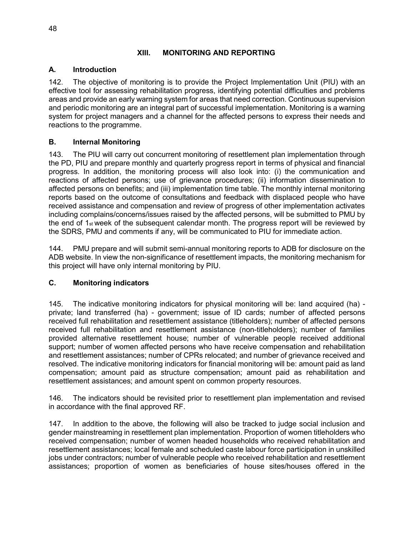#### **XIII. MONITORING AND REPORTING**

#### **A. Introduction**

142. The objective of monitoring is to provide the Project Implementation Unit (PIU) with an effective tool for assessing rehabilitation progress, identifying potential difficulties and problems areas and provide an early warning system for areas that need correction. Continuous supervision and periodic monitoring are an integral part of successful implementation. Monitoring is a warning system for project managers and a channel for the affected persons to express their needs and reactions to the programme.

#### **B. Internal Monitoring**

143. The PIU will carry out concurrent monitoring of resettlement plan implementation through the PD, PIU and prepare monthly and quarterly progress report in terms of physical and financial progress. In addition, the monitoring process will also look into: (i) the communication and reactions of affected persons; use of grievance procedures; (ii) information dissemination to affected persons on benefits; and (iii) implementation time table. The monthly internal monitoring reports based on the outcome of consultations and feedback with displaced people who have received assistance and compensation and review of progress of other implementation activates including complains/concerns/issues raised by the affected persons, will be submitted to PMU by the end of 1st week of the subsequent calendar month. The progress report will be reviewed by the SDRS, PMU and comments if any, will be communicated to PIU for immediate action.

144. PMU prepare and will submit semi-annual monitoring reports to ADB for disclosure on the ADB website. In view the non-significance of resettlement impacts, the monitoring mechanism for this project will have only internal monitoring by PIU.

#### **C. Monitoring indicators**

145. The indicative monitoring indicators for physical monitoring will be: land acquired (ha) private; land transferred (ha) - government; issue of ID cards; number of affected persons received full rehabilitation and resettlement assistance (titleholders); number of affected persons received full rehabilitation and resettlement assistance (non-titleholders); number of families provided alternative resettlement house; number of vulnerable people received additional support; number of women affected persons who have receive compensation and rehabilitation and resettlement assistances; number of CPRs relocated; and number of grievance received and resolved. The indicative monitoring indicators for financial monitoring will be: amount paid as land compensation; amount paid as structure compensation; amount paid as rehabilitation and resettlement assistances; and amount spent on common property resources.

146. The indicators should be revisited prior to resettlement plan implementation and revised in accordance with the final approved RF.

147. In addition to the above, the following will also be tracked to judge social inclusion and gender mainstreaming in resettlement plan implementation. Proportion of women titleholders who received compensation; number of women headed households who received rehabilitation and resettlement assistances; local female and scheduled caste labour force participation in unskilled jobs under contractors; number of vulnerable people who received rehabilitation and resettlement assistances; proportion of women as beneficiaries of house sites/houses offered in the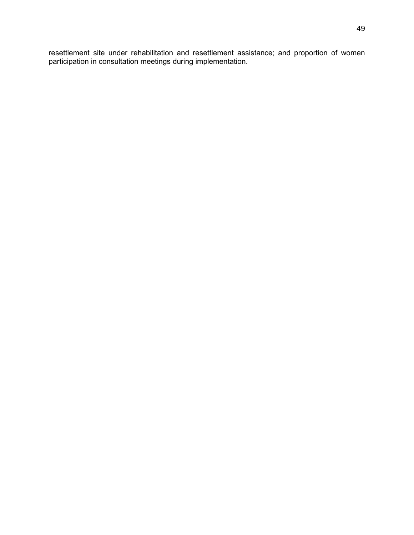resettlement site under rehabilitation and resettlement assistance; and proportion of women participation in consultation meetings during implementation.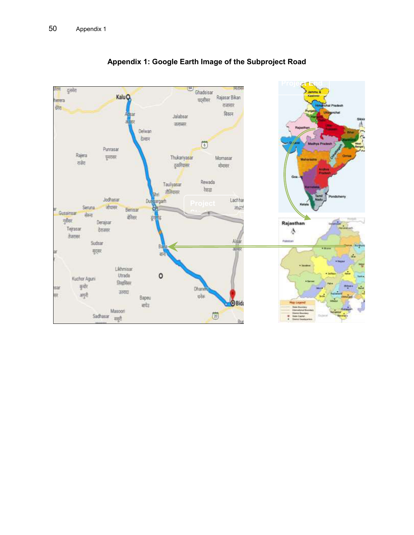

# **Appendix 1: Google Earth Image of the Subproject Road**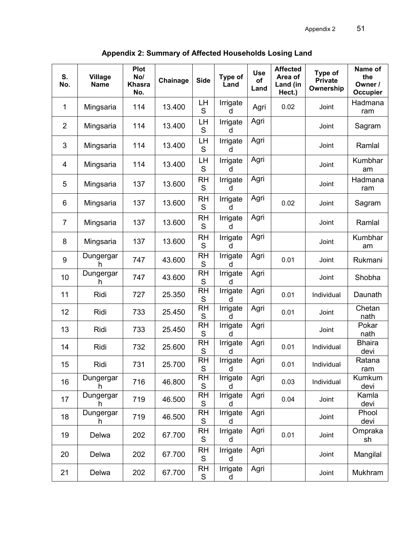**Appendix 2: Summary of Affected Households Losing Land**

| S.<br>No.      | <b>Village</b><br><b>Name</b> | <b>Plot</b><br>No/<br>Khasra<br>No. | Chainage | <b>Side</b>              | Type of<br>Land | <b>Use</b><br>of<br>Land | <b>Affected</b><br>Area of<br>Land (in<br>Hect.) | Type of<br><b>Private</b><br>Ownership | Name of<br>the<br>Owner /<br>Occupier |
|----------------|-------------------------------|-------------------------------------|----------|--------------------------|-----------------|--------------------------|--------------------------------------------------|----------------------------------------|---------------------------------------|
| 1              | Mingsaria                     | 114                                 | 13.400   | LH<br>S                  | Irrigate<br>d   | Agri                     | 0.02                                             | Joint                                  | Hadmana<br>ram                        |
| $\overline{2}$ | Mingsaria                     | 114                                 | 13.400   | LН<br>S                  | Irrigate<br>d   | Agri                     |                                                  | Joint                                  | Sagram                                |
| 3              | Mingsaria                     | 114                                 | 13.400   | LH<br>S                  | Irrigate<br>d   | Agri                     |                                                  | Joint                                  | Ramlal                                |
| 4              | Mingsaria                     | 114                                 | 13.400   | LH<br>S                  | Irrigate<br>d   | Agri                     |                                                  | Joint                                  | Kumbhar<br>am                         |
| 5              | Mingsaria                     | 137                                 | 13.600   | RH<br>S                  | Irrigate<br>d   | Agri                     |                                                  | Joint                                  | Hadmana<br>ram                        |
| 6              | Mingsaria                     | 137                                 | 13.600   | <b>RH</b><br>S           | Irrigate<br>d   | Agri                     | 0.02                                             | Joint                                  | Sagram                                |
| $\overline{7}$ | Mingsaria                     | 137                                 | 13.600   | RH<br>S                  | Irrigate<br>d   | Agri                     |                                                  | Joint                                  | Ramlal                                |
| 8              | Mingsaria                     | 137                                 | 13.600   | RH<br>S                  | Irrigate<br>d   | Agri                     |                                                  | Joint                                  | Kumbhar<br>am                         |
| 9              | Dungergar<br>h                | 747                                 | 43.600   | <b>RH</b><br>S           | Irrigate<br>d   | Agri                     | 0.01                                             | Joint                                  | Rukmani                               |
| 10             | Dungergar<br>h                | 747                                 | 43.600   | <b>RH</b><br>S           | Irrigate<br>d   | Agri                     |                                                  | Joint                                  | Shobha                                |
| 11             | Ridi                          | 727                                 | 25.350   | RH<br>S                  | Irrigate<br>d   | Agri                     | 0.01                                             | Individual                             | Daunath                               |
| 12             | Ridi                          | 733                                 | 25.450   | <b>RH</b><br>S           | Irrigate<br>d   | Agri                     | 0.01                                             | Joint                                  | Chetan<br>nath                        |
| 13             | Ridi                          | 733                                 | 25.450   | <b>RH</b><br>S           | Irrigate<br>d   | Agri                     |                                                  | Joint                                  | Pokar<br>nath                         |
| 14             | Ridi                          | 732                                 | 25.600   | <b>RH</b><br>S           | Irrigate<br>d   | Agri                     | 0.01                                             | Individual                             | <b>Bhaira</b><br>devi                 |
| 15             | Ridi                          | 731                                 | 25.700   | <b>RH</b><br>S           | Irrigate<br>d   | Agri                     | 0.01                                             | Individual                             | Ratana<br>ram                         |
| 16             | Dungergar<br>h                | 716                                 | 46.800   | <b>RH</b><br>$\mathsf S$ | Irrigate<br>d   | Agri                     | 0.03                                             | Individual                             | Kumkum<br>devi                        |
| 17             | Dungergar<br>h.               | 719                                 | 46.500   | RH<br>$\mathbb S$        | Irrigate<br>d   | Agri                     | 0.04                                             | Joint                                  | Kamla<br>devi                         |
| 18             | Dungergar<br>h                | 719                                 | 46.500   | <b>RH</b><br>$\mathsf S$ | Irrigate<br>d   | Agri                     |                                                  | Joint                                  | Phool<br>devi                         |
| 19             | Delwa                         | 202                                 | 67.700   | RH<br>S                  | Irrigate<br>d   | Agri                     | 0.01                                             | Joint                                  | Ompraka<br>sh                         |
| 20             | Delwa                         | 202                                 | 67.700   | RH<br>$\mathsf S$        | Irrigate<br>d   | Agri                     |                                                  | Joint                                  | Mangilal                              |
| 21             | Delwa                         | 202                                 | 67.700   | <b>RH</b><br>$\mathsf S$ | Irrigate<br>d   | Agri                     |                                                  | Joint                                  | Mukhram                               |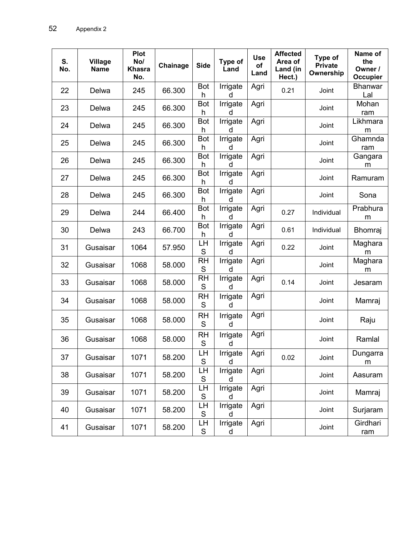| S.<br>No. | <b>Village</b><br><b>Name</b> | Plot<br>No/<br><b>Khasra</b><br>No. | Chainage | <b>Side</b>              | Type of<br>Land      | <b>Use</b><br>of<br>Land | <b>Affected</b><br>Area of<br>Land (in<br>Hect.) | Type of<br><b>Private</b><br>Ownership | Name of<br>the<br>Owner /<br>Occupier |
|-----------|-------------------------------|-------------------------------------|----------|--------------------------|----------------------|--------------------------|--------------------------------------------------|----------------------------------------|---------------------------------------|
| 22        | Delwa                         | 245                                 | 66.300   | Bot<br>h                 | Irrigate<br>d        | Agri                     | 0.21                                             | Joint                                  | <b>Bhanwar</b><br>Lal                 |
| 23        | Delwa                         | 245                                 | 66.300   | Bot<br>h                 | Irrigate<br>d        | Agri                     |                                                  | Joint                                  | Mohan<br>ram                          |
| 24        | Delwa                         | 245                                 | 66.300   | Bot<br>h                 | Irrigate<br>d        | Agri                     |                                                  | Joint                                  | Likhmara<br>m                         |
| 25        | Delwa                         | 245                                 | 66.300   | <b>Bot</b><br>h          | Irrigate<br>d        | Agri                     |                                                  | Joint                                  | Ghamnda<br>ram                        |
| 26        | Delwa                         | 245                                 | 66.300   | Bot<br>h                 | Irrigate<br>d        | Agri                     |                                                  | Joint                                  | Gangara<br>m                          |
| 27        | Delwa                         | 245                                 | 66.300   | Bot<br>h                 | Irrigate<br>d        | Agri                     |                                                  | Joint                                  | Ramuram                               |
| 28        | Delwa                         | 245                                 | 66.300   | Bot<br>h                 | Irrigate<br>d        | Agri                     |                                                  | Joint                                  | Sona                                  |
| 29        | Delwa                         | 244                                 | 66.400   | Bot<br>h                 | <b>Irrigate</b><br>d | Agri                     | 0.27                                             | Individual                             | Prabhura<br>m                         |
| 30        | Delwa                         | 243                                 | 66.700   | <b>Bot</b><br>h          | Irrigate<br>d        | Agri                     | 0.61                                             | Individual                             | <b>Bhomraj</b>                        |
| 31        | Gusaisar                      | 1064                                | 57.950   | LH<br>$\mathbf S$        | <b>Irrigate</b><br>d | Agri                     | 0.22                                             | Joint                                  | Maghara<br>m                          |
| 32        | Gusaisar                      | 1068                                | 58.000   | <b>RH</b><br>$\mathbf S$ | Irrigate<br>d        | Agri                     |                                                  | Joint                                  | Maghara<br>m                          |
| 33        | Gusaisar                      | 1068                                | 58.000   | <b>RH</b><br>S           | Irrigate<br>d        | Agri                     | 0.14                                             | Joint                                  | Jesaram                               |
| 34        | Gusaisar                      | 1068                                | 58.000   | <b>RH</b><br>S           | Irrigate<br>d        | Agri                     |                                                  | Joint                                  | Mamraj                                |
| 35        | Gusaisar                      | 1068                                | 58.000   | RH<br>S                  | Irrigate<br>d        | Agri                     |                                                  | Joint                                  | Raju                                  |
| 36        | Gusaisar                      | 1068                                | 58.000   | <b>RH</b><br>$\mathbf S$ | Irrigate<br>d        | Agri                     |                                                  | Joint                                  | Ramlal                                |
| 37        | Gusaisar                      | 1071                                | 58.200   | LН<br>$\mathbb S$        | Irrigate<br>d        | Agri                     | 0.02                                             | Joint                                  | Dungarra<br>m                         |
| 38        | Gusaisar                      | 1071                                | 58.200   | LH<br>$\mathbb S$        | Irrigate<br>d        | Agri                     |                                                  | Joint                                  | Aasuram                               |
| 39        | Gusaisar                      | 1071                                | 58.200   | LH<br>$\mathbb S$        | Irrigate<br>d        | Agri                     |                                                  | Joint                                  | Mamraj                                |
| 40        | Gusaisar                      | 1071                                | 58.200   | LН<br>S                  | Irrigate<br>d        | Agri                     |                                                  | Joint                                  | Surjaram                              |
| 41        | Gusaisar                      | 1071                                | 58.200   | LН<br>${\mathsf S}$      | Irrigate<br>d        | Agri                     |                                                  | Joint                                  | Girdhari<br>ram                       |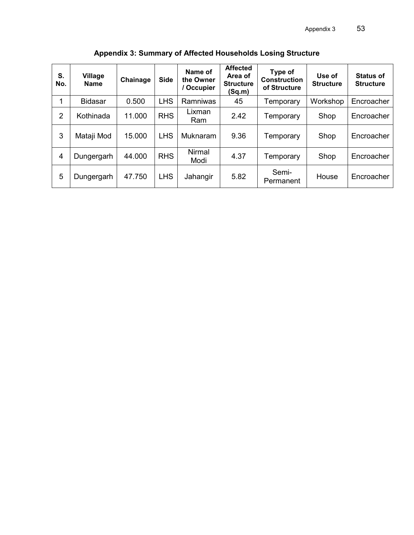| S.<br>No.      | <b>Village</b><br><b>Name</b> | Chainage | <b>Side</b> | Name of<br>the Owner<br>Occupier | <b>Affected</b><br>Area of<br><b>Structure</b><br>(Sq.m) | Type of<br><b>Construction</b><br>of Structure | Use of<br><b>Structure</b> | <b>Status of</b><br><b>Structure</b> |
|----------------|-------------------------------|----------|-------------|----------------------------------|----------------------------------------------------------|------------------------------------------------|----------------------------|--------------------------------------|
| 1              | <b>Bidasar</b>                | 0.500    | <b>LHS</b>  | Ramniwas                         | 45                                                       | Temporary                                      | Workshop                   | Encroacher                           |
| 2              | Kothinada                     | 11.000   | <b>RHS</b>  | Lixman<br>Ram                    | 2.42                                                     | Temporary                                      | Shop                       | Encroacher                           |
| 3              | Mataji Mod                    | 15.000   | <b>LHS</b>  | Muknaram                         | 9.36                                                     | Temporary                                      | Shop                       | Encroacher                           |
| $\overline{4}$ | Dungergarh                    | 44.000   | <b>RHS</b>  | <b>Nirmal</b><br>Modi            | 4.37                                                     | Temporary                                      | Shop                       | Encroacher                           |
| 5              | Dungergarh                    | 47.750   | <b>LHS</b>  | Jahangir                         | 5.82                                                     | Semi-<br>Permanent                             | House                      | Encroacher                           |

**Appendix 3: Summary of Affected Households Losing Structure**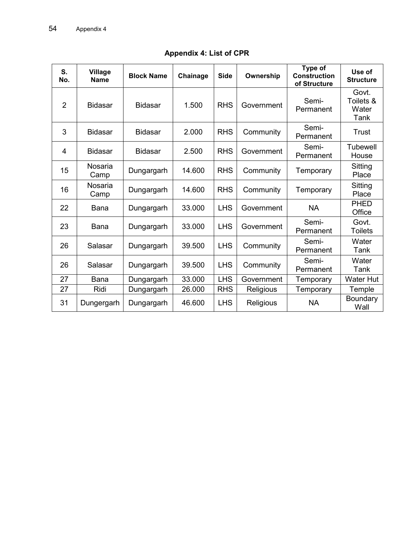| S.<br>No.      | <b>Village</b><br><b>Name</b> | <b>Block Name</b> | Chainage | <b>Side</b>             | Ownership  | Type of<br><b>Construction</b><br>of Structure | Use of<br><b>Structure</b>          |
|----------------|-------------------------------|-------------------|----------|-------------------------|------------|------------------------------------------------|-------------------------------------|
| $\overline{2}$ | <b>Bidasar</b>                | <b>Bidasar</b>    | 1.500    | <b>RHS</b>              | Government | Semi-<br>Permanent                             | Govt.<br>Toilets &<br>Water<br>Tank |
| 3              | <b>Bidasar</b>                | <b>Bidasar</b>    | 2.000    | <b>RHS</b><br>Community |            | Semi-<br>Permanent                             | Trust                               |
| 4              | <b>Bidasar</b>                | <b>Bidasar</b>    | 2.500    | <b>RHS</b>              | Government | Semi-<br>Permanent                             | <b>Tubewell</b><br>House            |
| 15             | <b>Nosaria</b><br>Camp        | Dungargarh        | 14.600   | <b>RHS</b>              | Community  | Temporary                                      | Sitting<br>Place                    |
| 16             | <b>Nosaria</b><br>Camp        | Dungargarh        | 14.600   | <b>RHS</b>              | Community  | Temporary                                      | Sitting<br>Place                    |
| 22             | <b>Bana</b>                   | Dungargarh        | 33.000   | <b>LHS</b>              | Government | <b>NA</b>                                      | <b>PHED</b><br>Office               |
| 23             | Bana                          | Dungargarh        | 33.000   | <b>LHS</b>              | Government | Semi-<br>Permanent                             | Govt.<br><b>Toilets</b>             |
| 26             | Salasar                       | Dungargarh        | 39.500   | <b>LHS</b>              | Community  | Semi-<br>Permanent                             | Water<br>Tank                       |
| 26             | Salasar                       | Dungargarh        | 39.500   | <b>LHS</b>              | Community  | Semi-<br>Permanent                             | Water<br>Tank                       |
| 27             | <b>Bana</b>                   | Dungargarh        | 33.000   | <b>LHS</b>              | Government | Temporary                                      | <b>Water Hut</b>                    |
| 27             | Ridi                          | Dungargarh        | 26.000   | <b>RHS</b>              | Religious  | Temporary                                      | Temple                              |
| 31             | Dungergarh                    | Dungargarh        | 46.600   | <b>LHS</b>              | Religious  | <b>NA</b>                                      | Boundary<br>Wall                    |

# **Appendix 4: List of CPR**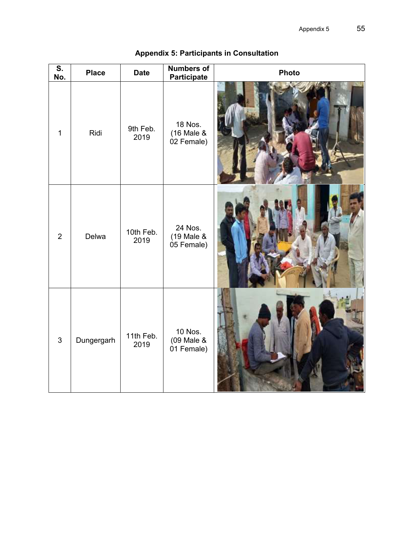| $\overline{\mathsf{s}}$ .<br>No. | <b>Place</b> | <b>Date</b>       | <b>Numbers of</b><br><b>Participate</b>    | <b>Photo</b> |
|----------------------------------|--------------|-------------------|--------------------------------------------|--------------|
| $\mathbf{1}$                     | Ridi         | 9th Feb.<br>2019  | <b>18 Nos.</b><br>(16 Male &<br>02 Female) |              |
| $\overline{2}$                   | Delwa        | 10th Feb.<br>2019 | 24 Nos.<br>(19 Male &<br>05 Female)        |              |
| $\mathfrak{S}$                   | Dungergarh   | 11th Feb.<br>2019 | 10 Nos.<br>(09 Male &<br>01 Female)        |              |

# **Appendix 5: Participants in Consultation**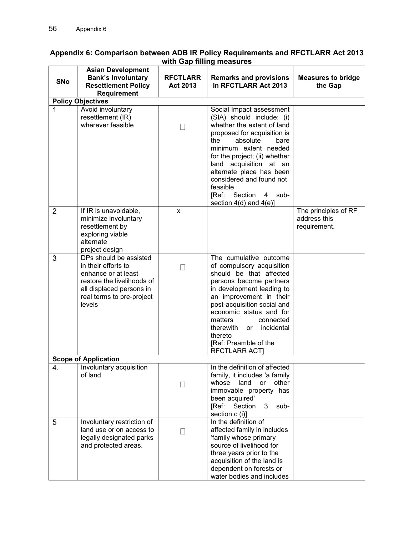| <b>SNo</b>                  | <b>Asian Development</b><br><b>Bank's Involuntary</b><br><b>Resettlement Policy</b><br>Requirement                                                                    | <b>RFCTLARR</b><br>Act 2013 | <b>Remarks and provisions</b><br>in RFCTLARR Act 2013                                                                                                                                                                                                                                                                                                           | <b>Measures to bridge</b><br>the Gap                 |  |
|-----------------------------|-----------------------------------------------------------------------------------------------------------------------------------------------------------------------|-----------------------------|-----------------------------------------------------------------------------------------------------------------------------------------------------------------------------------------------------------------------------------------------------------------------------------------------------------------------------------------------------------------|------------------------------------------------------|--|
|                             | <b>Policy Objectives</b>                                                                                                                                              |                             |                                                                                                                                                                                                                                                                                                                                                                 |                                                      |  |
| 1                           | Avoid involuntary<br>resettlement (IR)<br>wherever feasible                                                                                                           | П                           | Social Impact assessment<br>(SIA) should include: (i)<br>whether the extent of land<br>proposed for acquisition is<br>absolute<br>the<br>bare<br>minimum extent needed<br>for the project; (ii) whether<br>land acquisition at an<br>alternate place has been<br>considered and found not<br>feasible<br>[Ref: Section<br>4 sub-<br>section $4(d)$ and $4(e)$ ] |                                                      |  |
| $\overline{2}$              | If IR is unavoidable,<br>minimize involuntary<br>resettlement by<br>exploring viable<br>alternate<br>project design                                                   | X                           |                                                                                                                                                                                                                                                                                                                                                                 | The principles of RF<br>address this<br>requirement. |  |
| 3                           | DPs should be assisted<br>in their efforts to<br>enhance or at least<br>restore the livelihoods of<br>all displaced persons in<br>real terms to pre-project<br>levels | $\Box$                      | The cumulative outcome<br>of compulsory acquisition<br>should be that affected<br>persons become partners<br>in development leading to<br>an improvement in their<br>post-acquisition social and<br>economic status and for<br>connected<br>matters<br>incidental<br>therewith<br>or<br>thereto<br>[Ref: Preamble of the<br><b>RFCTLARR ACT]</b>                |                                                      |  |
| <b>Scope of Application</b> |                                                                                                                                                                       |                             |                                                                                                                                                                                                                                                                                                                                                                 |                                                      |  |
| 4                           | Involuntary acquisition<br>of land                                                                                                                                    |                             | In the definition of affected<br>family, it includes 'a family<br>whose<br>land<br>other<br>or<br>immovable property has<br>been acquired'<br>[Ref: Section<br>3<br>sub-<br>section c (i)]                                                                                                                                                                      |                                                      |  |
| 5                           | Involuntary restriction of<br>land use or on access to<br>legally designated parks<br>and protected areas.                                                            |                             | In the definition of<br>affected family in includes<br>'family whose primary<br>source of livelihood for<br>three years prior to the<br>acquisition of the land is<br>dependent on forests or<br>water bodies and includes                                                                                                                                      |                                                      |  |

#### **Appendix 6: Comparison between ADB IR Policy Requirements and RFCTLARR Act 2013 with Gap filling measures**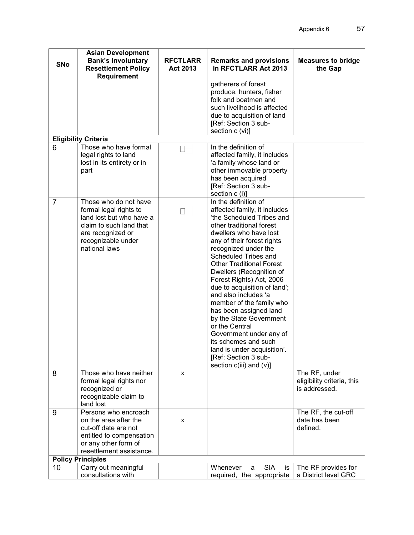| <b>SNo</b><br>in RFCTLARR Act 2013<br><b>Resettlement Policy</b><br><b>Act 2013</b><br>the Gap<br>Requirement<br>gatherers of forest<br>produce, hunters, fisher<br>folk and boatmen and<br>such livelihood is affected<br>due to acquisition of land<br>[Ref: Section 3 sub-<br>section c (vi)]<br><b>Eligibility Criteria</b><br>Those who have formal<br>In the definition of<br>6<br>legal rights to land<br>affected family, it includes<br>'a family whose land or<br>lost in its entirety or in<br>other immovable property<br>part<br>has been acquired'<br>[Ref: Section 3 sub-<br>section c (i)]<br>In the definition of<br>Those who do not have<br>7<br>formal legal rights to<br>affected family, it includes<br>land lost but who have a<br>'the Scheduled Tribes and<br>claim to such land that<br>other traditional forest<br>dwellers who have lost<br>are recognized or<br>recognizable under<br>any of their forest rights<br>national laws<br>recognized under the<br>Scheduled Tribes and<br><b>Other Traditional Forest</b><br>Dwellers (Recognition of<br>Forest Rights) Act, 2006<br>due to acquisition of land';<br>and also includes 'a<br>member of the family who<br>has been assigned land<br>by the State Government<br>or the Central<br>Government under any of<br>its schemes and such<br>land is under acquisition'.<br>[Ref: Section 3 sub-<br>section $c(iii)$ and $(v)$ ]<br>Those who have neither<br>The RF, under<br>8<br>X<br>eligibility criteria, this<br>formal legal rights nor<br>is addressed.<br>recognized or<br>recognizable claim to<br>land lost<br>Persons who encroach<br>The RF, the cut-off<br>9<br>date has been<br>on the area after the<br>X<br>defined.<br>cut-off date are not<br>entitled to compensation<br>or any other form of<br>resettlement assistance.<br><b>Policy Principles</b><br>Carry out meaningful<br><b>SIA</b><br>Whenever<br>The RF provides for<br>10<br>is<br>a<br>consultations with<br>a District level GRC<br>required, the appropriate | <b>Asian Development</b><br><b>Bank's Involuntary</b> | <b>RFCTLARR</b> | <b>Remarks and provisions</b> | <b>Measures to bridge</b> |
|------------------------------------------------------------------------------------------------------------------------------------------------------------------------------------------------------------------------------------------------------------------------------------------------------------------------------------------------------------------------------------------------------------------------------------------------------------------------------------------------------------------------------------------------------------------------------------------------------------------------------------------------------------------------------------------------------------------------------------------------------------------------------------------------------------------------------------------------------------------------------------------------------------------------------------------------------------------------------------------------------------------------------------------------------------------------------------------------------------------------------------------------------------------------------------------------------------------------------------------------------------------------------------------------------------------------------------------------------------------------------------------------------------------------------------------------------------------------------------------------------------------------------------------------------------------------------------------------------------------------------------------------------------------------------------------------------------------------------------------------------------------------------------------------------------------------------------------------------------------------------------------------------------------------------------------------------------------------------------------------------------------------------|-------------------------------------------------------|-----------------|-------------------------------|---------------------------|
|                                                                                                                                                                                                                                                                                                                                                                                                                                                                                                                                                                                                                                                                                                                                                                                                                                                                                                                                                                                                                                                                                                                                                                                                                                                                                                                                                                                                                                                                                                                                                                                                                                                                                                                                                                                                                                                                                                                                                                                                                              |                                                       |                 |                               |                           |
|                                                                                                                                                                                                                                                                                                                                                                                                                                                                                                                                                                                                                                                                                                                                                                                                                                                                                                                                                                                                                                                                                                                                                                                                                                                                                                                                                                                                                                                                                                                                                                                                                                                                                                                                                                                                                                                                                                                                                                                                                              |                                                       |                 |                               |                           |
|                                                                                                                                                                                                                                                                                                                                                                                                                                                                                                                                                                                                                                                                                                                                                                                                                                                                                                                                                                                                                                                                                                                                                                                                                                                                                                                                                                                                                                                                                                                                                                                                                                                                                                                                                                                                                                                                                                                                                                                                                              |                                                       |                 |                               |                           |
|                                                                                                                                                                                                                                                                                                                                                                                                                                                                                                                                                                                                                                                                                                                                                                                                                                                                                                                                                                                                                                                                                                                                                                                                                                                                                                                                                                                                                                                                                                                                                                                                                                                                                                                                                                                                                                                                                                                                                                                                                              |                                                       |                 |                               |                           |
|                                                                                                                                                                                                                                                                                                                                                                                                                                                                                                                                                                                                                                                                                                                                                                                                                                                                                                                                                                                                                                                                                                                                                                                                                                                                                                                                                                                                                                                                                                                                                                                                                                                                                                                                                                                                                                                                                                                                                                                                                              |                                                       |                 |                               |                           |
|                                                                                                                                                                                                                                                                                                                                                                                                                                                                                                                                                                                                                                                                                                                                                                                                                                                                                                                                                                                                                                                                                                                                                                                                                                                                                                                                                                                                                                                                                                                                                                                                                                                                                                                                                                                                                                                                                                                                                                                                                              |                                                       |                 |                               |                           |
|                                                                                                                                                                                                                                                                                                                                                                                                                                                                                                                                                                                                                                                                                                                                                                                                                                                                                                                                                                                                                                                                                                                                                                                                                                                                                                                                                                                                                                                                                                                                                                                                                                                                                                                                                                                                                                                                                                                                                                                                                              |                                                       |                 |                               |                           |
|                                                                                                                                                                                                                                                                                                                                                                                                                                                                                                                                                                                                                                                                                                                                                                                                                                                                                                                                                                                                                                                                                                                                                                                                                                                                                                                                                                                                                                                                                                                                                                                                                                                                                                                                                                                                                                                                                                                                                                                                                              |                                                       |                 |                               |                           |
|                                                                                                                                                                                                                                                                                                                                                                                                                                                                                                                                                                                                                                                                                                                                                                                                                                                                                                                                                                                                                                                                                                                                                                                                                                                                                                                                                                                                                                                                                                                                                                                                                                                                                                                                                                                                                                                                                                                                                                                                                              |                                                       |                 |                               |                           |
|                                                                                                                                                                                                                                                                                                                                                                                                                                                                                                                                                                                                                                                                                                                                                                                                                                                                                                                                                                                                                                                                                                                                                                                                                                                                                                                                                                                                                                                                                                                                                                                                                                                                                                                                                                                                                                                                                                                                                                                                                              |                                                       |                 |                               |                           |
|                                                                                                                                                                                                                                                                                                                                                                                                                                                                                                                                                                                                                                                                                                                                                                                                                                                                                                                                                                                                                                                                                                                                                                                                                                                                                                                                                                                                                                                                                                                                                                                                                                                                                                                                                                                                                                                                                                                                                                                                                              |                                                       |                 |                               |                           |
|                                                                                                                                                                                                                                                                                                                                                                                                                                                                                                                                                                                                                                                                                                                                                                                                                                                                                                                                                                                                                                                                                                                                                                                                                                                                                                                                                                                                                                                                                                                                                                                                                                                                                                                                                                                                                                                                                                                                                                                                                              |                                                       |                 |                               |                           |
|                                                                                                                                                                                                                                                                                                                                                                                                                                                                                                                                                                                                                                                                                                                                                                                                                                                                                                                                                                                                                                                                                                                                                                                                                                                                                                                                                                                                                                                                                                                                                                                                                                                                                                                                                                                                                                                                                                                                                                                                                              |                                                       |                 |                               |                           |
|                                                                                                                                                                                                                                                                                                                                                                                                                                                                                                                                                                                                                                                                                                                                                                                                                                                                                                                                                                                                                                                                                                                                                                                                                                                                                                                                                                                                                                                                                                                                                                                                                                                                                                                                                                                                                                                                                                                                                                                                                              |                                                       |                 |                               |                           |
|                                                                                                                                                                                                                                                                                                                                                                                                                                                                                                                                                                                                                                                                                                                                                                                                                                                                                                                                                                                                                                                                                                                                                                                                                                                                                                                                                                                                                                                                                                                                                                                                                                                                                                                                                                                                                                                                                                                                                                                                                              |                                                       |                 |                               |                           |
|                                                                                                                                                                                                                                                                                                                                                                                                                                                                                                                                                                                                                                                                                                                                                                                                                                                                                                                                                                                                                                                                                                                                                                                                                                                                                                                                                                                                                                                                                                                                                                                                                                                                                                                                                                                                                                                                                                                                                                                                                              |                                                       |                 |                               |                           |
|                                                                                                                                                                                                                                                                                                                                                                                                                                                                                                                                                                                                                                                                                                                                                                                                                                                                                                                                                                                                                                                                                                                                                                                                                                                                                                                                                                                                                                                                                                                                                                                                                                                                                                                                                                                                                                                                                                                                                                                                                              |                                                       |                 |                               |                           |
|                                                                                                                                                                                                                                                                                                                                                                                                                                                                                                                                                                                                                                                                                                                                                                                                                                                                                                                                                                                                                                                                                                                                                                                                                                                                                                                                                                                                                                                                                                                                                                                                                                                                                                                                                                                                                                                                                                                                                                                                                              |                                                       |                 |                               |                           |
|                                                                                                                                                                                                                                                                                                                                                                                                                                                                                                                                                                                                                                                                                                                                                                                                                                                                                                                                                                                                                                                                                                                                                                                                                                                                                                                                                                                                                                                                                                                                                                                                                                                                                                                                                                                                                                                                                                                                                                                                                              |                                                       |                 |                               |                           |
|                                                                                                                                                                                                                                                                                                                                                                                                                                                                                                                                                                                                                                                                                                                                                                                                                                                                                                                                                                                                                                                                                                                                                                                                                                                                                                                                                                                                                                                                                                                                                                                                                                                                                                                                                                                                                                                                                                                                                                                                                              |                                                       |                 |                               |                           |
|                                                                                                                                                                                                                                                                                                                                                                                                                                                                                                                                                                                                                                                                                                                                                                                                                                                                                                                                                                                                                                                                                                                                                                                                                                                                                                                                                                                                                                                                                                                                                                                                                                                                                                                                                                                                                                                                                                                                                                                                                              |                                                       |                 |                               |                           |
|                                                                                                                                                                                                                                                                                                                                                                                                                                                                                                                                                                                                                                                                                                                                                                                                                                                                                                                                                                                                                                                                                                                                                                                                                                                                                                                                                                                                                                                                                                                                                                                                                                                                                                                                                                                                                                                                                                                                                                                                                              |                                                       |                 |                               |                           |
|                                                                                                                                                                                                                                                                                                                                                                                                                                                                                                                                                                                                                                                                                                                                                                                                                                                                                                                                                                                                                                                                                                                                                                                                                                                                                                                                                                                                                                                                                                                                                                                                                                                                                                                                                                                                                                                                                                                                                                                                                              |                                                       |                 |                               |                           |
|                                                                                                                                                                                                                                                                                                                                                                                                                                                                                                                                                                                                                                                                                                                                                                                                                                                                                                                                                                                                                                                                                                                                                                                                                                                                                                                                                                                                                                                                                                                                                                                                                                                                                                                                                                                                                                                                                                                                                                                                                              |                                                       |                 |                               |                           |
|                                                                                                                                                                                                                                                                                                                                                                                                                                                                                                                                                                                                                                                                                                                                                                                                                                                                                                                                                                                                                                                                                                                                                                                                                                                                                                                                                                                                                                                                                                                                                                                                                                                                                                                                                                                                                                                                                                                                                                                                                              |                                                       |                 |                               |                           |
|                                                                                                                                                                                                                                                                                                                                                                                                                                                                                                                                                                                                                                                                                                                                                                                                                                                                                                                                                                                                                                                                                                                                                                                                                                                                                                                                                                                                                                                                                                                                                                                                                                                                                                                                                                                                                                                                                                                                                                                                                              |                                                       |                 |                               |                           |
|                                                                                                                                                                                                                                                                                                                                                                                                                                                                                                                                                                                                                                                                                                                                                                                                                                                                                                                                                                                                                                                                                                                                                                                                                                                                                                                                                                                                                                                                                                                                                                                                                                                                                                                                                                                                                                                                                                                                                                                                                              |                                                       |                 |                               |                           |
|                                                                                                                                                                                                                                                                                                                                                                                                                                                                                                                                                                                                                                                                                                                                                                                                                                                                                                                                                                                                                                                                                                                                                                                                                                                                                                                                                                                                                                                                                                                                                                                                                                                                                                                                                                                                                                                                                                                                                                                                                              |                                                       |                 |                               |                           |
|                                                                                                                                                                                                                                                                                                                                                                                                                                                                                                                                                                                                                                                                                                                                                                                                                                                                                                                                                                                                                                                                                                                                                                                                                                                                                                                                                                                                                                                                                                                                                                                                                                                                                                                                                                                                                                                                                                                                                                                                                              |                                                       |                 |                               |                           |
|                                                                                                                                                                                                                                                                                                                                                                                                                                                                                                                                                                                                                                                                                                                                                                                                                                                                                                                                                                                                                                                                                                                                                                                                                                                                                                                                                                                                                                                                                                                                                                                                                                                                                                                                                                                                                                                                                                                                                                                                                              |                                                       |                 |                               |                           |
|                                                                                                                                                                                                                                                                                                                                                                                                                                                                                                                                                                                                                                                                                                                                                                                                                                                                                                                                                                                                                                                                                                                                                                                                                                                                                                                                                                                                                                                                                                                                                                                                                                                                                                                                                                                                                                                                                                                                                                                                                              |                                                       |                 |                               |                           |
|                                                                                                                                                                                                                                                                                                                                                                                                                                                                                                                                                                                                                                                                                                                                                                                                                                                                                                                                                                                                                                                                                                                                                                                                                                                                                                                                                                                                                                                                                                                                                                                                                                                                                                                                                                                                                                                                                                                                                                                                                              |                                                       |                 |                               |                           |
|                                                                                                                                                                                                                                                                                                                                                                                                                                                                                                                                                                                                                                                                                                                                                                                                                                                                                                                                                                                                                                                                                                                                                                                                                                                                                                                                                                                                                                                                                                                                                                                                                                                                                                                                                                                                                                                                                                                                                                                                                              |                                                       |                 |                               |                           |
|                                                                                                                                                                                                                                                                                                                                                                                                                                                                                                                                                                                                                                                                                                                                                                                                                                                                                                                                                                                                                                                                                                                                                                                                                                                                                                                                                                                                                                                                                                                                                                                                                                                                                                                                                                                                                                                                                                                                                                                                                              |                                                       |                 |                               |                           |
|                                                                                                                                                                                                                                                                                                                                                                                                                                                                                                                                                                                                                                                                                                                                                                                                                                                                                                                                                                                                                                                                                                                                                                                                                                                                                                                                                                                                                                                                                                                                                                                                                                                                                                                                                                                                                                                                                                                                                                                                                              |                                                       |                 |                               |                           |
|                                                                                                                                                                                                                                                                                                                                                                                                                                                                                                                                                                                                                                                                                                                                                                                                                                                                                                                                                                                                                                                                                                                                                                                                                                                                                                                                                                                                                                                                                                                                                                                                                                                                                                                                                                                                                                                                                                                                                                                                                              |                                                       |                 |                               |                           |
|                                                                                                                                                                                                                                                                                                                                                                                                                                                                                                                                                                                                                                                                                                                                                                                                                                                                                                                                                                                                                                                                                                                                                                                                                                                                                                                                                                                                                                                                                                                                                                                                                                                                                                                                                                                                                                                                                                                                                                                                                              |                                                       |                 |                               |                           |
|                                                                                                                                                                                                                                                                                                                                                                                                                                                                                                                                                                                                                                                                                                                                                                                                                                                                                                                                                                                                                                                                                                                                                                                                                                                                                                                                                                                                                                                                                                                                                                                                                                                                                                                                                                                                                                                                                                                                                                                                                              |                                                       |                 |                               |                           |
|                                                                                                                                                                                                                                                                                                                                                                                                                                                                                                                                                                                                                                                                                                                                                                                                                                                                                                                                                                                                                                                                                                                                                                                                                                                                                                                                                                                                                                                                                                                                                                                                                                                                                                                                                                                                                                                                                                                                                                                                                              |                                                       |                 |                               |                           |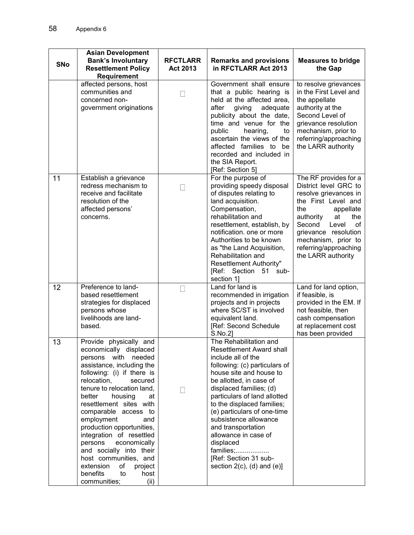| <b>SNo</b> | <b>Asian Development</b><br><b>Bank's Involuntary</b><br><b>Resettlement Policy</b><br>Requirement                                                                                                                                                                                                                                                                                                                                                                                                                    | <b>RFCTLARR</b><br>Act 2013 | <b>Remarks and provisions</b><br>in RFCTLARR Act 2013                                                                                                                                                                                                                                                                                                                                                                                                 | <b>Measures to bridge</b><br>the Gap                                                                                                                                                                                                                                |
|------------|-----------------------------------------------------------------------------------------------------------------------------------------------------------------------------------------------------------------------------------------------------------------------------------------------------------------------------------------------------------------------------------------------------------------------------------------------------------------------------------------------------------------------|-----------------------------|-------------------------------------------------------------------------------------------------------------------------------------------------------------------------------------------------------------------------------------------------------------------------------------------------------------------------------------------------------------------------------------------------------------------------------------------------------|---------------------------------------------------------------------------------------------------------------------------------------------------------------------------------------------------------------------------------------------------------------------|
|            | affected persons, host<br>communities and<br>concerned non-<br>government originations                                                                                                                                                                                                                                                                                                                                                                                                                                | П                           | Government shall ensure<br>that a public hearing is<br>held at the affected area,<br>after<br>giving<br>adequate<br>publicity about the date,<br>time and venue for the<br>public<br>hearing,<br>to<br>ascertain the views of the<br>affected families to be<br>recorded and included in<br>the SIA Report.<br>[Ref: Section 5]                                                                                                                       | to resolve grievances<br>in the First Level and<br>the appellate<br>authority at the<br>Second Level of<br>grievance resolution<br>mechanism, prior to<br>referring/approaching<br>the LARR authority                                                               |
| 11         | Establish a grievance<br>redress mechanism to<br>receive and facilitate<br>resolution of the<br>affected persons'<br>concerns.                                                                                                                                                                                                                                                                                                                                                                                        | Н                           | For the purpose of<br>providing speedy disposal<br>of disputes relating to<br>land acquisition.<br>Compensation,<br>rehabilitation and<br>resettlement, establish, by<br>notification, one or more<br>Authorities to be known<br>as "the Land Acquisition,<br>Rehabilitation and<br>Resettlement Authority"<br>[Ref: Section 51<br>sub-<br>section 1]                                                                                                 | The RF provides for a<br>District level GRC to<br>resolve grievances in<br>the First Level and<br>appellate<br>the<br>the<br>authority<br>at<br>Second<br>Level<br>οf<br>grievance resolution<br>mechanism, prior to<br>referring/approaching<br>the LARR authority |
| 12         | Preference to land-<br>based resettlement<br>strategies for displaced<br>persons whose<br>livelihoods are land-<br>based.                                                                                                                                                                                                                                                                                                                                                                                             |                             | Land for land is<br>recommended in irrigation<br>projects and in projects<br>where SC/ST is involved<br>equivalent land.<br>[Ref: Second Schedule<br>S.No.2]                                                                                                                                                                                                                                                                                          | Land for land option,<br>if feasible, is<br>provided in the EM. If<br>not feasible, then<br>cash compensation<br>at replacement cost<br>has been provided                                                                                                           |
| 13         | Provide physically and<br>economically displaced<br>persons with needed<br>assistance, including the<br>following: (i) if there is<br>relocation,<br>secured<br>tenure to relocation land,<br>better<br>housing<br>at<br>resettlement sites with<br>comparable access to<br>employment<br>and<br>production opportunities,<br>integration of resettled<br>persons<br>economically<br>and socially into their<br>host communities, and<br>extension<br>of<br>project<br>benefits<br>host<br>to<br>communities;<br>(ii) |                             | The Rehabilitation and<br>Resettlement Award shall<br>include all of the<br>following: (c) particulars of<br>house site and house to<br>be allotted, in case of<br>displaced families; (d)<br>particulars of land allotted<br>to the displaced families;<br>(e) particulars of one-time<br>subsistence allowance<br>and transportation<br>allowance in case of<br>displaced<br>families;<br>[Ref: Section 31 sub-<br>section $2(c)$ , (d) and $(e)$ ] |                                                                                                                                                                                                                                                                     |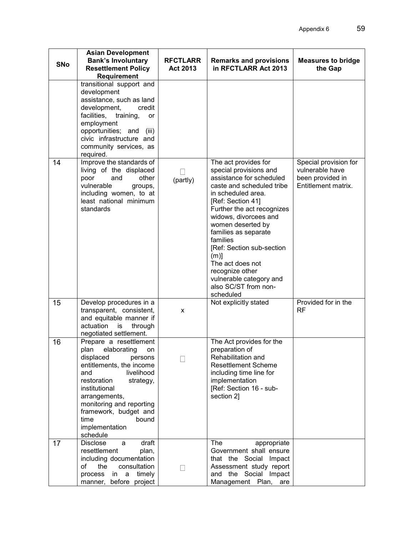| <b>SNo</b> | <b>Asian Development</b><br><b>Bank's Involuntary</b><br><b>Resettlement Policy</b><br>Requirement                                                                                                                                                                                       | <b>RFCTLARR</b><br>Act 2013 | <b>Remarks and provisions</b><br>in RFCTLARR Act 2013                                                                                                                                                                                                                                                                                                                                                             | <b>Measures to bridge</b><br>the Gap                                                |
|------------|------------------------------------------------------------------------------------------------------------------------------------------------------------------------------------------------------------------------------------------------------------------------------------------|-----------------------------|-------------------------------------------------------------------------------------------------------------------------------------------------------------------------------------------------------------------------------------------------------------------------------------------------------------------------------------------------------------------------------------------------------------------|-------------------------------------------------------------------------------------|
|            | transitional support and<br>development<br>assistance, such as land<br>development,<br>credit<br>facilities,<br>training,<br>or<br>employment<br>opportunities; and<br>(iii)<br>civic infrastructure and<br>community services, as<br>required.                                          |                             |                                                                                                                                                                                                                                                                                                                                                                                                                   |                                                                                     |
| 14         | Improve the standards of<br>living of the displaced<br>poor<br>and<br>other<br>vulnerable<br>groups,<br>including women, to at<br>least national minimum<br>standards                                                                                                                    | (partly)                    | The act provides for<br>special provisions and<br>assistance for scheduled<br>caste and scheduled tribe<br>in scheduled area.<br>[Ref: Section 41]<br>Further the act recognizes<br>widows, divorcees and<br>women deserted by<br>families as separate<br>families<br>[Ref: Section sub-section<br>$(m)$ ]<br>The act does not<br>recognize other<br>vulnerable category and<br>also SC/ST from non-<br>scheduled | Special provision for<br>vulnerable have<br>been provided in<br>Entitlement matrix. |
| 15         | Develop procedures in a<br>transparent, consistent,<br>and equitable manner if<br>actuation is<br>through<br>negotiated settlement.                                                                                                                                                      | X                           | Not explicitly stated                                                                                                                                                                                                                                                                                                                                                                                             | Provided for in the<br>RF                                                           |
| 16         | Prepare a resettlement<br>plan elaborating on<br>displaced<br>persons<br>entitlements, the income<br>livelihood<br>and<br>restoration<br>strategy,<br>institutional<br>arrangements,<br>monitoring and reporting<br>framework, budget and<br>time<br>bound<br>implementation<br>schedule |                             | The Act provides for the<br>preparation of<br>Rehabilitation and<br><b>Resettlement Scheme</b><br>including time line for<br>implementation<br>[Ref: Section 16 - sub-<br>section 2]                                                                                                                                                                                                                              |                                                                                     |
| 17         | draft<br><b>Disclose</b><br>a<br>resettlement<br>plan,<br>including documentation<br>consultation<br>of<br>the<br>timely<br>process<br>in<br>a<br>manner, before project                                                                                                                 |                             | The<br>appropriate<br>Government shall ensure<br>that the Social Impact<br>Assessment study report<br>and the Social Impact<br>Management Plan,<br>are                                                                                                                                                                                                                                                            |                                                                                     |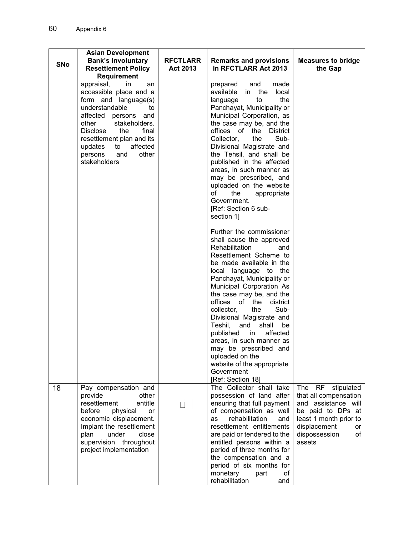| <b>SNo</b> | <b>Asian Development</b><br><b>Bank's Involuntary</b><br><b>Resettlement Policy</b><br>Requirement                                                                                                                                                                                            | <b>RFCTLARR</b><br>Act 2013 | <b>Remarks and provisions</b><br>in RFCTLARR Act 2013                                                                                                                                                                                                                                                                                                                                                                                                                                                                            | <b>Measures to bridge</b><br>the Gap                                                                                                                                       |
|------------|-----------------------------------------------------------------------------------------------------------------------------------------------------------------------------------------------------------------------------------------------------------------------------------------------|-----------------------------|----------------------------------------------------------------------------------------------------------------------------------------------------------------------------------------------------------------------------------------------------------------------------------------------------------------------------------------------------------------------------------------------------------------------------------------------------------------------------------------------------------------------------------|----------------------------------------------------------------------------------------------------------------------------------------------------------------------------|
|            | appraisal,<br>in<br>an<br>accessible place and a<br>form and language(s)<br>understandable<br>to<br>affected persons<br>and<br>stakeholders.<br>other<br><b>Disclose</b><br>the<br>final<br>resettlement plan and its<br>affected<br>updates<br>to<br>other<br>persons<br>and<br>stakeholders |                             | prepared<br>and<br>made<br>available<br>the<br>local<br>in<br>to<br>the<br>language<br>Panchayat, Municipality or<br>Municipal Corporation, as<br>the case may be, and the<br>offices of the<br><b>District</b><br>Collector,<br>Sub-<br>the<br>Divisional Magistrate and<br>the Tehsil, and shall be<br>published in the affected<br>areas, in such manner as<br>may be prescribed, and<br>uploaded on the website<br>of<br>the<br>appropriate<br>Government.<br>[Ref: Section 6 sub-<br>section 1]<br>Further the commissioner |                                                                                                                                                                            |
|            |                                                                                                                                                                                                                                                                                               |                             | shall cause the approved<br>Rehabilitation<br>and<br>Resettlement Scheme to<br>be made available in the<br>local language to the<br>Panchayat, Municipality or<br>Municipal Corporation As<br>the case may be, and the<br>offices of the<br>district<br>the<br>Sub-<br>collector,<br>Divisional Magistrate and<br>Teshil,<br>and<br>shall<br>be<br>affected<br>published<br>in<br>areas, in such manner as<br>may be prescribed and<br>uploaded on the<br>website of the appropriate<br>Government<br>[Ref: Section 18]          |                                                                                                                                                                            |
| 18         | Pay compensation and<br>provide<br>other<br>resettlement<br>entitle<br>physical<br>before<br>or<br>economic displacement.<br>Implant the resettlement<br>plan<br>under<br>close<br>supervision throughout<br>project implementation                                                           |                             | The Collector shall take<br>possession of land after<br>ensuring that full payment<br>of compensation as well<br>rehabilitation<br>as<br>and<br>resettlement entitlements<br>are paid or tendered to the<br>entitled persons within a<br>period of three months for<br>the compensation and a<br>period of six months for<br>monetary<br>оf<br>part<br>rehabilitation<br>and                                                                                                                                                     | The RF<br>stipulated<br>that all compensation<br>and assistance will<br>be paid to DPs at<br>least 1 month prior to<br>displacement<br>or<br>dispossession<br>of<br>assets |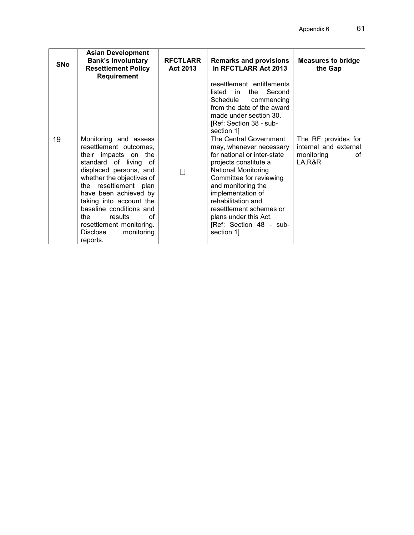| <b>SNo</b> | <b>Asian Development</b><br><b>Bank's Involuntary</b><br><b>Resettlement Policy</b><br><b>Requirement</b>                                                                                                                                                                                                                                                        | <b>RFCTLARR</b><br>Act 2013 | <b>Remarks and provisions</b><br>in RFCTLARR Act 2013                                                                                                                                                                                                                                                                            | <b>Measures to bridge</b><br>the Gap                                       |
|------------|------------------------------------------------------------------------------------------------------------------------------------------------------------------------------------------------------------------------------------------------------------------------------------------------------------------------------------------------------------------|-----------------------------|----------------------------------------------------------------------------------------------------------------------------------------------------------------------------------------------------------------------------------------------------------------------------------------------------------------------------------|----------------------------------------------------------------------------|
|            |                                                                                                                                                                                                                                                                                                                                                                  |                             | resettlement entitlements<br>Second<br>listed in<br>the<br>Schedule<br>commencing<br>from the date of the award<br>made under section 30.<br>[Ref: Section 38 - sub-<br>section 11                                                                                                                                               |                                                                            |
| 19         | Monitoring and assess<br>resettlement outcomes,<br>their impacts on the<br>standard of living of<br>displaced persons, and<br>whether the objectives of<br>the resettlement plan<br>have been achieved by<br>taking into account the<br>baseline conditions and<br>οf<br>results<br>the<br>resettlement monitoring.<br>monitoring<br><b>Disclose</b><br>reports. |                             | The Central Government<br>may, whenever necessary<br>for national or inter-state<br>projects constitute a<br><b>National Monitoring</b><br>Committee for reviewing<br>and monitoring the<br>implementation of<br>rehabilitation and<br>resettlement schemes or<br>plans under this Act.<br>[Ref: Section 48 - sub-<br>section 1] | The RF provides for<br>internal and external<br>monitoring<br>οf<br>LA,R&R |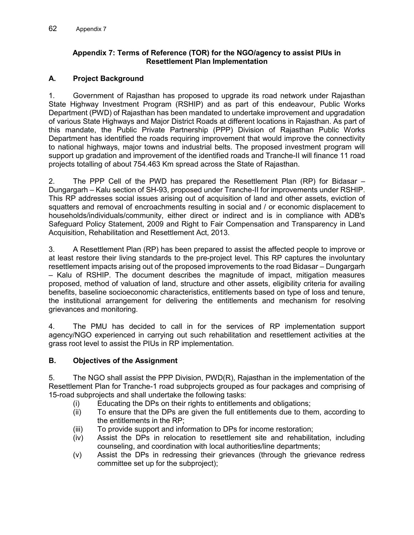#### **Appendix 7: Terms of Reference (TOR) for the NGO/agency to assist PIUs in Resettlement Plan Implementation**

### **A. Project Background**

1. Government of Rajasthan has proposed to upgrade its road network under Rajasthan State Highway Investment Program (RSHIP) and as part of this endeavour, Public Works Department (PWD) of Rajasthan has been mandated to undertake improvement and upgradation of various State Highways and Major District Roads at different locations in Rajasthan. As part of this mandate, the Public Private Partnership (PPP) Division of Rajasthan Public Works Department has identified the roads requiring improvement that would improve the connectivity to national highways, major towns and industrial belts. The proposed investment program will support up gradation and improvement of the identified roads and Tranche-II will finance 11 road projects totalling of about 754.463 Km spread across the State of Rajasthan.

2. The PPP Cell of the PWD has prepared the Resettlement Plan (RP) for Bidasar – Dungargarh – Kalu section of SH-93, proposed under Tranche-II for improvements under RSHIP. This RP addresses social issues arising out of acquisition of land and other assets, eviction of squatters and removal of encroachments resulting in social and / or economic displacement to households/individuals/community, either direct or indirect and is in compliance with ADB's Safeguard Policy Statement, 2009 and Right to Fair Compensation and Transparency in Land Acquisition, Rehabilitation and Resettlement Act, 2013.

3. A Resettlement Plan (RP) has been prepared to assist the affected people to improve or at least restore their living standards to the pre-project level. This RP captures the involuntary resettlement impacts arising out of the proposed improvements to the road Bidasar – Dungargarh – Kalu of RSHIP. The document describes the magnitude of impact, mitigation measures proposed, method of valuation of land, structure and other assets, eligibility criteria for availing benefits, baseline socioeconomic characteristics, entitlements based on type of loss and tenure, the institutional arrangement for delivering the entitlements and mechanism for resolving grievances and monitoring.

4. The PMU has decided to call in for the services of RP implementation support agency/NGO experienced in carrying out such rehabilitation and resettlement activities at the grass root level to assist the PIUs in RP implementation.

#### **B. Objectives of the Assignment**

5. The NGO shall assist the PPP Division, PWD(R), Rajasthan in the implementation of the Resettlement Plan for Tranche-1 road subprojects grouped as four packages and comprising of 15-road subprojects and shall undertake the following tasks:

- (i) Educating the DPs on their rights to entitlements and obligations;
- (ii) To ensure that the DPs are given the full entitlements due to them, according to the entitlements in the RP;
- (iii) To provide support and information to DPs for income restoration;
- (iv) Assist the DPs in relocation to resettlement site and rehabilitation, including counseling, and coordination with local authorities/line departments;
- (v) Assist the DPs in redressing their grievances (through the grievance redress committee set up for the subproject);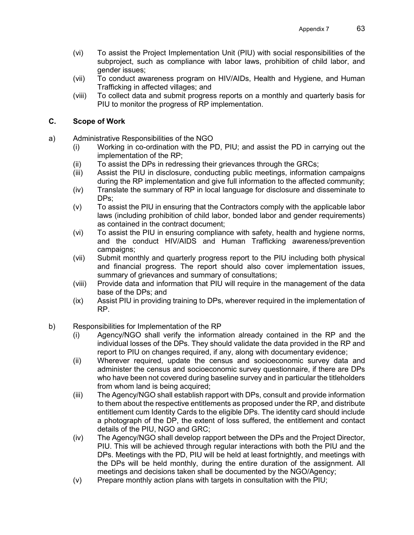- (vi) To assist the Project Implementation Unit (PIU) with social responsibilities of the subproject, such as compliance with labor laws, prohibition of child labor, and gender issues;
- (vii) To conduct awareness program on HIV/AIDs, Health and Hygiene, and Human Trafficking in affected villages; and
- (viii) To collect data and submit progress reports on a monthly and quarterly basis for PIU to monitor the progress of RP implementation.

#### **C. Scope of Work**

- a) Administrative Responsibilities of the NGO
	- (i) Working in co-ordination with the PD, PIU; and assist the PD in carrying out the implementation of the RP;
	- (ii) To assist the DPs in redressing their grievances through the GRCs;
	- (iii) Assist the PIU in disclosure, conducting public meetings, information campaigns during the RP implementation and give full information to the affected community;
	- (iv) Translate the summary of RP in local language for disclosure and disseminate to DPs;
	- (v) To assist the PIU in ensuring that the Contractors comply with the applicable labor laws (including prohibition of child labor, bonded labor and gender requirements) as contained in the contract document;
	- (vi) To assist the PIU in ensuring compliance with safety, health and hygiene norms, and the conduct HIV/AIDS and Human Trafficking awareness/prevention campaigns;
	- (vii) Submit monthly and quarterly progress report to the PIU including both physical and financial progress. The report should also cover implementation issues, summary of grievances and summary of consultations;
	- (viii) Provide data and information that PIU will require in the management of the data base of the DPs; and
	- (ix) Assist PIU in providing training to DPs, wherever required in the implementation of RP.
- b) Responsibilities for Implementation of the RP
	- (i) Agency/NGO shall verify the information already contained in the RP and the individual losses of the DPs. They should validate the data provided in the RP and report to PIU on changes required, if any, along with documentary evidence;
	- (ii) Wherever required, update the census and socioeconomic survey data and administer the census and socioeconomic survey questionnaire, if there are DPs who have been not covered during baseline survey and in particular the titleholders from whom land is being acquired;
	- (iii) The Agency/NGO shall establish rapport with DPs, consult and provide information to them about the respective entitlements as proposed under the RP, and distribute entitlement cum Identity Cards to the eligible DPs. The identity card should include a photograph of the DP, the extent of loss suffered, the entitlement and contact details of the PIU, NGO and GRC;
	- (iv) The Agency/NGO shall develop rapport between the DPs and the Project Director, PIU. This will be achieved through regular interactions with both the PIU and the DPs. Meetings with the PD, PIU will be held at least fortnightly, and meetings with the DPs will be held monthly, during the entire duration of the assignment. All meetings and decisions taken shall be documented by the NGO/Agency;
	- (v) Prepare monthly action plans with targets in consultation with the PIU;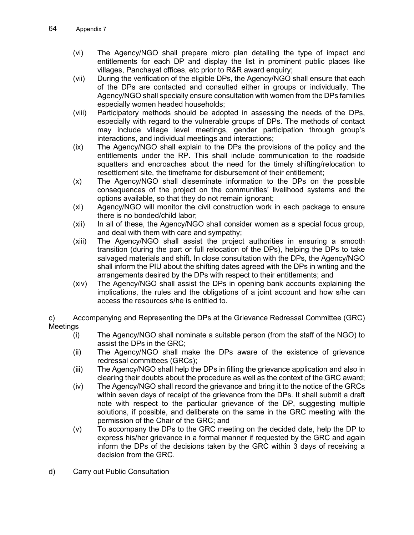- (vi) The Agency/NGO shall prepare micro plan detailing the type of impact and entitlements for each DP and display the list in prominent public places like villages, Panchayat offices, etc prior to R&R award enquiry;
- (vii) During the verification of the eligible DPs, the Agency/NGO shall ensure that each of the DPs are contacted and consulted either in groups or individually. The Agency/NGO shall specially ensure consultation with women from the DPs families especially women headed households;
- (viii) Participatory methods should be adopted in assessing the needs of the DPs, especially with regard to the vulnerable groups of DPs. The methods of contact may include village level meetings, gender participation through group's interactions, and individual meetings and interactions;
- (ix) The Agency/NGO shall explain to the DPs the provisions of the policy and the entitlements under the RP. This shall include communication to the roadside squatters and encroaches about the need for the timely shifting/relocation to resettlement site, the timeframe for disbursement of their entitlement;
- (x) The Agency/NGO shall disseminate information to the DPs on the possible consequences of the project on the communities' livelihood systems and the options available, so that they do not remain ignorant;
- (xi) Agency/NGO will monitor the civil construction work in each package to ensure there is no bonded/child labor;
- (xii) In all of these, the Agency/NGO shall consider women as a special focus group, and deal with them with care and sympathy;
- (xiii) The Agency/NGO shall assist the project authorities in ensuring a smooth transition (during the part or full relocation of the DPs), helping the DPs to take salvaged materials and shift. In close consultation with the DPs, the Agency/NGO shall inform the PIU about the shifting dates agreed with the DPs in writing and the arrangements desired by the DPs with respect to their entitlements; and
- (xiv) The Agency/NGO shall assist the DPs in opening bank accounts explaining the implications, the rules and the obligations of a joint account and how s/he can access the resources s/he is entitled to.

c) Accompanying and Representing the DPs at the Grievance Redressal Committee (GRC) Meetings

- (i) The Agency/NGO shall nominate a suitable person (from the staff of the NGO) to assist the DPs in the GRC;
- (ii) The Agency/NGO shall make the DPs aware of the existence of grievance redressal committees (GRCs);
- (iii) The Agency/NGO shall help the DPs in filling the grievance application and also in clearing their doubts about the procedure as well as the context of the GRC award;
- (iv) The Agency/NGO shall record the grievance and bring it to the notice of the GRCs within seven days of receipt of the grievance from the DPs. It shall submit a draft note with respect to the particular grievance of the DP, suggesting multiple solutions, if possible, and deliberate on the same in the GRC meeting with the permission of the Chair of the GRC; and
- (v) To accompany the DPs to the GRC meeting on the decided date, help the DP to express his/her grievance in a formal manner if requested by the GRC and again inform the DPs of the decisions taken by the GRC within 3 days of receiving a decision from the GRC.
- d) Carry out Public Consultation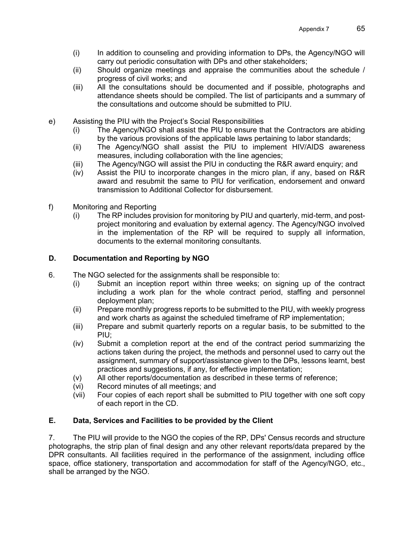- (i) In addition to counseling and providing information to DPs, the Agency/NGO will carry out periodic consultation with DPs and other stakeholders;
- (ii) Should organize meetings and appraise the communities about the schedule / progress of civil works; and
- (iii) All the consultations should be documented and if possible, photographs and attendance sheets should be compiled. The list of participants and a summary of the consultations and outcome should be submitted to PIU.
- e) Assisting the PIU with the Project's Social Responsibilities
	- (i) The Agency/NGO shall assist the PIU to ensure that the Contractors are abiding by the various provisions of the applicable laws pertaining to labor standards;
	- (ii) The Agency/NGO shall assist the PIU to implement HIV/AIDS awareness measures, including collaboration with the line agencies;
	- (iii) The Agency/NGO will assist the PIU in conducting the R&R award enquiry; and
	- (iv) Assist the PIU to incorporate changes in the micro plan, if any, based on R&R award and resubmit the same to PIU for verification, endorsement and onward transmission to Additional Collector for disbursement.
- f) Monitoring and Reporting
	- (i) The RP includes provision for monitoring by PIU and quarterly, mid-term, and postproject monitoring and evaluation by external agency. The Agency/NGO involved in the implementation of the RP will be required to supply all information, documents to the external monitoring consultants.

# **D. Documentation and Reporting by NGO**

- 6. The NGO selected for the assignments shall be responsible to:
	- (i) Submit an inception report within three weeks; on signing up of the contract including a work plan for the whole contract period, staffing and personnel deployment plan;
	- (ii) Prepare monthly progress reports to be submitted to the PIU, with weekly progress and work charts as against the scheduled timeframe of RP implementation;
	- (iii) Prepare and submit quarterly reports on a regular basis, to be submitted to the PIU;
	- (iv) Submit a completion report at the end of the contract period summarizing the actions taken during the project, the methods and personnel used to carry out the assignment, summary of support/assistance given to the DPs, lessons learnt, best practices and suggestions, if any, for effective implementation;
	- (v) All other reports/documentation as described in these terms of reference;
	- (vi) Record minutes of all meetings; and
	- (vii) Four copies of each report shall be submitted to PIU together with one soft copy of each report in the CD.

# **E. Data, Services and Facilities to be provided by the Client**

7. The PIU will provide to the NGO the copies of the RP, DPs' Census records and structure photographs, the strip plan of final design and any other relevant reports/data prepared by the DPR consultants. All facilities required in the performance of the assignment, including office space, office stationery, transportation and accommodation for staff of the Agency/NGO, etc., shall be arranged by the NGO.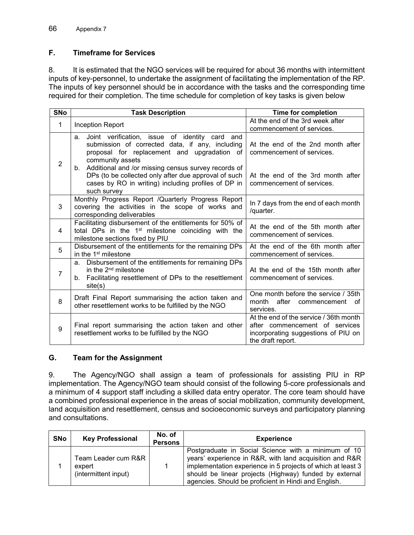## **F. Timeframe for Services**

8. It is estimated that the NGO services will be required for about 36 months with intermittent inputs of key-personnel, to undertake the assignment of facilitating the implementation of the RP. The inputs of key personnel should be in accordance with the tasks and the corresponding time required for their completion. The time schedule for completion of key tasks is given below

| <b>SNo</b>     | <b>Task Description</b>                                                                                                                                                                 | <b>Time for completion</b>                                                                                                           |  |
|----------------|-----------------------------------------------------------------------------------------------------------------------------------------------------------------------------------------|--------------------------------------------------------------------------------------------------------------------------------------|--|
| 1              | <b>Inception Report</b>                                                                                                                                                                 | At the end of the 3rd week after<br>commencement of services.                                                                        |  |
| $\overline{2}$ | Joint verification, issue of identity card and<br>a.<br>submission of corrected data, if any, including<br>proposal for replacement and upgradation of<br>community assets              | At the end of the 2nd month after<br>commencement of services.                                                                       |  |
|                | Additional and /or missing census survey records of<br>b.<br>DPs (to be collected only after due approval of such<br>cases by RO in writing) including profiles of DP in<br>such survey | At the end of the 3rd month after<br>commencement of services.                                                                       |  |
| 3              | Monthly Progress Report / Quarterly Progress Report<br>covering the activities in the scope of works and<br>corresponding deliverables                                                  | In 7 days from the end of each month<br>/quarter.                                                                                    |  |
| 4              | Facilitating disbursement of the entitlements for 50% of<br>total DPs in the 1 <sup>st</sup> milestone coinciding with the<br>milestone sections fixed by PIU                           | At the end of the 5th month after<br>commencement of services.                                                                       |  |
| 5              | Disbursement of the entitlements for the remaining DPs<br>in the 1 <sup>st</sup> milestone                                                                                              | At the end of the 6th month after<br>commencement of services.                                                                       |  |
| $\overline{7}$ | Disbursement of the entitlements for remaining DPs<br>a.<br>in the $2nd$ milestone<br>b. Facilitating resettlement of DPs to the resettlement<br>site(s)                                | At the end of the 15th month after<br>commencement of services.                                                                      |  |
| 8              | Draft Final Report summarising the action taken and<br>other resettlement works to be fulfilled by the NGO                                                                              | One month before the service / 35th<br>after commencement<br>month<br>оf<br>services.                                                |  |
| 9              | Final report summarising the action taken and other<br>resettlement works to be fulfilled by the NGO                                                                                    | At the end of the service / 36th month<br>after commencement of services<br>incorporating suggestions of PIU on<br>the draft report. |  |

## **G. Team for the Assignment**

9. The Agency/NGO shall assign a team of professionals for assisting PIU in RP implementation. The Agency/NGO team should consist of the following 5-core professionals and a minimum of 4 support staff including a skilled data entry operator. The core team should have a combined professional experience in the areas of social mobilization, community development, land acquisition and resettlement, census and socioeconomic surveys and participatory planning and consultations.

| <b>SNo</b> | <b>Key Professional</b>                               | No. of<br><b>Persons</b> | <b>Experience</b>                                                                                                                                                                                                                                                                               |
|------------|-------------------------------------------------------|--------------------------|-------------------------------------------------------------------------------------------------------------------------------------------------------------------------------------------------------------------------------------------------------------------------------------------------|
|            | Team Leader cum R&R<br>expert<br>(intermittent input) |                          | Postgraduate in Social Science with a minimum of 10<br>years' experience in R&R, with land acquisition and R&R<br>implementation experience in 5 projects of which at least 3<br>should be linear projects (Highway) funded by external<br>agencies. Should be proficient in Hindi and English. |